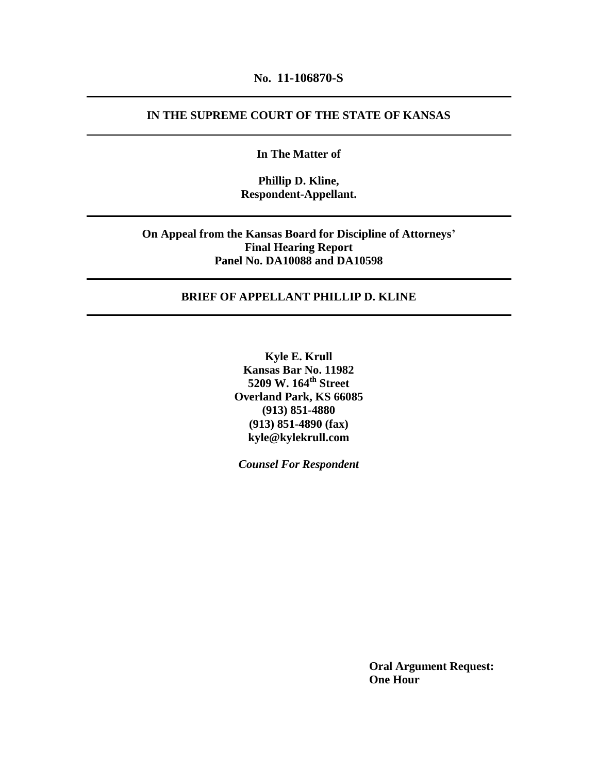### **No. 11-106870-S**

## **IN THE SUPREME COURT OF THE STATE OF KANSAS**

**In The Matter of**

**Phillip D. Kline, Respondent-Appellant.**

**On Appeal from the Kansas Board for Discipline of Attorneys' Final Hearing Report Panel No. DA10088 and DA10598**

## **BRIEF OF APPELLANT PHILLIP D. KLINE**

**Kyle E. Krull Kansas Bar No. 11982 5209 W. 164th Street Overland Park, KS 66085 (913) 851-4880 (913) 851-4890 (fax) [kyle@kylekrull.com](kyle@kekpa.com)**

*Counsel For Respondent*

**Oral Argument Request: One Hour**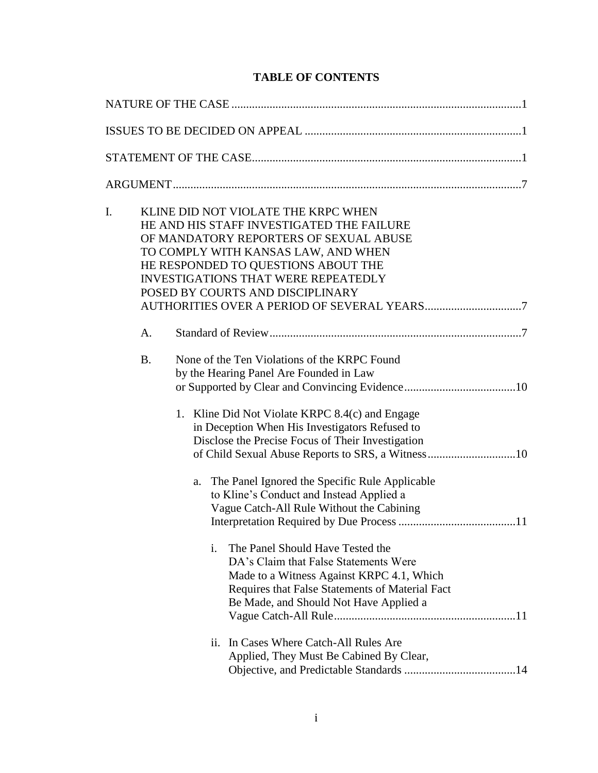## **TABLE OF CONTENTS**

| Ι.          | KLINE DID NOT VIOLATE THE KRPC WHEN<br>HE AND HIS STAFF INVESTIGATED THE FAILURE<br>OF MANDATORY REPORTERS OF SEXUAL ABUSE<br>TO COMPLY WITH KANSAS LAW, AND WHEN<br>HE RESPONDED TO QUESTIONS ABOUT THE<br><b>INVESTIGATIONS THAT WERE REPEATEDLY</b><br>POSED BY COURTS AND DISCIPLINARY                                                                                                                                                                                                                                                                                                                                               |
|-------------|------------------------------------------------------------------------------------------------------------------------------------------------------------------------------------------------------------------------------------------------------------------------------------------------------------------------------------------------------------------------------------------------------------------------------------------------------------------------------------------------------------------------------------------------------------------------------------------------------------------------------------------|
| $A_{\cdot}$ |                                                                                                                                                                                                                                                                                                                                                                                                                                                                                                                                                                                                                                          |
| <b>B.</b>   | None of the Ten Violations of the KRPC Found<br>by the Hearing Panel Are Founded in Law<br>1. Kline Did Not Violate KRPC 8.4(c) and Engage<br>in Deception When His Investigators Refused to<br>Disclose the Precise Focus of Their Investigation<br>a. The Panel Ignored the Specific Rule Applicable<br>to Kline's Conduct and Instead Applied a<br>Vague Catch-All Rule Without the Cabining<br>$\mathbf{i}$ .<br>The Panel Should Have Tested the<br>DA's Claim that False Statements Were<br>Made to a Witness Against KRPC 4.1, Which<br>Requires that False Statements of Material Fact<br>Be Made, and Should Not Have Applied a |
|             | ii. In Cases Where Catch-All Rules Are<br>Applied, They Must Be Cabined By Clear,                                                                                                                                                                                                                                                                                                                                                                                                                                                                                                                                                        |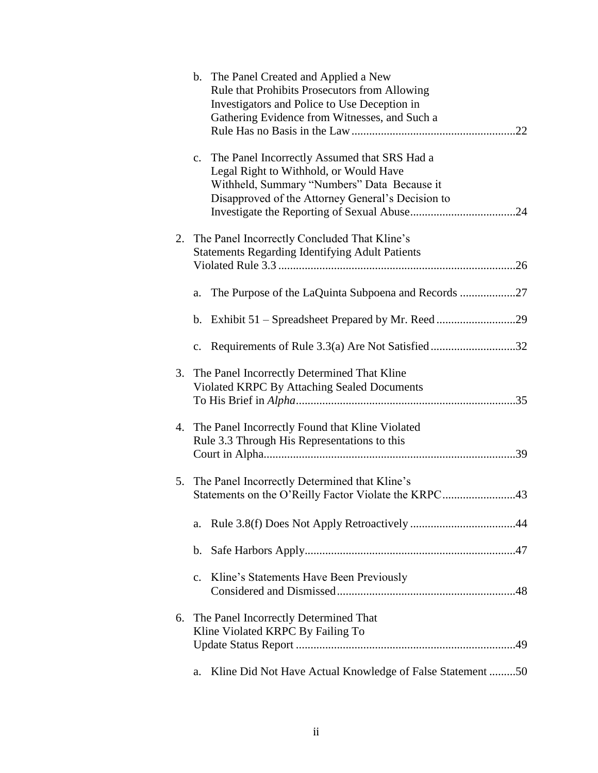|    | b. The Panel Created and Applied a New<br>Rule that Prohibits Prosecutors from Allowing<br>Investigators and Police to Use Deception in<br>Gathering Evidence from Witnesses, and Such a         |
|----|--------------------------------------------------------------------------------------------------------------------------------------------------------------------------------------------------|
|    | The Panel Incorrectly Assumed that SRS Had a<br>c.<br>Legal Right to Withhold, or Would Have<br>Withheld, Summary "Numbers" Data Because it<br>Disapproved of the Attorney General's Decision to |
| 2. | The Panel Incorrectly Concluded That Kline's<br><b>Statements Regarding Identifying Adult Patients</b>                                                                                           |
|    | a.                                                                                                                                                                                               |
|    | b.                                                                                                                                                                                               |
|    | Requirements of Rule 3.3(a) Are Not Satisfied32<br>$\mathbf{c}$ .                                                                                                                                |
| 3. | The Panel Incorrectly Determined That Kline<br><b>Violated KRPC By Attaching Sealed Documents</b>                                                                                                |
| 4. | The Panel Incorrectly Found that Kline Violated<br>Rule 3.3 Through His Representations to this                                                                                                  |
| 5. | The Panel Incorrectly Determined that Kline's                                                                                                                                                    |
|    | a.                                                                                                                                                                                               |
|    | b.                                                                                                                                                                                               |
|    | Kline's Statements Have Been Previously<br>$\mathbf{c}$ .                                                                                                                                        |
| 6. | The Panel Incorrectly Determined That<br>Kline Violated KRPC By Failing To                                                                                                                       |
|    | Kline Did Not Have Actual Knowledge of False Statement 50<br>a.                                                                                                                                  |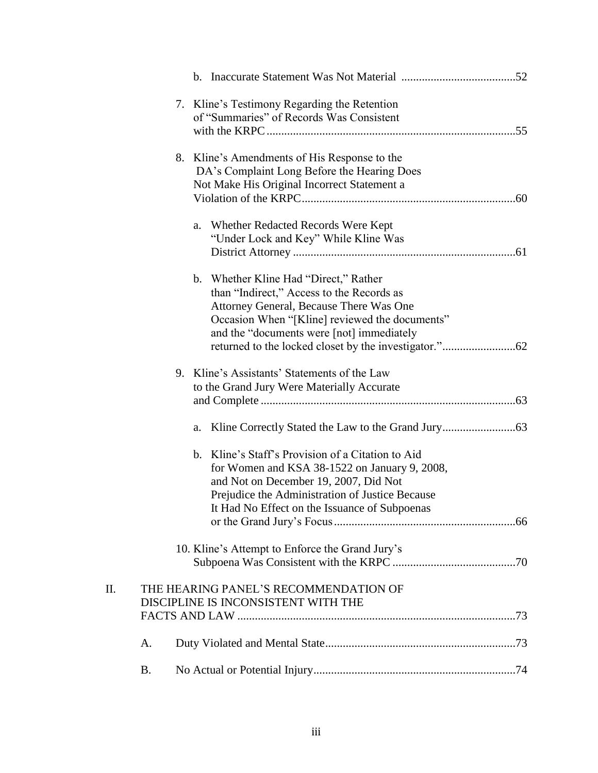|    |           | 7. Kline's Testimony Regarding the Retention      |
|----|-----------|---------------------------------------------------|
|    |           | of "Summaries" of Records Was Consistent          |
|    |           |                                                   |
|    |           |                                                   |
|    |           | 8. Kline's Amendments of His Response to the      |
|    |           | DA's Complaint Long Before the Hearing Does       |
|    |           | Not Make His Original Incorrect Statement a       |
|    |           |                                                   |
|    |           |                                                   |
|    |           | Whether Redacted Records Were Kept<br>a.          |
|    |           | "Under Lock and Key" While Kline Was              |
|    |           |                                                   |
|    |           |                                                   |
|    |           | b. Whether Kline Had "Direct," Rather             |
|    |           | than "Indirect," Access to the Records as         |
|    |           | Attorney General, Because There Was One           |
|    |           | Occasion When "[Kline] reviewed the documents"    |
|    |           | and the "documents were [not] immediately         |
|    |           |                                                   |
|    |           |                                                   |
|    |           | 9. Kline's Assistants' Statements of the Law      |
|    |           | to the Grand Jury Were Materially Accurate        |
|    |           |                                                   |
|    |           |                                                   |
|    |           | a.                                                |
|    |           | b. Kline's Staff's Provision of a Citation to Aid |
|    |           | for Women and KSA 38-1522 on January 9, 2008,     |
|    |           |                                                   |
|    |           | and Not on December 19, 2007, Did Not             |
|    |           | Prejudice the Administration of Justice Because   |
|    |           | It Had No Effect on the Issuance of Subpoenas     |
|    |           |                                                   |
|    |           |                                                   |
|    |           | 10. Kline's Attempt to Enforce the Grand Jury's   |
|    |           |                                                   |
| Π. |           | THE HEARING PANEL'S RECOMMENDATION OF             |
|    |           | DISCIPLINE IS INCONSISTENT WITH THE               |
|    |           |                                                   |
|    |           |                                                   |
|    | A.        |                                                   |
|    | <b>B.</b> |                                                   |
|    |           |                                                   |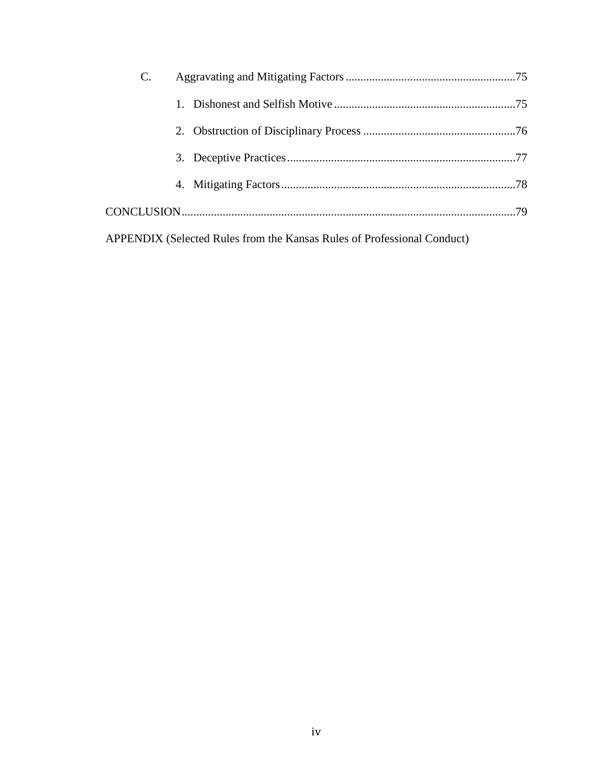APPENDIX (Selected Rules from the Kansas Rules of Professional Conduct)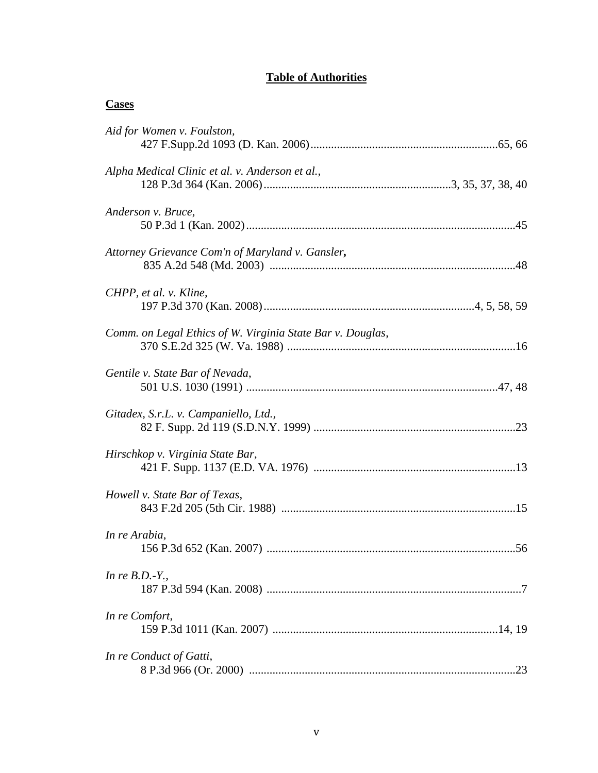# **Table of Authorities**

| IS.<br>۰,<br>.я<br>┍ |  |
|----------------------|--|
|                      |  |
|                      |  |

| Aid for Women v. Foulston,                                 |  |
|------------------------------------------------------------|--|
| Alpha Medical Clinic et al. v. Anderson et al.,            |  |
| Anderson v. Bruce,                                         |  |
| Attorney Grievance Com'n of Maryland v. Gansler,           |  |
| CHPP, et al. v. Kline,                                     |  |
| Comm. on Legal Ethics of W. Virginia State Bar v. Douglas, |  |
| Gentile v. State Bar of Nevada,                            |  |
| Gitadex, S.r.L. v. Campaniello, Ltd.,                      |  |
| Hirschkop v. Virginia State Bar,                           |  |
| Howell v. State Bar of Texas,                              |  |
| In re Arabia,                                              |  |
| In re $B.D.-Y.$ ,                                          |  |
| In re Comfort,                                             |  |
| In re Conduct of Gatti,                                    |  |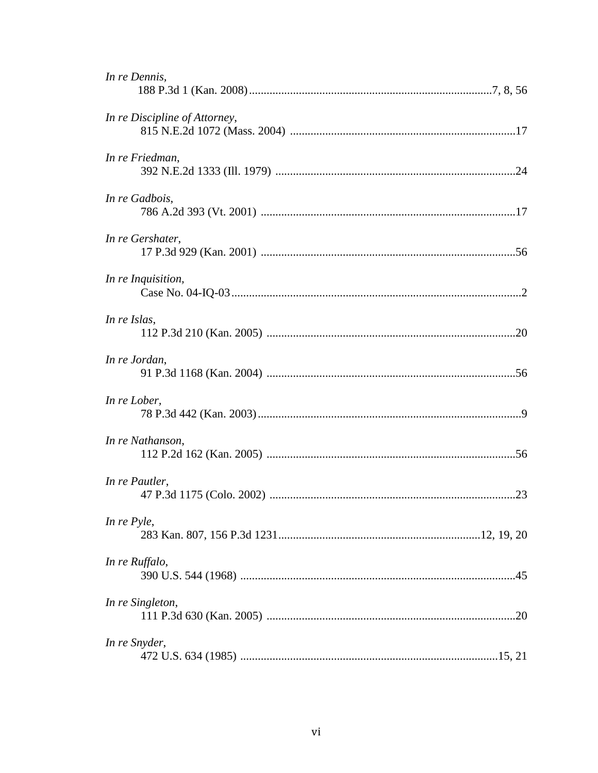| In re Dennis,                 |
|-------------------------------|
| In re Discipline of Attorney, |
| In re Friedman,               |
| In re Gadbois,                |
| In re Gershater,              |
| In re Inquisition,            |
| In re Islas,                  |
| In re Jordan,                 |
| In re Lober,                  |
| In re Nathanson,              |
| In re Pautler,                |
| In re Pyle,                   |
| In re Ruffalo,                |
| In re Singleton,              |
| In re Snyder,                 |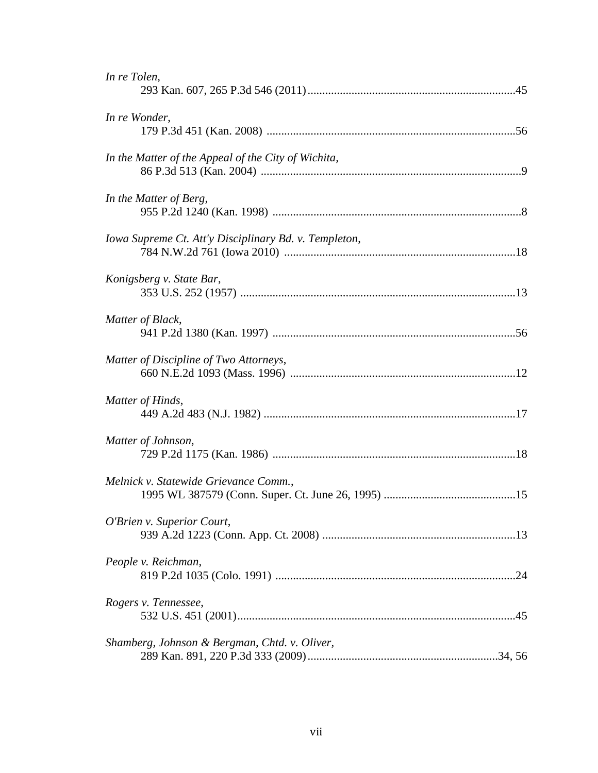| In re Tolen,                                          |  |
|-------------------------------------------------------|--|
| In re Wonder,                                         |  |
| In the Matter of the Appeal of the City of Wichita,   |  |
| In the Matter of Berg,                                |  |
| Iowa Supreme Ct. Att'y Disciplinary Bd. v. Templeton, |  |
| Konigsberg v. State Bar,                              |  |
| Matter of Black,                                      |  |
| Matter of Discipline of Two Attorneys,                |  |
| Matter of Hinds,                                      |  |
| Matter of Johnson,                                    |  |
| Melnick v. Statewide Grievance Comm.,                 |  |
| O'Brien v. Superior Court,                            |  |
| People v. Reichman,                                   |  |
| Rogers v. Tennessee,                                  |  |
| Shamberg, Johnson & Bergman, Chtd. v. Oliver,         |  |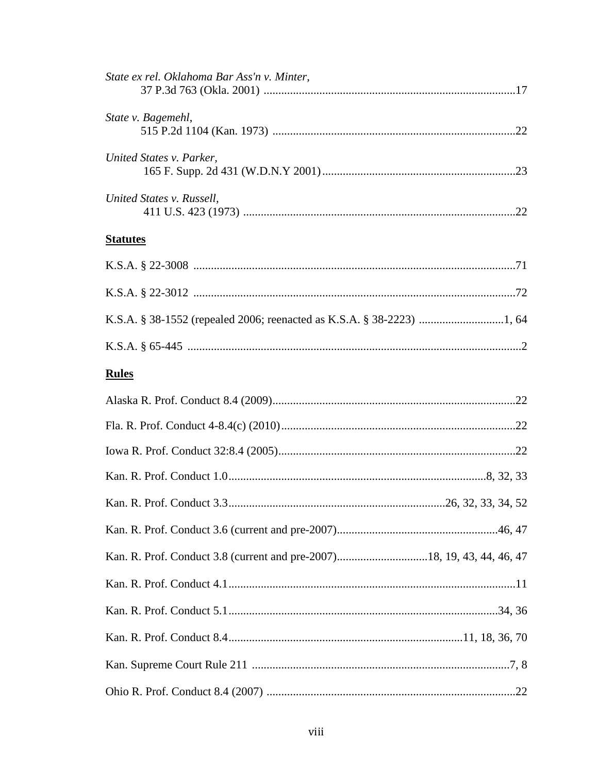| State ex rel. Oklahoma Bar Ass'n v. Minter, |     |
|---------------------------------------------|-----|
|                                             |     |
| State v. Bagemehl,                          |     |
|                                             |     |
| United States v. Parker,                    |     |
|                                             |     |
| United States v. Russell,                   |     |
|                                             | .22 |
| <b>Statutes</b>                             |     |
|                                             |     |
|                                             |     |
|                                             |     |
|                                             |     |

# **Rules**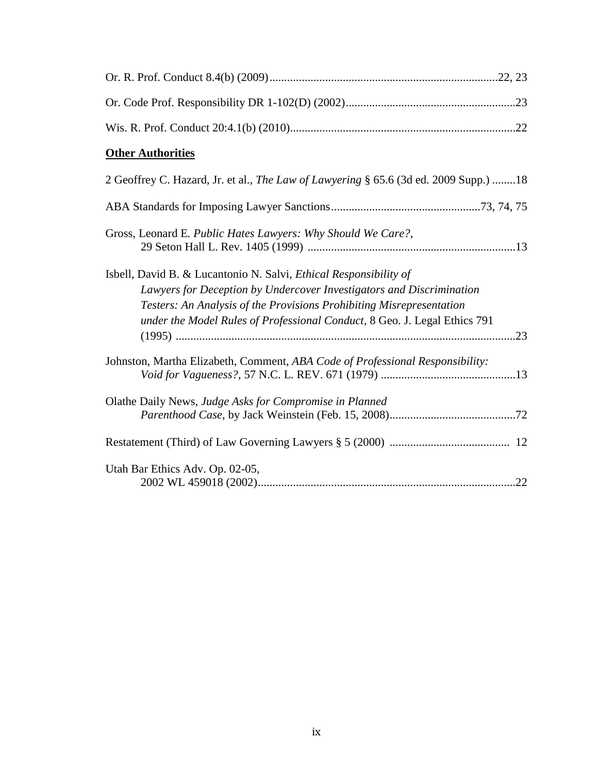| <b>Other Authorities</b>                                                                                                                                                                                                                                                                              |
|-------------------------------------------------------------------------------------------------------------------------------------------------------------------------------------------------------------------------------------------------------------------------------------------------------|
| 2 Geoffrey C. Hazard, Jr. et al., <i>The Law of Lawyering</i> § 65.6 (3d ed. 2009 Supp.) 18                                                                                                                                                                                                           |
|                                                                                                                                                                                                                                                                                                       |
| Gross, Leonard E. Public Hates Lawyers: Why Should We Care?,                                                                                                                                                                                                                                          |
| Isbell, David B. & Lucantonio N. Salvi, <i>Ethical Responsibility of</i><br>Lawyers for Deception by Undercover Investigators and Discrimination<br>Testers: An Analysis of the Provisions Prohibiting Misrepresentation<br>under the Model Rules of Professional Conduct, 8 Geo. J. Legal Ethics 791 |
| Johnston, Martha Elizabeth, Comment, ABA Code of Professional Responsibility:                                                                                                                                                                                                                         |
| Olathe Daily News, Judge Asks for Compromise in Planned                                                                                                                                                                                                                                               |
|                                                                                                                                                                                                                                                                                                       |
| Utah Bar Ethics Adv. Op. 02-05,                                                                                                                                                                                                                                                                       |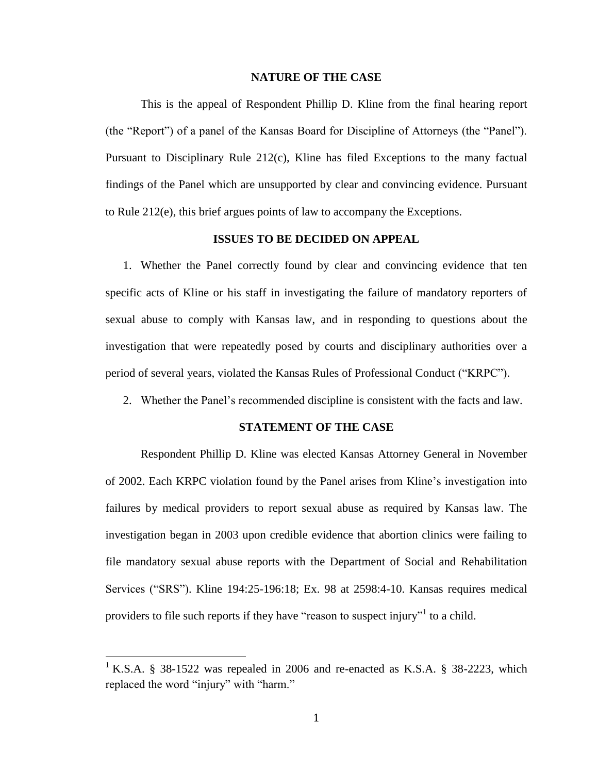#### **NATURE OF THE CASE**

This is the appeal of Respondent Phillip D. Kline from the final hearing report (the "Report") of a panel of the Kansas Board for Discipline of Attorneys (the "Panel"). Pursuant to Disciplinary Rule 212(c), Kline has filed Exceptions to the many factual findings of the Panel which are unsupported by clear and convincing evidence. Pursuant to Rule 212(e), this brief argues points of law to accompany the Exceptions.

#### **ISSUES TO BE DECIDED ON APPEAL**

1. Whether the Panel correctly found by clear and convincing evidence that ten specific acts of Kline or his staff in investigating the failure of mandatory reporters of sexual abuse to comply with Kansas law, and in responding to questions about the investigation that were repeatedly posed by courts and disciplinary authorities over a period of several years, violated the Kansas Rules of Professional Conduct ("KRPC").

2. Whether the Panel's recommended discipline is consistent with the facts and law.

#### **STATEMENT OF THE CASE**

Respondent Phillip D. Kline was elected Kansas Attorney General in November of 2002. Each KRPC violation found by the Panel arises from Kline's investigation into failures by medical providers to report sexual abuse as required by Kansas law. The investigation began in 2003 upon credible evidence that abortion clinics were failing to file mandatory sexual abuse reports with the Department of Social and Rehabilitation Services ("SRS"). Kline 194:25-196:18; Ex. 98 at 2598:4-10. Kansas requires medical providers to file such reports if they have "reason to suspect injury"<sup>1</sup> to a child.

l

<sup>&</sup>lt;sup>1</sup> K.S.A. § 38-1522 was repealed in 2006 and re-enacted as K.S.A. § 38-2223, which replaced the word "injury" with "harm."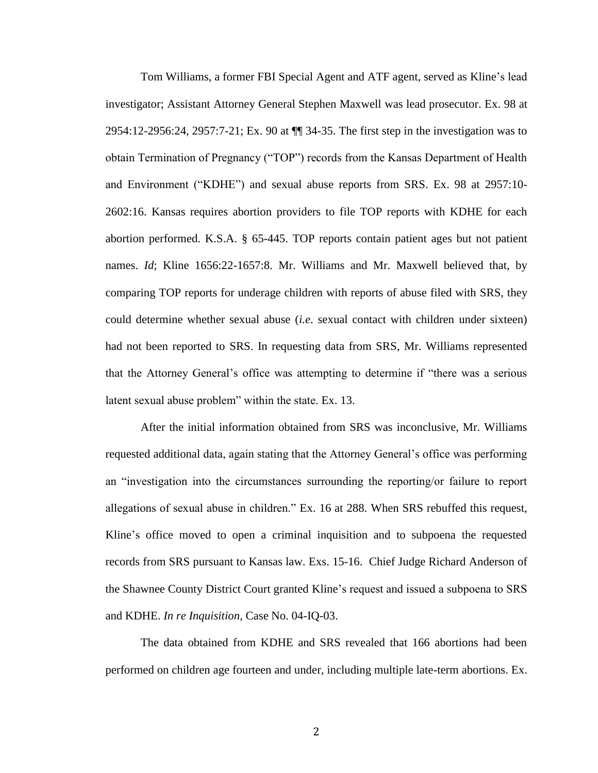Tom Williams, a former FBI Special Agent and ATF agent, served as Kline's lead investigator; Assistant Attorney General Stephen Maxwell was lead prosecutor. Ex. 98 at 2954:12-2956:24, 2957:7-21; Ex. 90 at ¶¶ 34-35. The first step in the investigation was to obtain Termination of Pregnancy ("TOP") records from the Kansas Department of Health and Environment ("KDHE") and sexual abuse reports from SRS. Ex. 98 at 2957:10- 2602:16. Kansas requires abortion providers to file TOP reports with KDHE for each abortion performed. K.S.A. § 65-445. TOP reports contain patient ages but not patient names. *Id*; Kline 1656:22-1657:8. Mr. Williams and Mr. Maxwell believed that, by comparing TOP reports for underage children with reports of abuse filed with SRS, they could determine whether sexual abuse (*i.e*. sexual contact with children under sixteen) had not been reported to SRS. In requesting data from SRS, Mr. Williams represented that the Attorney General's office was attempting to determine if "there was a serious latent sexual abuse problem" within the state. Ex. 13.

After the initial information obtained from SRS was inconclusive, Mr. Williams requested additional data, again stating that the Attorney General's office was performing an "investigation into the circumstances surrounding the reporting/or failure to report allegations of sexual abuse in children." Ex. 16 at 288. When SRS rebuffed this request, Kline's office moved to open a criminal inquisition and to subpoena the requested records from SRS pursuant to Kansas law. Exs. 15-16. Chief Judge Richard Anderson of the Shawnee County District Court granted Kline's request and issued a subpoena to SRS and KDHE. *In re Inquisition*, Case No. 04-IQ-03.

The data obtained from KDHE and SRS revealed that 166 abortions had been performed on children age fourteen and under, including multiple late-term abortions. Ex.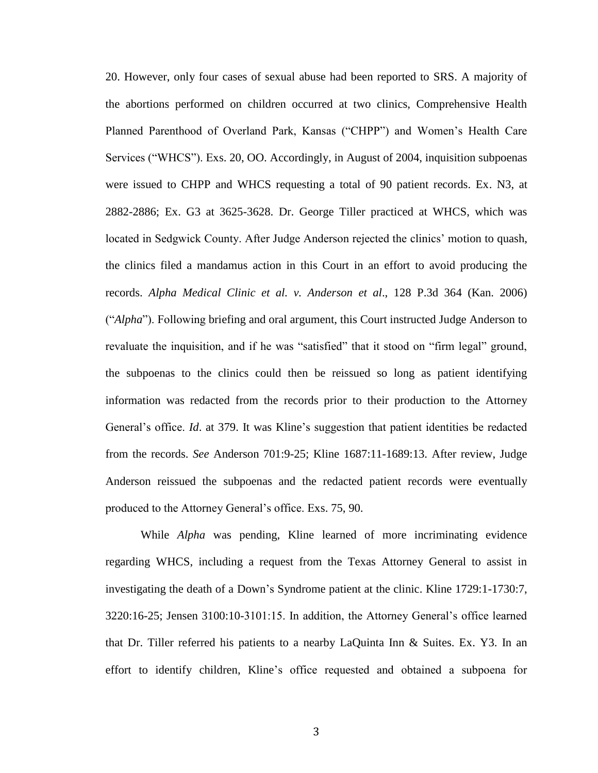20. However, only four cases of sexual abuse had been reported to SRS. A majority of the abortions performed on children occurred at two clinics, Comprehensive Health Planned Parenthood of Overland Park, Kansas ("CHPP") and Women's Health Care Services ("WHCS"). Exs. 20, OO. Accordingly, in August of 2004, inquisition subpoenas were issued to CHPP and WHCS requesting a total of 90 patient records. Ex. N3, at 2882-2886; Ex. G3 at 3625-3628. Dr. George Tiller practiced at WHCS, which was located in Sedgwick County. After Judge Anderson rejected the clinics' motion to quash, the clinics filed a mandamus action in this Court in an effort to avoid producing the records. *Alpha Medical Clinic et al. v. Anderson et al*., 128 P.3d 364 (Kan. 2006) ("*Alpha*"). Following briefing and oral argument, this Court instructed Judge Anderson to revaluate the inquisition, and if he was "satisfied" that it stood on "firm legal" ground, the subpoenas to the clinics could then be reissued so long as patient identifying information was redacted from the records prior to their production to the Attorney General's office. *Id*. at 379. It was Kline's suggestion that patient identities be redacted from the records. *See* Anderson 701:9-25; Kline 1687:11-1689:13. After review, Judge Anderson reissued the subpoenas and the redacted patient records were eventually produced to the Attorney General's office. Exs. 75, 90.

While *Alpha* was pending, Kline learned of more incriminating evidence regarding WHCS, including a request from the Texas Attorney General to assist in investigating the death of a Down's Syndrome patient at the clinic. Kline 1729:1-1730:7, 3220:16-25; Jensen 3100:10-3101:15. In addition, the Attorney General's office learned that Dr. Tiller referred his patients to a nearby LaQuinta Inn & Suites. Ex. Y3. In an effort to identify children, Kline's office requested and obtained a subpoena for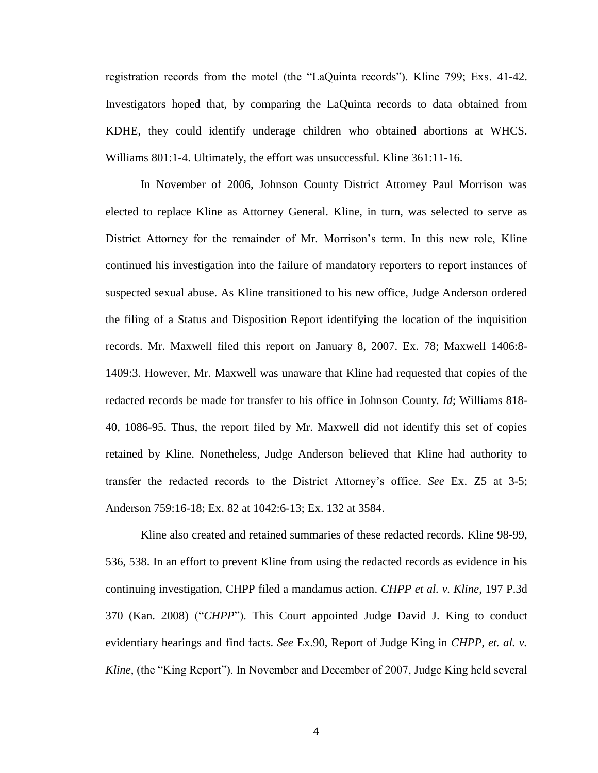registration records from the motel (the "LaQuinta records"). Kline 799; Exs. 41-42. Investigators hoped that, by comparing the LaQuinta records to data obtained from KDHE, they could identify underage children who obtained abortions at WHCS. Williams 801:1-4. Ultimately, the effort was unsuccessful. Kline 361:11-16.

In November of 2006, Johnson County District Attorney Paul Morrison was elected to replace Kline as Attorney General. Kline, in turn, was selected to serve as District Attorney for the remainder of Mr. Morrison's term. In this new role, Kline continued his investigation into the failure of mandatory reporters to report instances of suspected sexual abuse. As Kline transitioned to his new office, Judge Anderson ordered the filing of a Status and Disposition Report identifying the location of the inquisition records. Mr. Maxwell filed this report on January 8, 2007. Ex. 78; Maxwell 1406:8- 1409:3. However, Mr. Maxwell was unaware that Kline had requested that copies of the redacted records be made for transfer to his office in Johnson County. *Id*; Williams 818- 40, 1086-95. Thus, the report filed by Mr. Maxwell did not identify this set of copies retained by Kline. Nonetheless, Judge Anderson believed that Kline had authority to transfer the redacted records to the District Attorney's office. *See* Ex. Z5 at 3-5; Anderson 759:16-18; Ex. 82 at 1042:6-13; Ex. 132 at 3584.

Kline also created and retained summaries of these redacted records. Kline 98-99, 536, 538. In an effort to prevent Kline from using the redacted records as evidence in his continuing investigation, CHPP filed a mandamus action. *CHPP et al. v. Kline*, 197 P.3d 370 (Kan. 2008) ("*CHPP*"). This Court appointed Judge David J. King to conduct evidentiary hearings and find facts. *See* Ex.90, Report of Judge King in *CHPP, et. al. v. Kline*, (the "King Report"). In November and December of 2007, Judge King held several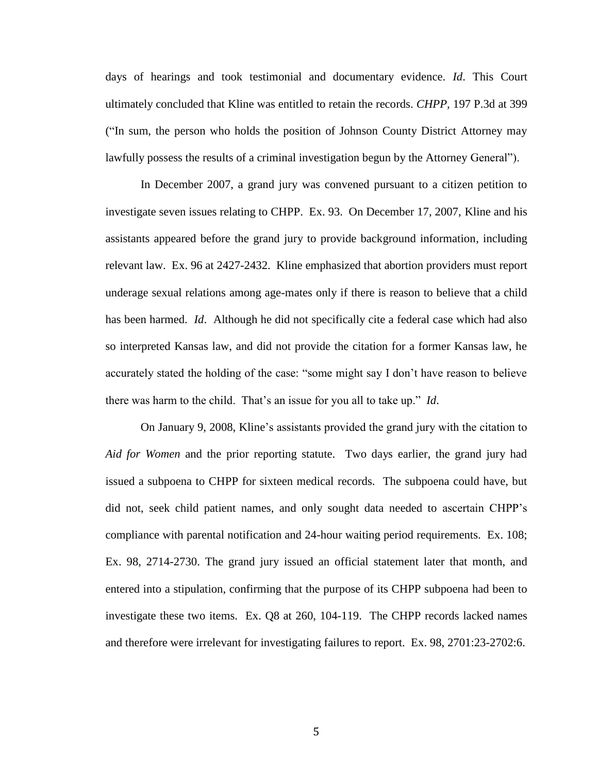days of hearings and took testimonial and documentary evidence. *Id*. This Court ultimately concluded that Kline was entitled to retain the records. *CHPP,* 197 P.3d at 399 ("In sum, the person who holds the position of Johnson County District Attorney may lawfully possess the results of a criminal investigation begun by the Attorney General").

In December 2007, a grand jury was convened pursuant to a citizen petition to investigate seven issues relating to CHPP. Ex. 93. On December 17, 2007, Kline and his assistants appeared before the grand jury to provide background information, including relevant law. Ex. 96 at 2427-2432. Kline emphasized that abortion providers must report underage sexual relations among age-mates only if there is reason to believe that a child has been harmed. *Id*. Although he did not specifically cite a federal case which had also so interpreted Kansas law, and did not provide the citation for a former Kansas law, he accurately stated the holding of the case: "some might say I don't have reason to believe there was harm to the child. That's an issue for you all to take up." *Id*.

On January 9, 2008, Kline's assistants provided the grand jury with the citation to *Aid for Women* and the prior reporting statute. Two days earlier, the grand jury had issued a subpoena to CHPP for sixteen medical records. The subpoena could have, but did not, seek child patient names, and only sought data needed to ascertain CHPP's compliance with parental notification and 24-hour waiting period requirements. Ex. 108; Ex. 98, 2714-2730. The grand jury issued an official statement later that month, and entered into a stipulation, confirming that the purpose of its CHPP subpoena had been to investigate these two items. Ex. Q8 at 260, 104-119. The CHPP records lacked names and therefore were irrelevant for investigating failures to report. Ex. 98, 2701:23-2702:6.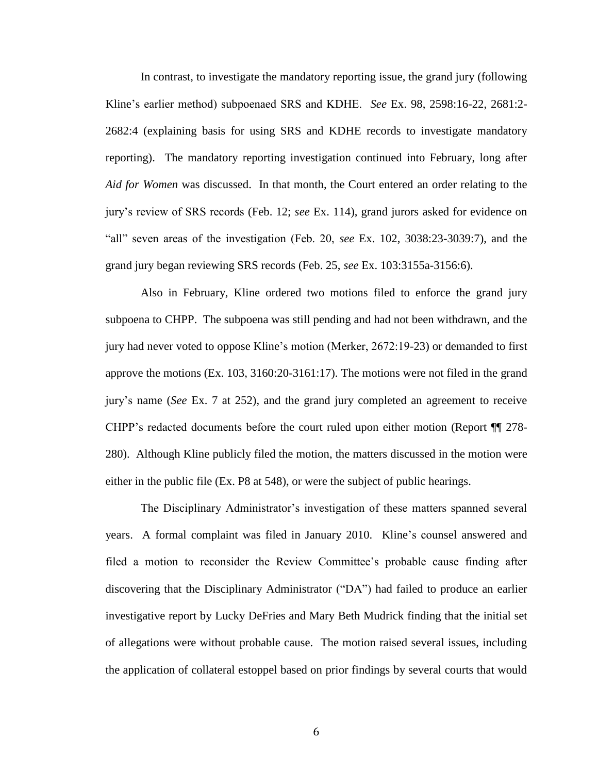In contrast, to investigate the mandatory reporting issue, the grand jury (following Kline's earlier method) subpoenaed SRS and KDHE. *See* Ex. 98, 2598:16-22, 2681:2- 2682:4 (explaining basis for using SRS and KDHE records to investigate mandatory reporting). The mandatory reporting investigation continued into February, long after *Aid for Women* was discussed. In that month, the Court entered an order relating to the jury's review of SRS records (Feb. 12; *see* Ex. 114), grand jurors asked for evidence on "all" seven areas of the investigation (Feb. 20, *see* Ex. 102, 3038:23-3039:7), and the grand jury began reviewing SRS records (Feb. 25, *see* Ex. 103:3155a-3156:6).

Also in February, Kline ordered two motions filed to enforce the grand jury subpoena to CHPP. The subpoena was still pending and had not been withdrawn, and the jury had never voted to oppose Kline's motion (Merker, 2672:19-23) or demanded to first approve the motions (Ex. 103, 3160:20-3161:17). The motions were not filed in the grand jury's name (*See* Ex. 7 at 252), and the grand jury completed an agreement to receive CHPP's redacted documents before the court ruled upon either motion (Report ¶¶ 278- 280). Although Kline publicly filed the motion, the matters discussed in the motion were either in the public file (Ex. P8 at 548), or were the subject of public hearings.

The Disciplinary Administrator's investigation of these matters spanned several years. A formal complaint was filed in January 2010. Kline's counsel answered and filed a motion to reconsider the Review Committee's probable cause finding after discovering that the Disciplinary Administrator ("DA") had failed to produce an earlier investigative report by Lucky DeFries and Mary Beth Mudrick finding that the initial set of allegations were without probable cause. The motion raised several issues, including the application of collateral estoppel based on prior findings by several courts that would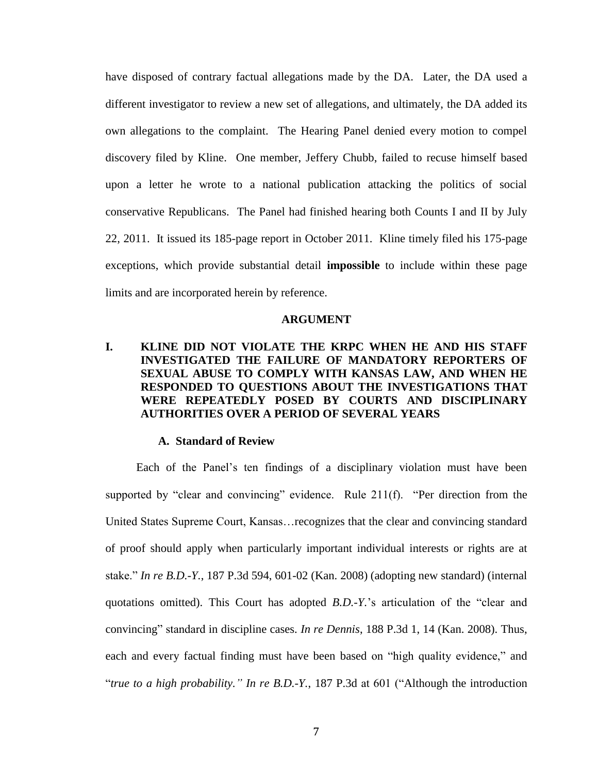have disposed of contrary factual allegations made by the DA. Later, the DA used a different investigator to review a new set of allegations, and ultimately, the DA added its own allegations to the complaint. The Hearing Panel denied every motion to compel discovery filed by Kline. One member, Jeffery Chubb, failed to recuse himself based upon a letter he wrote to a national publication attacking the politics of social conservative Republicans. The Panel had finished hearing both Counts I and II by July 22, 2011. It issued its 185-page report in October 2011. Kline timely filed his 175-page exceptions, which provide substantial detail **impossible** to include within these page limits and are incorporated herein by reference.

#### **ARGUMENT**

## **I. KLINE DID NOT VIOLATE THE KRPC WHEN HE AND HIS STAFF INVESTIGATED THE FAILURE OF MANDATORY REPORTERS OF SEXUAL ABUSE TO COMPLY WITH KANSAS LAW, AND WHEN HE RESPONDED TO QUESTIONS ABOUT THE INVESTIGATIONS THAT WERE REPEATEDLY POSED BY COURTS AND DISCIPLINARY AUTHORITIES OVER A PERIOD OF SEVERAL YEARS**

#### **A. Standard of Review**

Each of the Panel's ten findings of a disciplinary violation must have been supported by "clear and convincing" evidence. Rule 211(f). "Per direction from the United States Supreme Court, Kansas…recognizes that the clear and convincing standard of proof should apply when particularly important individual interests or rights are at stake." *In re B.D.-Y.*, 187 P.3d 594, 601-02 (Kan. 2008) (adopting new standard) (internal quotations omitted). This Court has adopted *B.D.-Y.*'s articulation of the "clear and convincing" standard in discipline cases. *In re Dennis*, 188 P.3d 1, 14 (Kan. 2008). Thus, each and every factual finding must have been based on "high quality evidence," and "*true to a high probability." In re B.D.-Y.*, 187 P.3d at 601 ("Although the introduction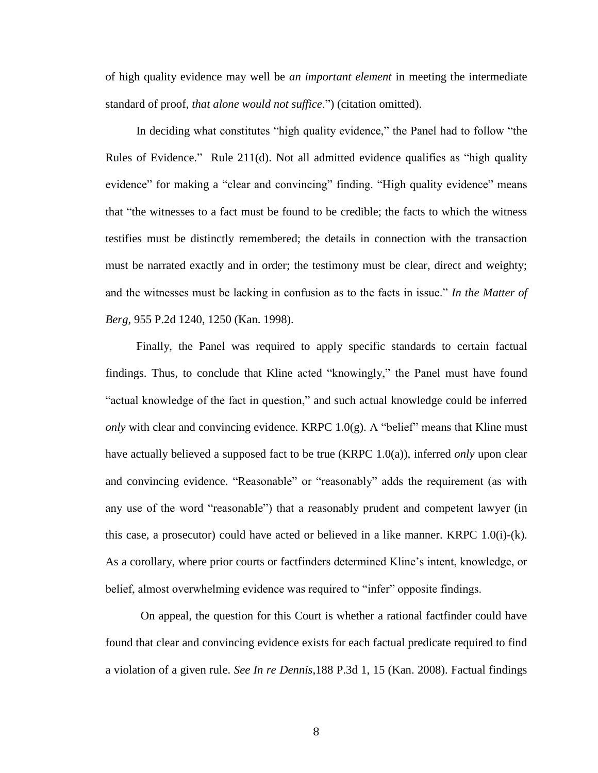of high quality evidence may well be *an important element* in meeting the intermediate standard of proof, *that alone would not suffice*.") (citation omitted).

In deciding what constitutes "high quality evidence," the Panel had to follow "the Rules of Evidence." Rule 211(d). Not all admitted evidence qualifies as "high quality evidence" for making a "clear and convincing" finding. "High quality evidence" means that "the witnesses to a fact must be found to be credible; the facts to which the witness testifies must be distinctly remembered; the details in connection with the transaction must be narrated exactly and in order; the testimony must be clear, direct and weighty; and the witnesses must be lacking in confusion as to the facts in issue." *In the Matter of Berg,* 955 P.2d 1240, 1250 (Kan. 1998).

Finally, the Panel was required to apply specific standards to certain factual findings. Thus, to conclude that Kline acted "knowingly," the Panel must have found "actual knowledge of the fact in question," and such actual knowledge could be inferred *only* with clear and convincing evidence. KRPC  $1.0(g)$ . A "belief" means that Kline must have actually believed a supposed fact to be true (KRPC 1.0(a)), inferred *only* upon clear and convincing evidence. "Reasonable" or "reasonably" adds the requirement (as with any use of the word "reasonable") that a reasonably prudent and competent lawyer (in this case, a prosecutor) could have acted or believed in a like manner. KRPC  $1.0(i)-(k)$ . As a corollary, where prior courts or factfinders determined Kline's intent, knowledge, or belief, almost overwhelming evidence was required to "infer" opposite findings.

On appeal, the question for this Court is whether a rational factfinder could have found that clear and convincing evidence exists for each factual predicate required to find a violation of a given rule. *See In re Dennis*,188 P.3d 1, 15 (Kan. 2008). Factual findings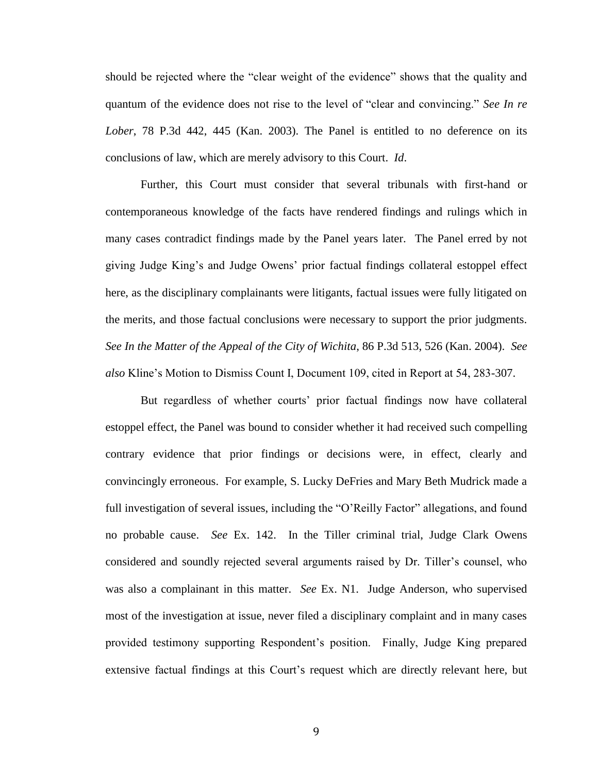should be rejected where the "clear weight of the evidence" shows that the quality and quantum of the evidence does not rise to the level of "clear and convincing." *See In re Lober*, 78 P.3d 442, 445 (Kan. 2003). The Panel is entitled to no deference on its conclusions of law, which are merely advisory to this Court. *Id*.

Further, this Court must consider that several tribunals with first-hand or contemporaneous knowledge of the facts have rendered findings and rulings which in many cases contradict findings made by the Panel years later. The Panel erred by not giving Judge King's and Judge Owens' prior factual findings collateral estoppel effect here, as the disciplinary complainants were litigants, factual issues were fully litigated on the merits, and those factual conclusions were necessary to support the prior judgments. *See In the Matter of the Appeal of the City of Wichita*, 86 P.3d 513, 526 (Kan. 2004). *See also* Kline's Motion to Dismiss Count I, Document 109, cited in Report at 54, 283-307.

But regardless of whether courts' prior factual findings now have collateral estoppel effect, the Panel was bound to consider whether it had received such compelling contrary evidence that prior findings or decisions were, in effect, clearly and convincingly erroneous. For example, S. Lucky DeFries and Mary Beth Mudrick made a full investigation of several issues, including the "O'Reilly Factor" allegations, and found no probable cause. *See* Ex. 142. In the Tiller criminal trial, Judge Clark Owens considered and soundly rejected several arguments raised by Dr. Tiller's counsel, who was also a complainant in this matter. *See* Ex. N1. Judge Anderson, who supervised most of the investigation at issue, never filed a disciplinary complaint and in many cases provided testimony supporting Respondent's position. Finally, Judge King prepared extensive factual findings at this Court's request which are directly relevant here, but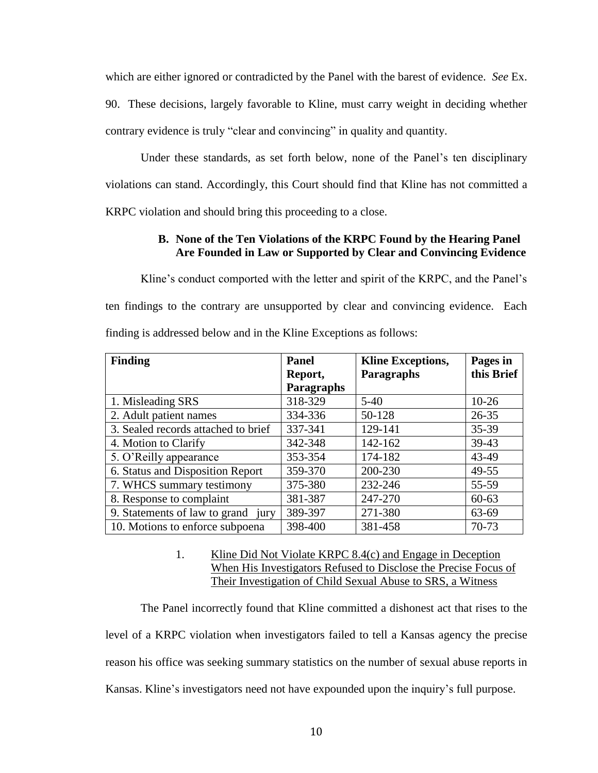which are either ignored or contradicted by the Panel with the barest of evidence. *See* Ex.

90. These decisions, largely favorable to Kline, must carry weight in deciding whether contrary evidence is truly "clear and convincing" in quality and quantity.

Under these standards, as set forth below, none of the Panel's ten disciplinary violations can stand. Accordingly, this Court should find that Kline has not committed a KRPC violation and should bring this proceeding to a close.

## **B. None of the Ten Violations of the KRPC Found by the Hearing Panel Are Founded in Law or Supported by Clear and Convincing Evidence**

Kline's conduct comported with the letter and spirit of the KRPC, and the Panel's ten findings to the contrary are unsupported by clear and convincing evidence. Each finding is addressed below and in the Kline Exceptions as follows:

| <b>Finding</b>                      | Panel      | <b>Kline Exceptions,</b> | Pages in   |
|-------------------------------------|------------|--------------------------|------------|
|                                     | Report,    | Paragraphs               | this Brief |
|                                     | Paragraphs |                          |            |
| 1. Misleading SRS                   | 318-329    | $5-40$                   | $10-26$    |
| 2. Adult patient names              | 334-336    | 50-128                   | $26 - 35$  |
| 3. Sealed records attached to brief | 337-341    | 129-141                  | 35-39      |
| 4. Motion to Clarify                | 342-348    | 142-162                  | 39-43      |
| 5. O'Reilly appearance              | 353-354    | 174-182                  | 43-49      |
| 6. Status and Disposition Report    | 359-370    | 200-230                  | 49-55      |
| 7. WHCS summary testimony           | 375-380    | 232-246                  | 55-59      |
| 8. Response to complaint            | 381-387    | 247-270                  | $60 - 63$  |
| 9. Statements of law to grand jury  | 389-397    | 271-380                  | 63-69      |
| 10. Motions to enforce subpoena     | 398-400    | 381-458                  | 70-73      |

1. Kline Did Not Violate KRPC 8.4(c) and Engage in Deception When His Investigators Refused to Disclose the Precise Focus of Their Investigation of Child Sexual Abuse to SRS, a Witness

The Panel incorrectly found that Kline committed a dishonest act that rises to the level of a KRPC violation when investigators failed to tell a Kansas agency the precise reason his office was seeking summary statistics on the number of sexual abuse reports in Kansas. Kline's investigators need not have expounded upon the inquiry's full purpose.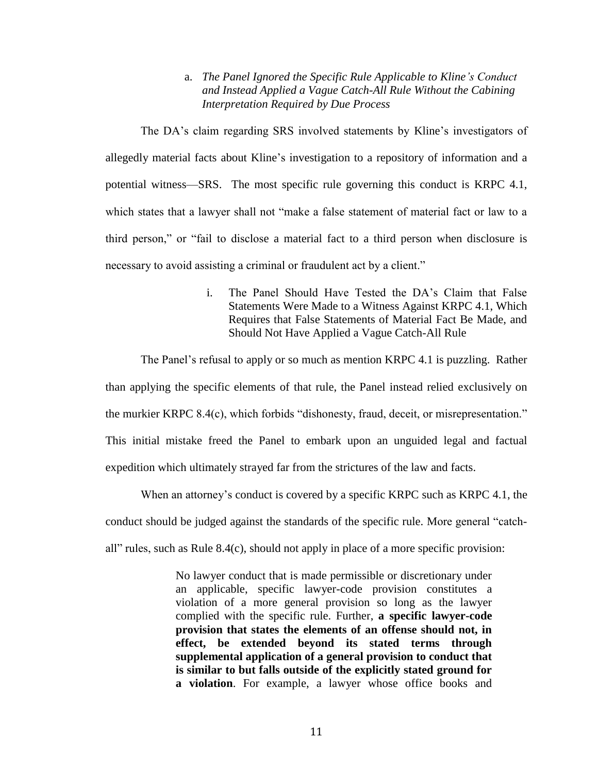## a. *The Panel Ignored the Specific Rule Applicable to Kline's Conduct and Instead Applied a Vague Catch-All Rule Without the Cabining Interpretation Required by Due Process*

The DA's claim regarding SRS involved statements by Kline's investigators of allegedly material facts about Kline's investigation to a repository of information and a potential witness—SRS. The most specific rule governing this conduct is KRPC 4.1, which states that a lawyer shall not "make a false statement of material fact or law to a third person," or "fail to disclose a material fact to a third person when disclosure is necessary to avoid assisting a criminal or fraudulent act by a client."

> i. The Panel Should Have Tested the DA's Claim that False Statements Were Made to a Witness Against KRPC 4.1, Which Requires that False Statements of Material Fact Be Made, and Should Not Have Applied a Vague Catch-All Rule

The Panel's refusal to apply or so much as mention KRPC 4.1 is puzzling. Rather than applying the specific elements of that rule, the Panel instead relied exclusively on the murkier KRPC 8.4(c), which forbids "dishonesty, fraud, deceit, or misrepresentation." This initial mistake freed the Panel to embark upon an unguided legal and factual expedition which ultimately strayed far from the strictures of the law and facts.

When an attorney's conduct is covered by a specific KRPC such as KRPC 4.1, the conduct should be judged against the standards of the specific rule. More general "catchall" rules, such as Rule 8.4(c), should not apply in place of a more specific provision:

> No lawyer conduct that is made permissible or discretionary under an applicable, specific lawyer-code provision constitutes a violation of a more general provision so long as the lawyer complied with the specific rule. Further, **a specific lawyer-code provision that states the elements of an offense should not, in effect, be extended beyond its stated terms through supplemental application of a general provision to conduct that is similar to but falls outside of the explicitly stated ground for a violation**. For example, a lawyer whose office books and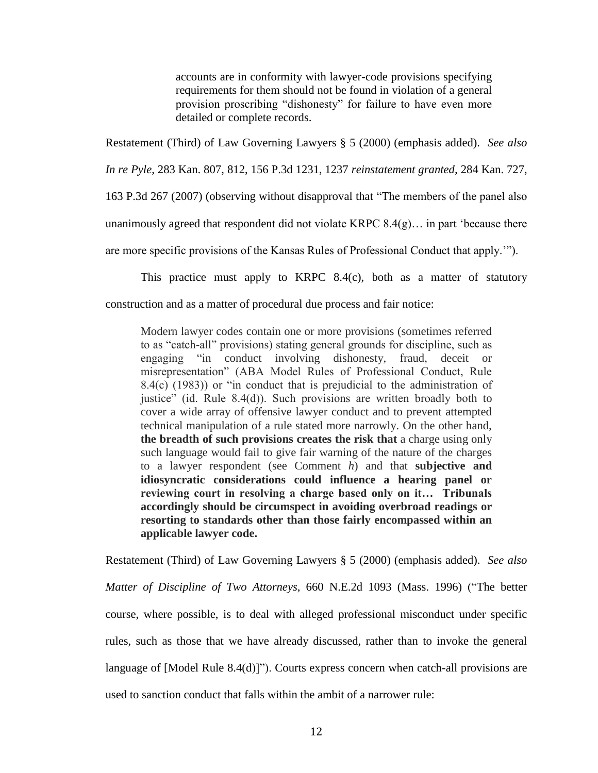accounts are in conformity with lawyer-code provisions specifying requirements for them should not be found in violation of a general provision proscribing "dishonesty" for failure to have even more detailed or complete records.

Restatement (Third) of Law Governing Lawyers § 5 (2000) (emphasis added). *See also*

*In re Pyle*, 283 Kan. 807, 812, 156 P.3d 1231, 1237 *reinstatement granted,* 284 Kan. 727,

163 P.3d 267 (2007) (observing without disapproval that "The members of the panel also

unanimously agreed that respondent did not violate KRPC 8.4(g)… in part 'because there

are more specific provisions of the Kansas Rules of Professional Conduct that apply.'").

This practice must apply to KRPC 8.4(c), both as a matter of statutory

construction and as a matter of procedural due process and fair notice:

Modern lawyer codes contain one or more provisions (sometimes referred to as "catch-all" provisions) stating general grounds for discipline, such as engaging "in conduct involving dishonesty, fraud, deceit or misrepresentation" (ABA Model Rules of Professional Conduct, Rule 8.4(c) (1983)) or "in conduct that is prejudicial to the administration of justice" (id. Rule 8.4(d)). Such provisions are written broadly both to cover a wide array of offensive lawyer conduct and to prevent attempted technical manipulation of a rule stated more narrowly. On the other hand, **the breadth of such provisions creates the risk that** a charge using only such language would fail to give fair warning of the nature of the charges to a lawyer respondent (see Comment *h*) and that **subjective and idiosyncratic considerations could influence a hearing panel or reviewing court in resolving a charge based only on it… Tribunals accordingly should be circumspect in avoiding overbroad readings or resorting to standards other than those fairly encompassed within an applicable lawyer code.**

Restatement (Third) of Law Governing Lawyers § 5 (2000) (emphasis added). *See also Matter of Discipline of Two Attorneys*, 660 N.E.2d 1093 (Mass. 1996) ("The better course, where possible, is to deal with alleged professional misconduct under specific rules, such as those that we have already discussed, rather than to invoke the general language of [Model Rule 8.4(d)]"). Courts express concern when catch-all provisions are used to sanction conduct that falls within the ambit of a narrower rule: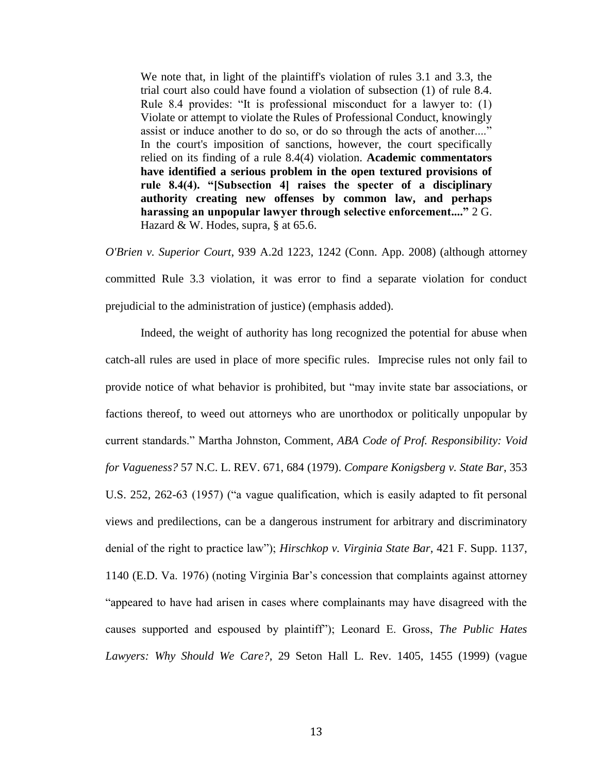We note that, in light of the plaintiff's violation of rules 3.1 and 3.3, the trial court also could have found a violation of subsection (1) of rule 8.4. Rule 8.4 provides: "It is professional misconduct for a lawyer to: (1) Violate or attempt to violate the Rules of Professional Conduct, knowingly assist or induce another to do so, or do so through the acts of another...." In the court's imposition of sanctions, however, the court specifically relied on its finding of a rule 8.4(4) violation. **Academic commentators have identified a serious problem in the open textured provisions of rule 8.4(4). "[Subsection 4] raises the specter of a disciplinary authority creating new offenses by common law, and perhaps harassing an unpopular lawyer through selective enforcement...."** 2 G. Hazard & W. Hodes, supra, § at 65.6.

*O'Brien v. Superior Court*, 939 A.2d 1223, 1242 (Conn. App. 2008) (although attorney committed Rule 3.3 violation, it was error to find a separate violation for conduct prejudicial to the administration of justice) (emphasis added).

Indeed, the weight of authority has long recognized the potential for abuse when catch-all rules are used in place of more specific rules. Imprecise rules not only fail to provide notice of what behavior is prohibited, but "may invite state bar associations, or factions thereof, to weed out attorneys who are unorthodox or politically unpopular by current standards." Martha Johnston, Comment, *ABA Code of Prof. Responsibility: Void for Vagueness?* 57 N.C. L. REV. 671, 684 (1979). *Compare Konigsberg v. State Bar*, 353 U.S. 252, 262-63 (1957) ("a vague qualification, which is easily adapted to fit personal views and predilections, can be a dangerous instrument for arbitrary and discriminatory denial of the right to practice law"); *Hirschkop v. Virginia State Bar*, 421 F. Supp. 1137, 1140 (E.D. Va. 1976) (noting Virginia Bar's concession that complaints against attorney "appeared to have had arisen in cases where complainants may have disagreed with the causes supported and espoused by plaintiff"); Leonard E. Gross, *The Public Hates Lawyers: Why Should We Care?*, 29 Seton Hall L. Rev. 1405, 1455 (1999) (vague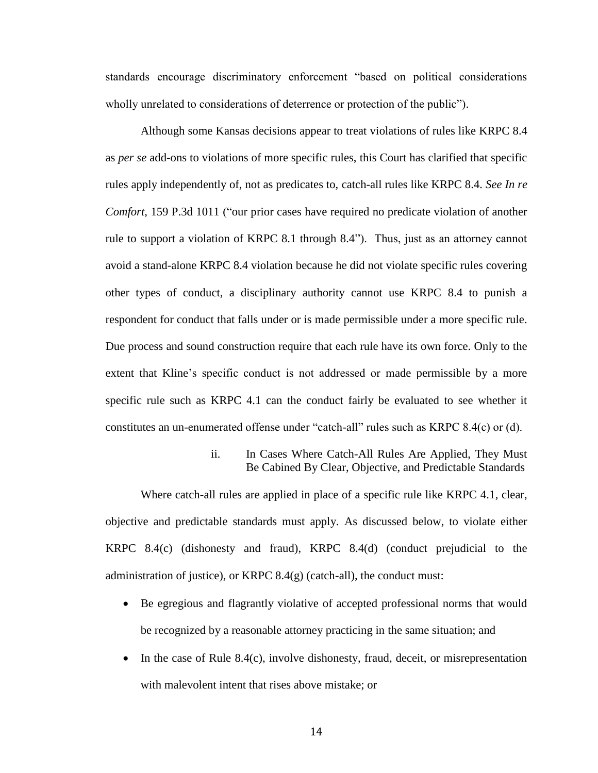standards encourage discriminatory enforcement "based on political considerations wholly unrelated to considerations of deterrence or protection of the public").

Although some Kansas decisions appear to treat violations of rules like KRPC 8.4 as *per se* add-ons to violations of more specific rules, this Court has clarified that specific rules apply independently of, not as predicates to, catch-all rules like KRPC 8.4. *See In re Comfort*, 159 P.3d 1011 ("our prior cases have required no predicate violation of another rule to support a violation of KRPC 8.1 through 8.4"). Thus, just as an attorney cannot avoid a stand-alone KRPC 8.4 violation because he did not violate specific rules covering other types of conduct, a disciplinary authority cannot use KRPC 8.4 to punish a respondent for conduct that falls under or is made permissible under a more specific rule. Due process and sound construction require that each rule have its own force. Only to the extent that Kline's specific conduct is not addressed or made permissible by a more specific rule such as KRPC 4.1 can the conduct fairly be evaluated to see whether it constitutes an un-enumerated offense under "catch-all" rules such as KRPC 8.4(c) or (d).

> ii. In Cases Where Catch-All Rules Are Applied, They Must Be Cabined By Clear, Objective, and Predictable Standards

Where catch-all rules are applied in place of a specific rule like KRPC 4.1, clear, objective and predictable standards must apply. As discussed below, to violate either KRPC 8.4(c) (dishonesty and fraud), KRPC 8.4(d) (conduct prejudicial to the administration of justice), or KRPC  $8.4(g)$  (catch-all), the conduct must:

- Be egregious and flagrantly violative of accepted professional norms that would be recognized by a reasonable attorney practicing in the same situation; and
- $\bullet$  In the case of Rule 8.4(c), involve dishonesty, fraud, deceit, or misrepresentation with malevolent intent that rises above mistake; or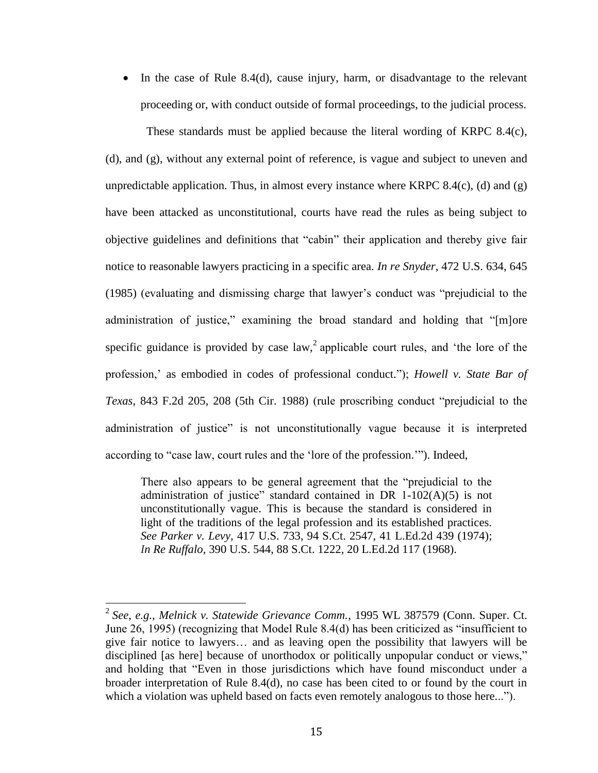• In the case of Rule 8.4(d), cause injury, harm, or disadvantage to the relevant proceeding or, with conduct outside of formal proceedings, to the judicial process.

 These standards must be applied because the literal wording of KRPC 8.4(c), (d), and (g), without any external point of reference, is vague and subject to uneven and unpredictable application. Thus, in almost every instance where KRPC 8.4(c), (d) and  $(g)$ have been attacked as unconstitutional, courts have read the rules as being subject to objective guidelines and definitions that "cabin" their application and thereby give fair notice to reasonable lawyers practicing in a specific area. *In re Snyder*, 472 U.S. 634, 645 (1985) (evaluating and dismissing charge that lawyer's conduct was "prejudicial to the administration of justice," examining the broad standard and holding that "[m]ore specific guidance is provided by case  $law$ , applicable court rules, and 'the lore of the profession,' as embodied in codes of professional conduct."); *Howell v. State Bar of Texas*, 843 F.2d 205, 208 (5th Cir. 1988) (rule proscribing conduct "prejudicial to the administration of justice" is not unconstitutionally vague because it is interpreted according to "case law, court rules and the 'lore of the profession.'"). Indeed,

There also appears to be general agreement that the "prejudicial to the administration of justice" standard contained in DR  $1-102(A)(5)$  is not unconstitutionally vague. This is because the standard is considered in light of the traditions of the legal profession and its established practices. *See Parker v. Levy,* 417 U.S. 733, 94 S.Ct. 2547, 41 L.Ed.2d 439 (1974); *In Re Ruffalo,* 390 U.S. 544, 88 S.Ct. 1222, 20 L.Ed.2d 117 (1968).

 2 *See, e.g., Melnick v. Statewide Grievance Comm.*, 1995 WL 387579 (Conn. Super. Ct. June 26, 1995) (recognizing that Model Rule 8.4(d) has been criticized as "insufficient to give fair notice to lawyers… and as leaving open the possibility that lawyers will be disciplined [as here] because of unorthodox or politically unpopular conduct or views," and holding that "Even in those jurisdictions which have found misconduct under a broader interpretation of Rule 8.4(d), no case has been cited to or found by the court in which a violation was upheld based on facts even remotely analogous to those here...").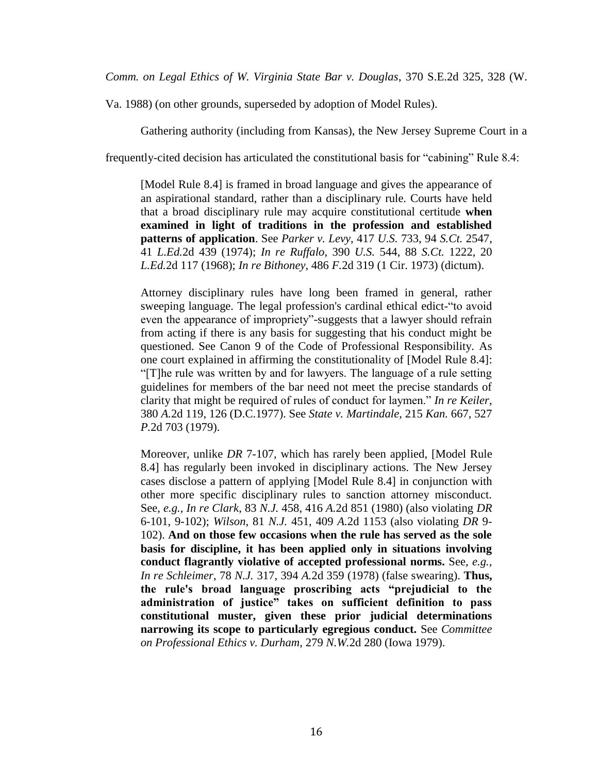*Comm. on Legal Ethics of W. Virginia State Bar v. Douglas*, 370 S.E.2d 325, 328 (W.

Va. 1988) (on other grounds, superseded by adoption of Model Rules).

Gathering authority (including from Kansas), the New Jersey Supreme Court in a

frequently-cited decision has articulated the constitutional basis for "cabining" Rule 8.4:

[Model Rule 8.4] is framed in broad language and gives the appearance of an aspirational standard, rather than a disciplinary rule. Courts have held that a broad disciplinary rule may acquire constitutional certitude **when examined in light of traditions in the profession and established patterns of application**. See *Parker v. Levy*, 417 *U.S.* 733, 94 *S.Ct.* 2547, 41 *L.Ed.*2d 439 (1974); *In re Ruffalo*, 390 *U.S.* 544, 88 *S.Ct.* 1222, 20 *L.Ed.*2d 117 (1968); *In re Bithoney*, 486 *F.*2d 319 (1 Cir. 1973) (dictum).

Attorney disciplinary rules have long been framed in general, rather sweeping language. The legal profession's cardinal ethical edict-"to avoid even the appearance of impropriety"-suggests that a lawyer should refrain from acting if there is any basis for suggesting that his conduct might be questioned. See Canon 9 of the Code of Professional Responsibility. As one court explained in affirming the constitutionality of [Model Rule 8.4]: "[T]he rule was written by and for lawyers. The language of a rule setting guidelines for members of the bar need not meet the precise standards of clarity that might be required of rules of conduct for laymen." *In re Keiler*, 380 *A.*2d 119, 126 (D.C.1977). See *State v. Martindale*, 215 *Kan.* 667, 527 *P.*2d 703 (1979).

Moreover, unlike *DR* 7-107, which has rarely been applied, [Model Rule 8.4] has regularly been invoked in disciplinary actions. The New Jersey cases disclose a pattern of applying [Model Rule 8.4] in conjunction with other more specific disciplinary rules to sanction attorney misconduct. See, *e.g., In re Clark*, 83 *N.J.* 458, 416 *A.*2d 851 (1980) (also violating *DR* 6-101, 9-102); *Wilson*, 81 *N.J.* 451, 409 *A.*2d 1153 (also violating *DR* 9- 102). **And on those few occasions when the rule has served as the sole basis for discipline, it has been applied only in situations involving conduct flagrantly violative of accepted professional norms.** See, *e.g., In re Schleimer*, 78 *N.J.* 317, 394 *A.*2d 359 (1978) (false swearing). **Thus, the rule's broad language proscribing acts "prejudicial to the administration of justice" takes on sufficient definition to pass constitutional muster, given these prior judicial determinations narrowing its scope to particularly egregious conduct.** See *Committee on Professional Ethics v. Durham*, 279 *N.W.*2d 280 (Iowa 1979).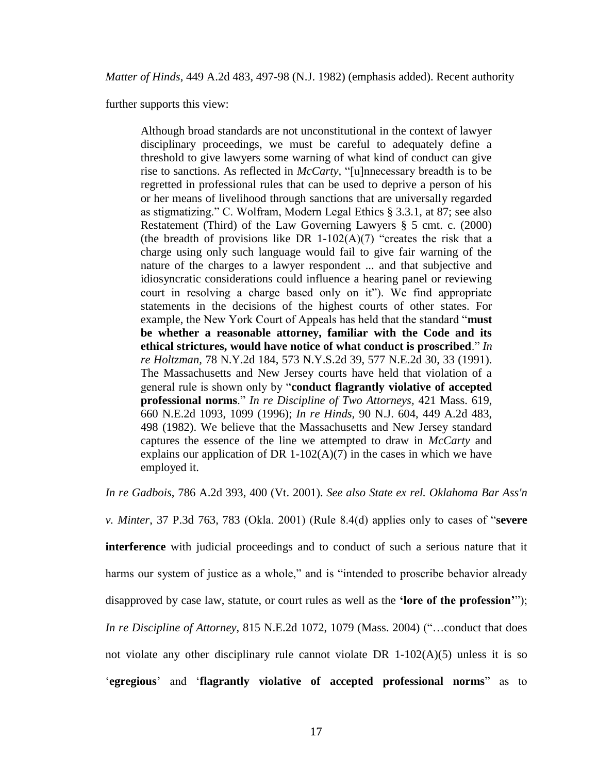*Matter of Hinds*, 449 A.2d 483, 497-98 (N.J. 1982) (emphasis added). Recent authority

further supports this view:

Although broad standards are not unconstitutional in the context of lawyer disciplinary proceedings, we must be careful to adequately define a threshold to give lawyers some warning of what kind of conduct can give rise to sanctions. As reflected in *McCarty,* "[u]nnecessary breadth is to be regretted in professional rules that can be used to deprive a person of his or her means of livelihood through sanctions that are universally regarded as stigmatizing." C. Wolfram, Modern Legal Ethics § 3.3.1, at 87; see also Restatement (Third) of the Law Governing Lawyers § 5 cmt. c. (2000) (the breadth of provisions like DR 1-102(A)(7) "creates the risk that a charge using only such language would fail to give fair warning of the nature of the charges to a lawyer respondent ... and that subjective and idiosyncratic considerations could influence a hearing panel or reviewing court in resolving a charge based only on it"). We find appropriate statements in the decisions of the highest courts of other states. For example, the New York Court of Appeals has held that the standard "**must be whether a reasonable attorney, familiar with the Code and its ethical strictures, would have notice of what conduct is proscribed**." *In re Holtzman,* 78 N.Y.2d 184, 573 N.Y.S.2d 39, 577 N.E.2d 30, 33 (1991). The Massachusetts and New Jersey courts have held that violation of a general rule is shown only by "**conduct flagrantly violative of accepted professional norms**." *In re Discipline of Two Attorneys,* 421 Mass. 619, 660 N.E.2d 1093, 1099 (1996); *In re Hinds,* 90 N.J. 604, 449 A.2d 483, 498 (1982). We believe that the Massachusetts and New Jersey standard captures the essence of the line we attempted to draw in *McCarty* and explains our application of DR 1-102(A)(7) in the cases in which we have employed it.

*In re Gadbois*, 786 A.2d 393, 400 (Vt. 2001). *See also State ex rel. Oklahoma Bar Ass'n* 

*v. Minter*, 37 P.3d 763, 783 (Okla. 2001) (Rule 8.4(d) applies only to cases of "**severe interference** with judicial proceedings and to conduct of such a serious nature that it harms our system of justice as a whole," and is "intended to proscribe behavior already disapproved by case law, statute, or court rules as well as the **'lore of the profession'**"); *In re Discipline of Attorney*, 815 N.E.2d 1072, 1079 (Mass. 2004) ("…conduct that does not violate any other disciplinary rule cannot violate DR 1-102(A)(5) unless it is so '**egregious**' and '**flagrantly violative of accepted professional norms**" as to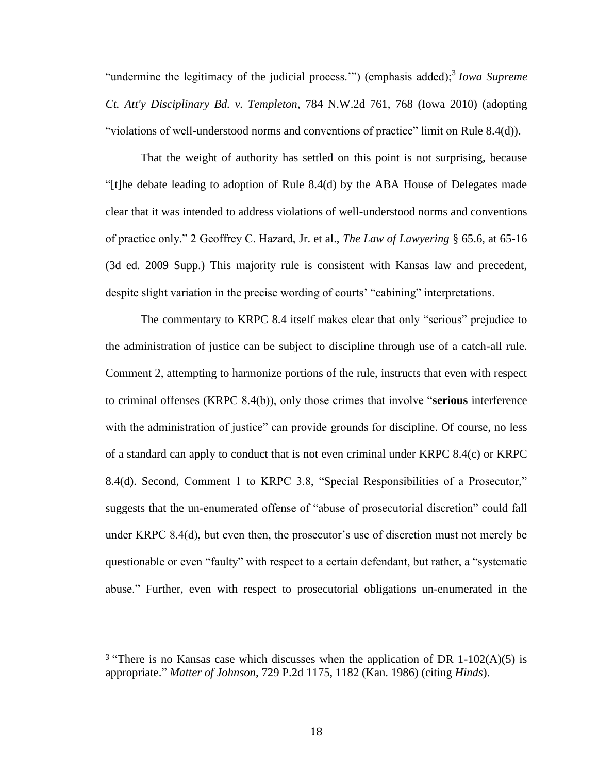"undermine the legitimacy of the judicial process."") (emphasis added);<sup>3</sup> *Iowa Supreme Ct. Att'y Disciplinary Bd. v. Templeton*, 784 N.W.2d 761, 768 (Iowa 2010) (adopting "violations of well-understood norms and conventions of practice" limit on Rule 8.4(d)).

That the weight of authority has settled on this point is not surprising, because "[t]he debate leading to adoption of Rule 8.4(d) by the ABA House of Delegates made clear that it was intended to address violations of well-understood norms and conventions of practice only." 2 Geoffrey C. Hazard, Jr. et al., *The Law of Lawyering* § 65.6, at 65-16 (3d ed. 2009 Supp.) This majority rule is consistent with Kansas law and precedent, despite slight variation in the precise wording of courts' "cabining" interpretations.

The commentary to KRPC 8.4 itself makes clear that only "serious" prejudice to the administration of justice can be subject to discipline through use of a catch-all rule. Comment 2, attempting to harmonize portions of the rule, instructs that even with respect to criminal offenses (KRPC 8.4(b)), only those crimes that involve "**serious** interference with the administration of justice" can provide grounds for discipline. Of course, no less of a standard can apply to conduct that is not even criminal under KRPC 8.4(c) or KRPC 8.4(d). Second, Comment 1 to KRPC 3.8, "Special Responsibilities of a Prosecutor," suggests that the un-enumerated offense of "abuse of prosecutorial discretion" could fall under KRPC 8.4(d), but even then, the prosecutor's use of discretion must not merely be questionable or even "faulty" with respect to a certain defendant, but rather, a "systematic abuse." Further, even with respect to prosecutorial obligations un-enumerated in the

 $\overline{a}$ 

<sup>&</sup>lt;sup>3</sup> "There is no Kansas case which discusses when the application of DR 1-102(A)(5) is appropriate." *Matter of Johnson*, 729 P.2d 1175, 1182 (Kan. 1986) (citing *Hinds*).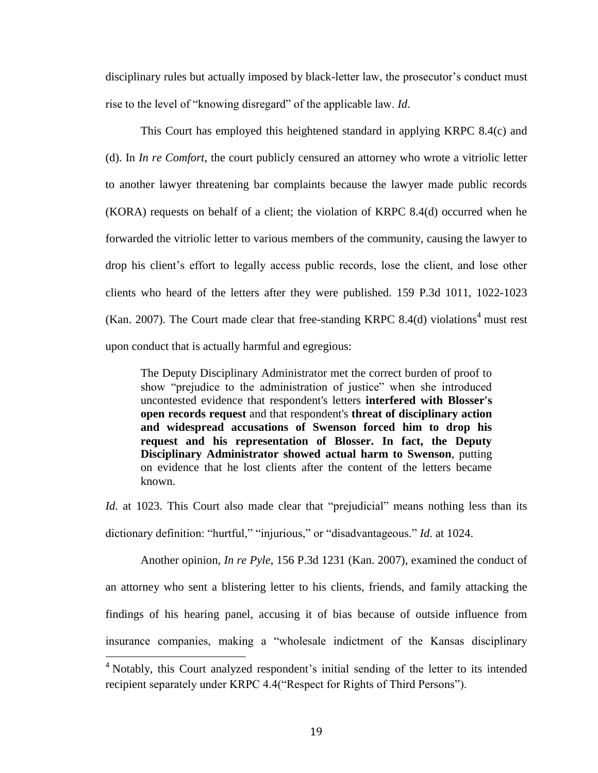disciplinary rules but actually imposed by black-letter law, the prosecutor's conduct must rise to the level of "knowing disregard" of the applicable law. *Id*.

This Court has employed this heightened standard in applying KRPC 8.4(c) and (d). In *In re Comfort*, the court publicly censured an attorney who wrote a vitriolic letter to another lawyer threatening bar complaints because the lawyer made public records (KORA) requests on behalf of a client; the violation of KRPC 8.4(d) occurred when he forwarded the vitriolic letter to various members of the community, causing the lawyer to drop his client's effort to legally access public records, lose the client, and lose other clients who heard of the letters after they were published. 159 P.3d 1011, 1022-1023 (Kan. 2007). The Court made clear that free-standing KRPC 8.4(d) violations<sup>4</sup> must rest upon conduct that is actually harmful and egregious:

The Deputy Disciplinary Administrator met the correct burden of proof to show "prejudice to the administration of justice" when she introduced uncontested evidence that respondent's letters **interfered with Blosser's open records request** and that respondent's **threat of disciplinary action and widespread accusations of Swenson forced him to drop his request and his representation of Blosser. In fact, the Deputy Disciplinary Administrator showed actual harm to Swenson**, putting on evidence that he lost clients after the content of the letters became known.

*Id.* at 1023. This Court also made clear that "prejudicial" means nothing less than its dictionary definition: "hurtful," "injurious," or "disadvantageous." *Id*. at 1024.

Another opinion, *In re Pyle*, 156 P.3d 1231 (Kan. 2007), examined the conduct of an attorney who sent a blistering letter to his clients, friends, and family attacking the findings of his hearing panel, accusing it of bias because of outside influence from insurance companies, making a "wholesale indictment of the Kansas disciplinary

l

<sup>&</sup>lt;sup>4</sup> Notably, this Court analyzed respondent's initial sending of the letter to its intended recipient separately under KRPC 4.4("Respect for Rights of Third Persons").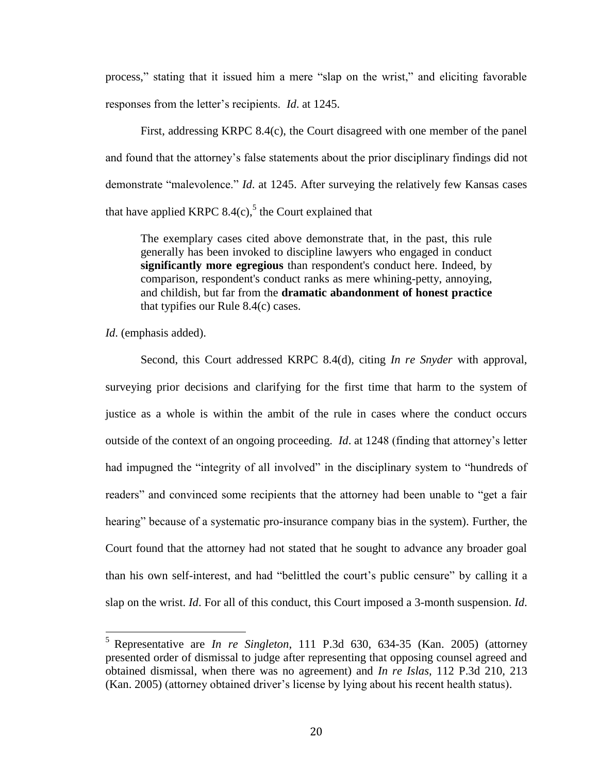process," stating that it issued him a mere "slap on the wrist," and eliciting favorable responses from the letter's recipients. *Id*. at 1245.

First, addressing KRPC 8.4(c), the Court disagreed with one member of the panel and found that the attorney's false statements about the prior disciplinary findings did not demonstrate "malevolence." *Id*. at 1245. After surveying the relatively few Kansas cases that have applied KRPC  $8.4(c)$ , the Court explained that

The exemplary cases cited above demonstrate that, in the past, this rule generally has been invoked to discipline lawyers who engaged in conduct **significantly more egregious** than respondent's conduct here. Indeed, by comparison, respondent's conduct ranks as mere whining-petty, annoying, and childish, but far from the **dramatic abandonment of honest practice** that typifies our Rule 8.4(c) cases.

*Id*. (emphasis added).

 $\overline{a}$ 

Second, this Court addressed KRPC 8.4(d), citing *In re Snyder* with approval, surveying prior decisions and clarifying for the first time that harm to the system of justice as a whole is within the ambit of the rule in cases where the conduct occurs outside of the context of an ongoing proceeding. *Id*. at 1248 (finding that attorney's letter had impugned the "integrity of all involved" in the disciplinary system to "hundreds of readers" and convinced some recipients that the attorney had been unable to "get a fair hearing" because of a systematic pro-insurance company bias in the system). Further, the Court found that the attorney had not stated that he sought to advance any broader goal than his own self-interest, and had "belittled the court's public censure" by calling it a slap on the wrist. *Id*. For all of this conduct, this Court imposed a 3-month suspension. *Id*.

<sup>5</sup> Representative are *In re Singleton*, 111 P.3d 630, 634-35 (Kan. 2005) (attorney presented order of dismissal to judge after representing that opposing counsel agreed and obtained dismissal, when there was no agreement) and *In re Islas*, 112 P.3d 210, 213 (Kan. 2005) (attorney obtained driver's license by lying about his recent health status).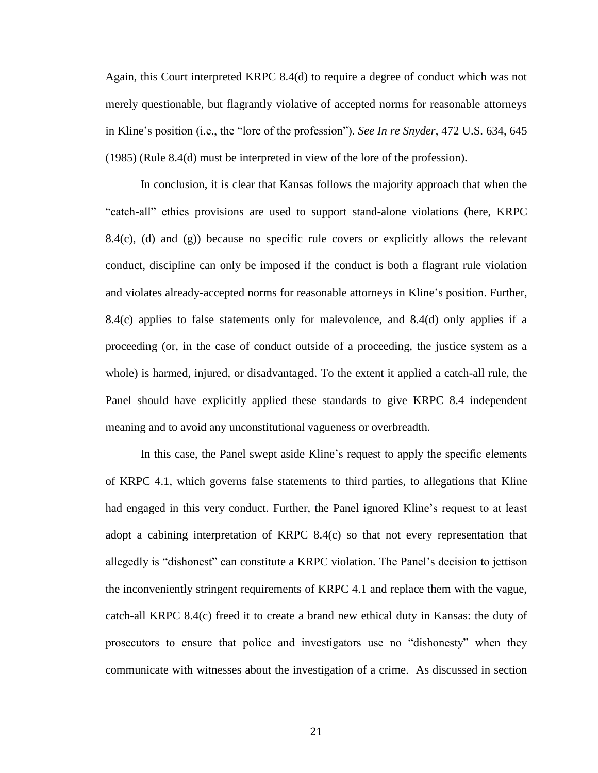Again, this Court interpreted KRPC 8.4(d) to require a degree of conduct which was not merely questionable, but flagrantly violative of accepted norms for reasonable attorneys in Kline's position (i.e., the "lore of the profession"). *See In re Snyder*, 472 U.S. 634, 645 (1985) (Rule 8.4(d) must be interpreted in view of the lore of the profession).

In conclusion, it is clear that Kansas follows the majority approach that when the "catch-all" ethics provisions are used to support stand-alone violations (here, KRPC  $8.4(c)$ , (d) and (g)) because no specific rule covers or explicitly allows the relevant conduct, discipline can only be imposed if the conduct is both a flagrant rule violation and violates already-accepted norms for reasonable attorneys in Kline's position. Further, 8.4(c) applies to false statements only for malevolence, and 8.4(d) only applies if a proceeding (or, in the case of conduct outside of a proceeding, the justice system as a whole) is harmed, injured, or disadvantaged. To the extent it applied a catch-all rule, the Panel should have explicitly applied these standards to give KRPC 8.4 independent meaning and to avoid any unconstitutional vagueness or overbreadth.

In this case, the Panel swept aside Kline's request to apply the specific elements of KRPC 4.1, which governs false statements to third parties, to allegations that Kline had engaged in this very conduct. Further, the Panel ignored Kline's request to at least adopt a cabining interpretation of KRPC 8.4(c) so that not every representation that allegedly is "dishonest" can constitute a KRPC violation. The Panel's decision to jettison the inconveniently stringent requirements of KRPC 4.1 and replace them with the vague, catch-all KRPC 8.4(c) freed it to create a brand new ethical duty in Kansas: the duty of prosecutors to ensure that police and investigators use no "dishonesty" when they communicate with witnesses about the investigation of a crime. As discussed in section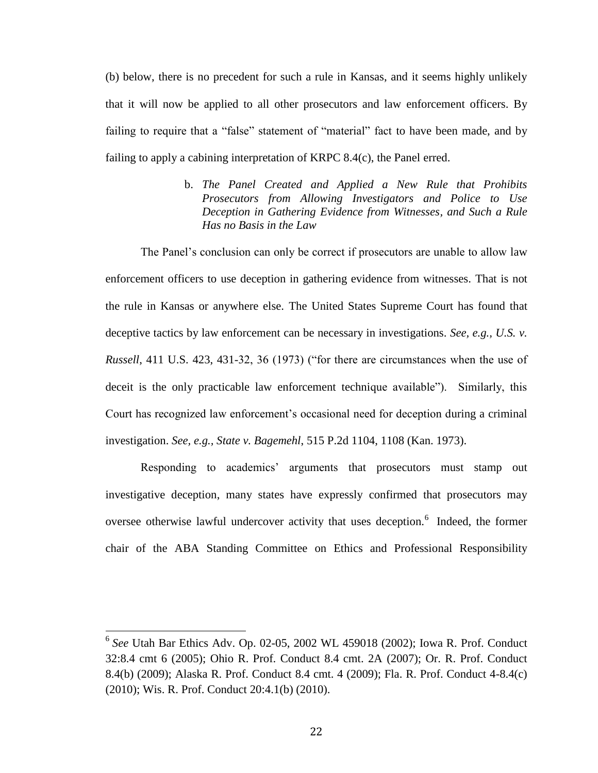(b) below, there is no precedent for such a rule in Kansas, and it seems highly unlikely that it will now be applied to all other prosecutors and law enforcement officers. By failing to require that a "false" statement of "material" fact to have been made, and by failing to apply a cabining interpretation of KRPC 8.4(c), the Panel erred.

> b. *The Panel Created and Applied a New Rule that Prohibits Prosecutors from Allowing Investigators and Police to Use Deception in Gathering Evidence from Witnesses, and Such a Rule Has no Basis in the Law*

The Panel's conclusion can only be correct if prosecutors are unable to allow law enforcement officers to use deception in gathering evidence from witnesses. That is not the rule in Kansas or anywhere else. The United States Supreme Court has found that deceptive tactics by law enforcement can be necessary in investigations. *See, e.g., U.S. v. Russell*, 411 U.S. 423, 431-32, 36 (1973) ("for there are circumstances when the use of deceit is the only practicable law enforcement technique available"). Similarly, this Court has recognized law enforcement's occasional need for deception during a criminal investigation. *See, e.g., State v. Bagemehl*, 515 P.2d 1104, 1108 (Kan. 1973).

Responding to academics' arguments that prosecutors must stamp out investigative deception, many states have expressly confirmed that prosecutors may oversee otherwise lawful undercover activity that uses deception.<sup>6</sup> Indeed, the former chair of the ABA Standing Committee on Ethics and Professional Responsibility

 6 *See* Utah Bar Ethics Adv. Op. 02-05, 2002 WL 459018 (2002); Iowa R. Prof. Conduct 32:8.4 cmt 6 (2005); Ohio R. Prof. Conduct 8.4 cmt. 2A (2007); Or. R. Prof. Conduct 8.4(b) (2009); Alaska R. Prof. Conduct 8.4 cmt. 4 (2009); Fla. R. Prof. Conduct 4-8.4(c) (2010); Wis. R. Prof. Conduct 20:4.1(b) (2010).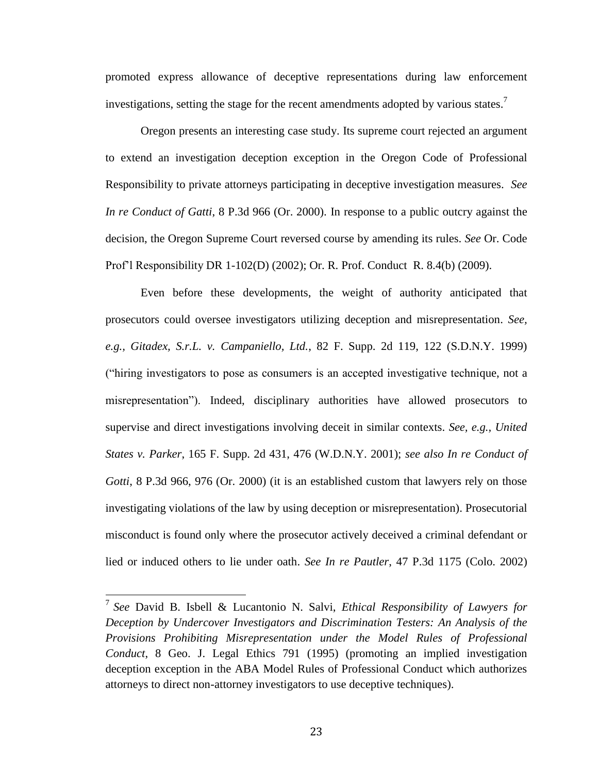promoted express allowance of deceptive representations during law enforcement investigations, setting the stage for the recent amendments adopted by various states.<sup>7</sup>

Oregon presents an interesting case study. Its supreme court rejected an argument to extend an investigation deception exception in the Oregon Code of Professional Responsibility to private attorneys participating in deceptive investigation measures. *See In re Conduct of Gatti*, 8 P.3d 966 (Or. 2000). In response to a public outcry against the decision, the Oregon Supreme Court reversed course by amending its rules. *See* Or. Code Prof'l Responsibility DR 1-102(D) (2002); Or. R. Prof. Conduct R. 8.4(b) (2009).

Even before these developments, the weight of authority anticipated that prosecutors could oversee investigators utilizing deception and misrepresentation. *See, e.g., Gitadex, S.r.L. v. Campaniello, Ltd.*, 82 F. Supp. 2d 119, 122 (S.D.N.Y. 1999) ("hiring investigators to pose as consumers is an accepted investigative technique, not a misrepresentation"). Indeed, disciplinary authorities have allowed prosecutors to supervise and direct investigations involving deceit in similar contexts. *See, e.g., United States v. Parker*, 165 F. Supp. 2d 431, 476 (W.D.N.Y. 2001); *see also In re Conduct of Gotti*, 8 P.3d 966, 976 (Or. 2000) (it is an established custom that lawyers rely on those investigating violations of the law by using deception or misrepresentation). Prosecutorial misconduct is found only where the prosecutor actively deceived a criminal defendant or lied or induced others to lie under oath. *See In re Pautler*, 47 P.3d 1175 (Colo. 2002)

 7 *See* David B. Isbell & Lucantonio N. Salvi, *Ethical Responsibility of Lawyers for Deception by Undercover Investigators and Discrimination Testers: An Analysis of the Provisions Prohibiting Misrepresentation under the Model Rules of Professional Conduct*, 8 Geo. J. Legal Ethics 791 (1995) (promoting an implied investigation deception exception in the ABA Model Rules of Professional Conduct which authorizes attorneys to direct non-attorney investigators to use deceptive techniques).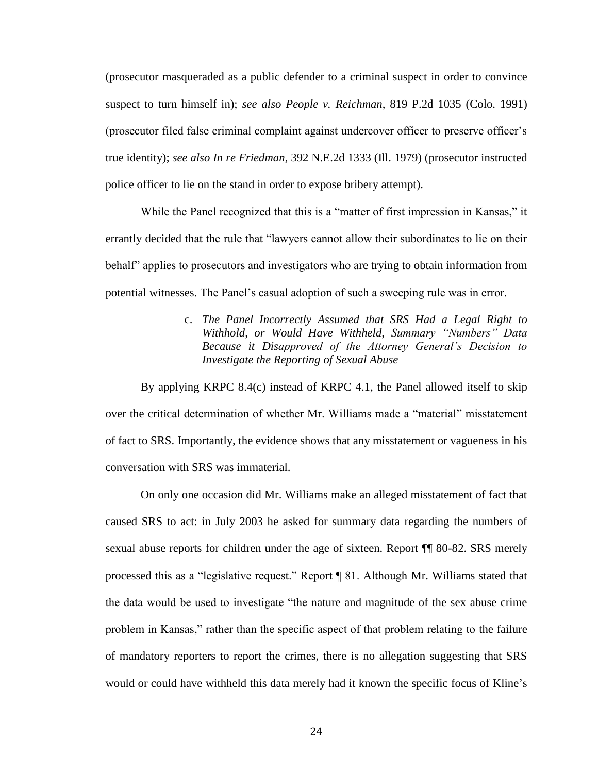(prosecutor masqueraded as a public defender to a criminal suspect in order to convince suspect to turn himself in); *see also People v. Reichman*, 819 P.2d 1035 (Colo. 1991) (prosecutor filed false criminal complaint against undercover officer to preserve officer's true identity); *see also In re Friedman*, 392 N.E.2d 1333 (Ill. 1979) (prosecutor instructed police officer to lie on the stand in order to expose bribery attempt).

While the Panel recognized that this is a "matter of first impression in Kansas," it errantly decided that the rule that "lawyers cannot allow their subordinates to lie on their behalf" applies to prosecutors and investigators who are trying to obtain information from potential witnesses. The Panel's casual adoption of such a sweeping rule was in error.

> c. *The Panel Incorrectly Assumed that SRS Had a Legal Right to Withhold, or Would Have Withheld, Summary "Numbers" Data Because it Disapproved of the Attorney General's Decision to Investigate the Reporting of Sexual Abuse*

By applying KRPC 8.4(c) instead of KRPC 4.1, the Panel allowed itself to skip over the critical determination of whether Mr. Williams made a "material" misstatement of fact to SRS. Importantly, the evidence shows that any misstatement or vagueness in his conversation with SRS was immaterial.

On only one occasion did Mr. Williams make an alleged misstatement of fact that caused SRS to act: in July 2003 he asked for summary data regarding the numbers of sexual abuse reports for children under the age of sixteen. Report ¶¶ 80-82. SRS merely processed this as a "legislative request." Report ¶ 81. Although Mr. Williams stated that the data would be used to investigate "the nature and magnitude of the sex abuse crime problem in Kansas," rather than the specific aspect of that problem relating to the failure of mandatory reporters to report the crimes, there is no allegation suggesting that SRS would or could have withheld this data merely had it known the specific focus of Kline's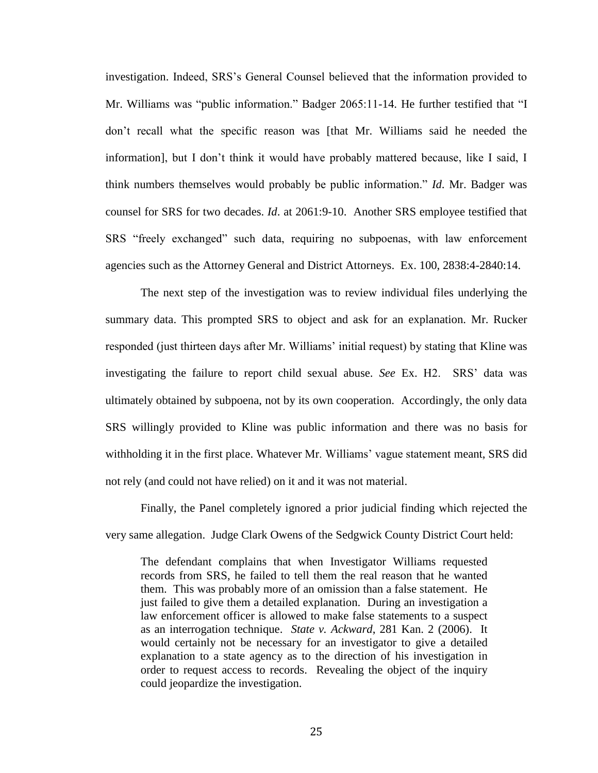investigation. Indeed, SRS's General Counsel believed that the information provided to Mr. Williams was "public information." Badger 2065:11-14. He further testified that "I don't recall what the specific reason was [that Mr. Williams said he needed the information], but I don't think it would have probably mattered because, like I said, I think numbers themselves would probably be public information." *Id*. Mr. Badger was counsel for SRS for two decades. *Id*. at 2061:9-10. Another SRS employee testified that SRS "freely exchanged" such data, requiring no subpoenas, with law enforcement agencies such as the Attorney General and District Attorneys. Ex. 100, 2838:4-2840:14.

The next step of the investigation was to review individual files underlying the summary data. This prompted SRS to object and ask for an explanation. Mr. Rucker responded (just thirteen days after Mr. Williams' initial request) by stating that Kline was investigating the failure to report child sexual abuse. *See* Ex. H2. SRS' data was ultimately obtained by subpoena, not by its own cooperation. Accordingly, the only data SRS willingly provided to Kline was public information and there was no basis for withholding it in the first place. Whatever Mr. Williams' vague statement meant, SRS did not rely (and could not have relied) on it and it was not material.

Finally, the Panel completely ignored a prior judicial finding which rejected the very same allegation. Judge Clark Owens of the Sedgwick County District Court held:

The defendant complains that when Investigator Williams requested records from SRS, he failed to tell them the real reason that he wanted them. This was probably more of an omission than a false statement. He just failed to give them a detailed explanation. During an investigation a law enforcement officer is allowed to make false statements to a suspect as an interrogation technique. *State v. Ackward*, 281 Kan. 2 (2006). It would certainly not be necessary for an investigator to give a detailed explanation to a state agency as to the direction of his investigation in order to request access to records. Revealing the object of the inquiry could jeopardize the investigation.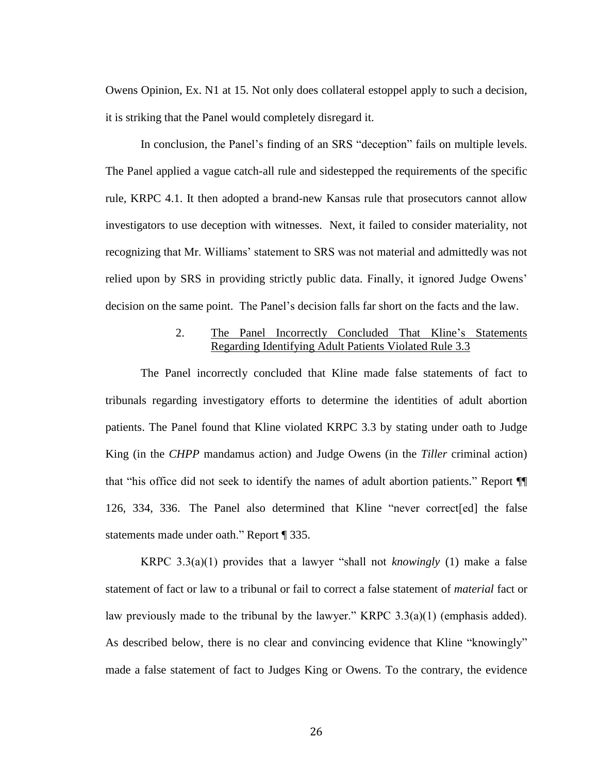Owens Opinion, Ex. N1 at 15. Not only does collateral estoppel apply to such a decision, it is striking that the Panel would completely disregard it.

In conclusion, the Panel's finding of an SRS "deception" fails on multiple levels. The Panel applied a vague catch-all rule and sidestepped the requirements of the specific rule, KRPC 4.1. It then adopted a brand-new Kansas rule that prosecutors cannot allow investigators to use deception with witnesses. Next, it failed to consider materiality, not recognizing that Mr. Williams' statement to SRS was not material and admittedly was not relied upon by SRS in providing strictly public data. Finally, it ignored Judge Owens' decision on the same point. The Panel's decision falls far short on the facts and the law.

## 2. The Panel Incorrectly Concluded That Kline's Statements Regarding Identifying Adult Patients Violated Rule 3.3

The Panel incorrectly concluded that Kline made false statements of fact to tribunals regarding investigatory efforts to determine the identities of adult abortion patients. The Panel found that Kline violated KRPC 3.3 by stating under oath to Judge King (in the *CHPP* mandamus action) and Judge Owens (in the *Tiller* criminal action) that "his office did not seek to identify the names of adult abortion patients." Report ¶¶ 126, 334, 336. The Panel also determined that Kline "never correct[ed] the false statements made under oath." Report ¶ 335.

KRPC 3.3(a)(1) provides that a lawyer "shall not *knowingly* (1) make a false statement of fact or law to a tribunal or fail to correct a false statement of *material* fact or law previously made to the tribunal by the lawyer." KRPC 3.3(a)(1) (emphasis added). As described below, there is no clear and convincing evidence that Kline "knowingly" made a false statement of fact to Judges King or Owens. To the contrary, the evidence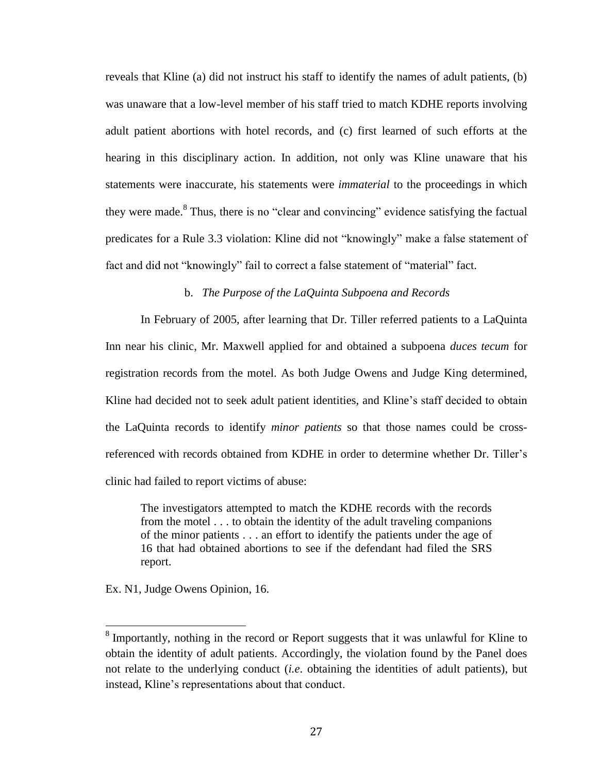reveals that Kline (a) did not instruct his staff to identify the names of adult patients, (b) was unaware that a low-level member of his staff tried to match KDHE reports involving adult patient abortions with hotel records, and (c) first learned of such efforts at the hearing in this disciplinary action. In addition, not only was Kline unaware that his statements were inaccurate, his statements were *immaterial* to the proceedings in which they were made.<sup>8</sup> Thus, there is no "clear and convincing" evidence satisfying the factual predicates for a Rule 3.3 violation: Kline did not "knowingly" make a false statement of fact and did not "knowingly" fail to correct a false statement of "material" fact.

### b. *The Purpose of the LaQuinta Subpoena and Records*

In February of 2005, after learning that Dr. Tiller referred patients to a LaQuinta Inn near his clinic, Mr. Maxwell applied for and obtained a subpoena *duces tecum* for registration records from the motel. As both Judge Owens and Judge King determined, Kline had decided not to seek adult patient identities, and Kline's staff decided to obtain the LaQuinta records to identify *minor patients* so that those names could be crossreferenced with records obtained from KDHE in order to determine whether Dr. Tiller's clinic had failed to report victims of abuse:

The investigators attempted to match the KDHE records with the records from the motel . . . to obtain the identity of the adult traveling companions of the minor patients . . . an effort to identify the patients under the age of 16 that had obtained abortions to see if the defendant had filed the SRS report.

Ex. N1, Judge Owens Opinion, 16.

 $\overline{a}$ 

<sup>&</sup>lt;sup>8</sup> Importantly, nothing in the record or Report suggests that it was unlawful for Kline to obtain the identity of adult patients. Accordingly, the violation found by the Panel does not relate to the underlying conduct (*i.e*. obtaining the identities of adult patients), but instead, Kline's representations about that conduct.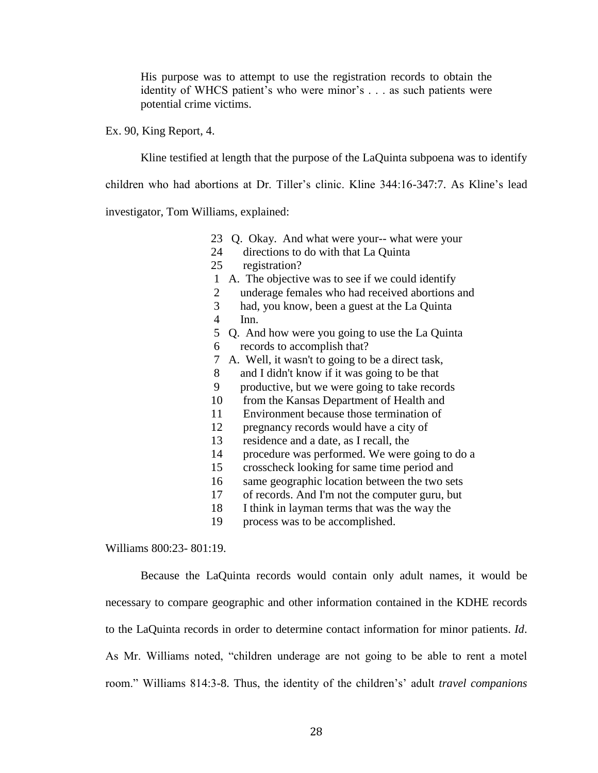His purpose was to attempt to use the registration records to obtain the identity of WHCS patient's who were minor's . . . as such patients were potential crime victims.

Ex. 90, King Report, 4.

Kline testified at length that the purpose of the LaQuinta subpoena was to identify

children who had abortions at Dr. Tiller's clinic. Kline 344:16-347:7. As Kline's lead

investigator, Tom Williams, explained:

- 23 Q. Okay. And what were your-- what were your
- 24 directions to do with that La Quinta
- 25 registration?
- 1 A. The objective was to see if we could identify
- 2 underage females who had received abortions and
- 3 had, you know, been a guest at the La Quinta 4 Inn.
- 5 Q. And how were you going to use the La Quinta
- 6 records to accomplish that?
- 7 A. Well, it wasn't to going to be a direct task,
- 8 and I didn't know if it was going to be that
- 9 productive, but we were going to take records
- 10 from the Kansas Department of Health and
- 11 Environment because those termination of
- 12 pregnancy records would have a city of
- 13 residence and a date, as I recall, the
- 14 procedure was performed. We were going to do a
- 15 crosscheck looking for same time period and
- 16 same geographic location between the two sets
- 17 of records. And I'm not the computer guru, but
- 18 I think in layman terms that was the way the
- 19 process was to be accomplished.

Williams 800:23- 801:19.

Because the LaQuinta records would contain only adult names, it would be necessary to compare geographic and other information contained in the KDHE records to the LaQuinta records in order to determine contact information for minor patients. *Id*. As Mr. Williams noted, "children underage are not going to be able to rent a motel room." Williams 814:3-8. Thus, the identity of the children's' adult *travel companions*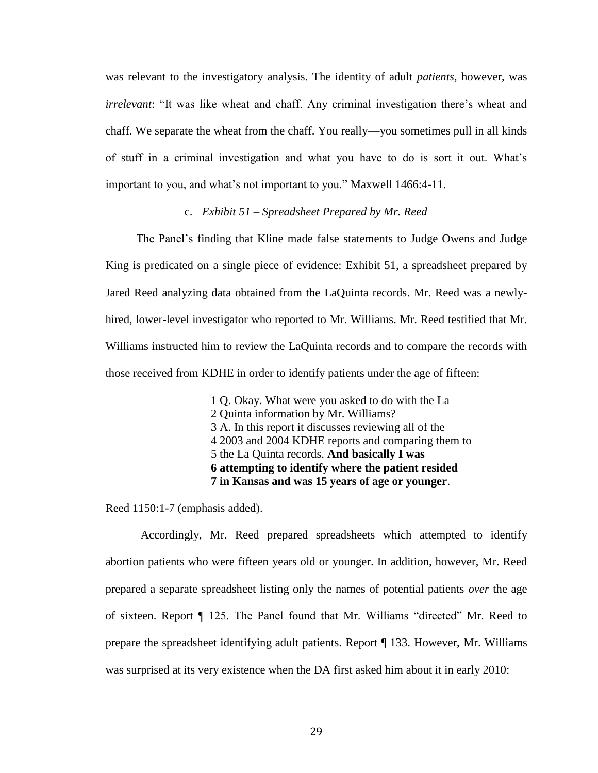was relevant to the investigatory analysis. The identity of adult *patients*, however, was *irrelevant*: "It was like wheat and chaff. Any criminal investigation there's wheat and chaff. We separate the wheat from the chaff. You really—you sometimes pull in all kinds of stuff in a criminal investigation and what you have to do is sort it out. What's important to you, and what's not important to you." Maxwell 1466:4-11.

### c. *Exhibit 51 – Spreadsheet Prepared by Mr. Reed*

The Panel's finding that Kline made false statements to Judge Owens and Judge King is predicated on a single piece of evidence: Exhibit 51, a spreadsheet prepared by Jared Reed analyzing data obtained from the LaQuinta records. Mr. Reed was a newlyhired, lower-level investigator who reported to Mr. Williams. Mr. Reed testified that Mr. Williams instructed him to review the LaQuinta records and to compare the records with those received from KDHE in order to identify patients under the age of fifteen:

> 1 Q. Okay. What were you asked to do with the La 2 Quinta information by Mr. Williams? 3 A. In this report it discusses reviewing all of the 4 2003 and 2004 KDHE reports and comparing them to 5 the La Quinta records. **And basically I was 6 attempting to identify where the patient resided 7 in Kansas and was 15 years of age or younger**.

Reed 1150:1-7 (emphasis added).

Accordingly, Mr. Reed prepared spreadsheets which attempted to identify abortion patients who were fifteen years old or younger. In addition, however, Mr. Reed prepared a separate spreadsheet listing only the names of potential patients *over* the age of sixteen. Report ¶ 125. The Panel found that Mr. Williams "directed" Mr. Reed to prepare the spreadsheet identifying adult patients. Report ¶ 133. However, Mr. Williams was surprised at its very existence when the DA first asked him about it in early 2010: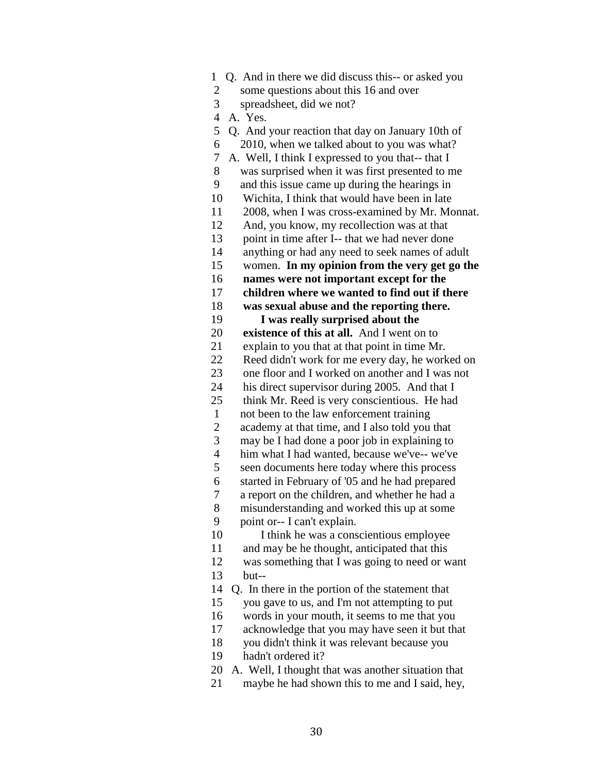- 1 Q. And in there we did discuss this-- or asked you
- 2 some questions about this 16 and over
- 3 spreadsheet, did we not?
- 4 A. Yes.
- 5 Q. And your reaction that day on January 10th of
- 6 2010, when we talked about to you was what?
- 7 A. Well, I think I expressed to you that-- that I
- 8 was surprised when it was first presented to me
- 9 and this issue came up during the hearings in
- 10 Wichita, I think that would have been in late
- 11 2008, when I was cross-examined by Mr. Monnat.
- 12 And, you know, my recollection was at that
- 13 point in time after I-- that we had never done
- 14 anything or had any need to seek names of adult
- 15 women. **In my opinion from the very get go the**
- 16 **names were not important except for the**
- 17 **children where we wanted to find out if there**
- 18 **was sexual abuse and the reporting there.** 19 **I was really surprised about the**
- 20 **existence of this at all.** And I went on to
- 21 explain to you that at that point in time Mr.
- 22 Reed didn't work for me every day, he worked on
- 23 one floor and I worked on another and I was not
- 24 his direct supervisor during 2005. And that I
- 25 think Mr. Reed is very conscientious. He had
- 1 not been to the law enforcement training
- 2 academy at that time, and I also told you that
- 3 may be I had done a poor job in explaining to
- 4 him what I had wanted, because we've-- we've
- 5 seen documents here today where this process
- 6 started in February of '05 and he had prepared
- 7 a report on the children, and whether he had a
- 8 misunderstanding and worked this up at some
- 9 point or-- I can't explain.
- 10 I think he was a conscientious employee
- 11 and may be he thought, anticipated that this
- 12 was something that I was going to need or want 13 but--
- 14 Q. In there in the portion of the statement that
- 15 you gave to us, and I'm not attempting to put
- 16 words in your mouth, it seems to me that you
- 17 acknowledge that you may have seen it but that
- 18 you didn't think it was relevant because you
- 19 hadn't ordered it?
- 20 A. Well, I thought that was another situation that
- 21 maybe he had shown this to me and I said, hey,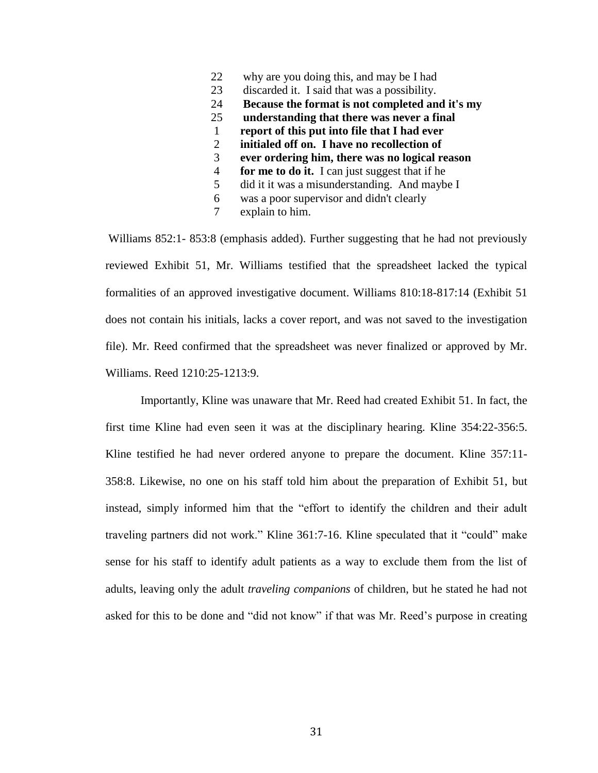- 22 why are you doing this, and may be I had
- 23 discarded it. I said that was a possibility.
- 24 **Because the format is not completed and it's my**
- 25 **understanding that there was never a final**
- 1 **report of this put into file that I had ever**
- 2 **initialed off on. I have no recollection of**
- 3 **ever ordering him, there was no logical reason**
- 4 **for me to do it.** I can just suggest that if he
- 5 did it it was a misunderstanding. And maybe I
- 6 was a poor supervisor and didn't clearly
- 7 explain to him.

Williams 852:1- 853:8 (emphasis added). Further suggesting that he had not previously reviewed Exhibit 51, Mr. Williams testified that the spreadsheet lacked the typical formalities of an approved investigative document. Williams 810:18-817:14 (Exhibit 51 does not contain his initials, lacks a cover report, and was not saved to the investigation file). Mr. Reed confirmed that the spreadsheet was never finalized or approved by Mr. Williams. Reed 1210:25-1213:9.

Importantly, Kline was unaware that Mr. Reed had created Exhibit 51. In fact, the first time Kline had even seen it was at the disciplinary hearing. Kline 354:22-356:5. Kline testified he had never ordered anyone to prepare the document. Kline 357:11- 358:8. Likewise, no one on his staff told him about the preparation of Exhibit 51, but instead, simply informed him that the "effort to identify the children and their adult traveling partners did not work." Kline 361:7-16. Kline speculated that it "could" make sense for his staff to identify adult patients as a way to exclude them from the list of adults, leaving only the adult *traveling companions* of children, but he stated he had not asked for this to be done and "did not know" if that was Mr. Reed's purpose in creating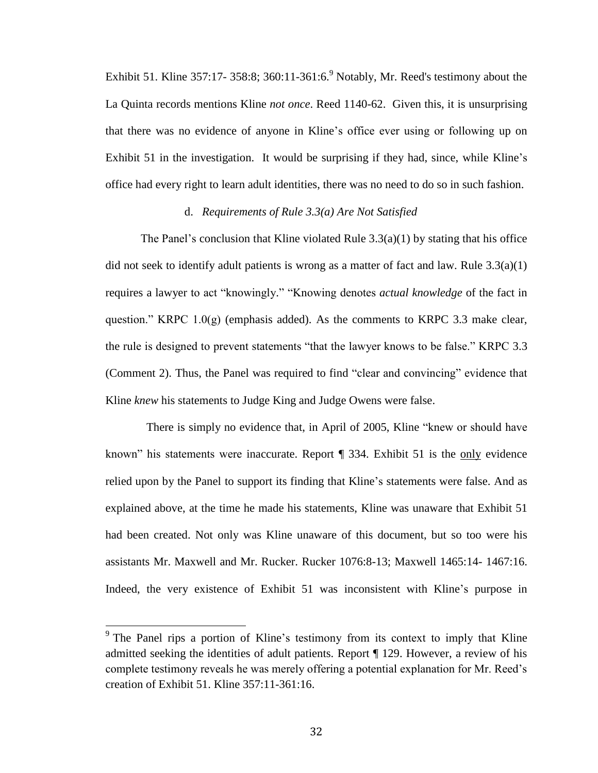Exhibit 51. Kline 357:17- 358:8; 360:11-361:6.<sup>9</sup> Notably, Mr. Reed's testimony about the La Quinta records mentions Kline *not once*. Reed 1140-62. Given this, it is unsurprising that there was no evidence of anyone in Kline's office ever using or following up on Exhibit 51 in the investigation. It would be surprising if they had, since, while Kline's office had every right to learn adult identities, there was no need to do so in such fashion.

### d. *Requirements of Rule 3.3(a) Are Not Satisfied*

The Panel's conclusion that Kline violated Rule  $3.3(a)(1)$  by stating that his office did not seek to identify adult patients is wrong as a matter of fact and law. Rule 3.3(a)(1) requires a lawyer to act "knowingly." "Knowing denotes *actual knowledge* of the fact in question." KRPC  $1.0(g)$  (emphasis added). As the comments to KRPC 3.3 make clear, the rule is designed to prevent statements "that the lawyer knows to be false." KRPC 3.3 (Comment 2). Thus, the Panel was required to find "clear and convincing" evidence that Kline *knew* his statements to Judge King and Judge Owens were false.

There is simply no evidence that, in April of 2005, Kline "knew or should have known" his statements were inaccurate. Report  $\parallel$  334. Exhibit 51 is the only evidence relied upon by the Panel to support its finding that Kline's statements were false. And as explained above, at the time he made his statements, Kline was unaware that Exhibit 51 had been created. Not only was Kline unaware of this document, but so too were his assistants Mr. Maxwell and Mr. Rucker. Rucker 1076:8-13; Maxwell 1465:14- 1467:16. Indeed, the very existence of Exhibit 51 was inconsistent with Kline's purpose in

 $\overline{a}$ 

<sup>&</sup>lt;sup>9</sup> The Panel rips a portion of Kline's testimony from its context to imply that Kline admitted seeking the identities of adult patients. Report ¶ 129. However, a review of his complete testimony reveals he was merely offering a potential explanation for Mr. Reed's creation of Exhibit 51. Kline 357:11-361:16.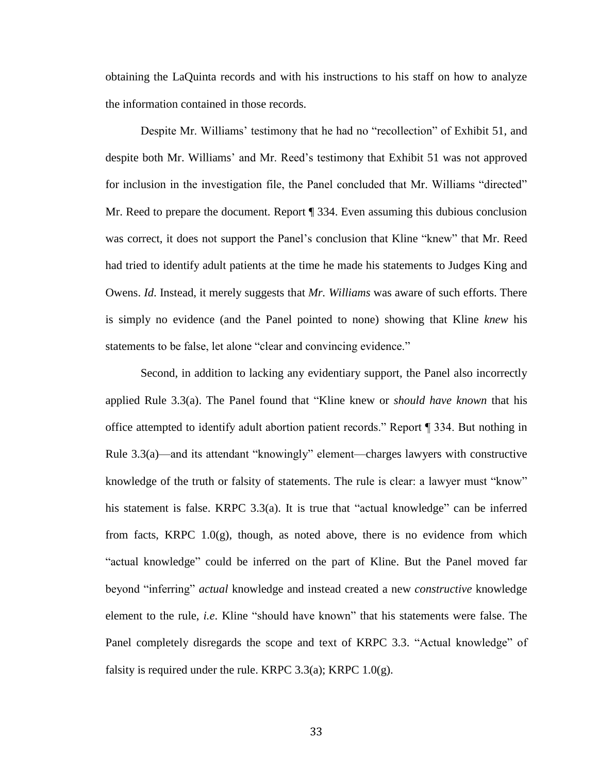obtaining the LaQuinta records and with his instructions to his staff on how to analyze the information contained in those records.

Despite Mr. Williams' testimony that he had no "recollection" of Exhibit 51, and despite both Mr. Williams' and Mr. Reed's testimony that Exhibit 51 was not approved for inclusion in the investigation file, the Panel concluded that Mr. Williams "directed" Mr. Reed to prepare the document. Report ¶ 334. Even assuming this dubious conclusion was correct, it does not support the Panel's conclusion that Kline "knew" that Mr. Reed had tried to identify adult patients at the time he made his statements to Judges King and Owens. *Id*. Instead, it merely suggests that *Mr. Williams* was aware of such efforts. There is simply no evidence (and the Panel pointed to none) showing that Kline *knew* his statements to be false, let alone "clear and convincing evidence."

Second, in addition to lacking any evidentiary support, the Panel also incorrectly applied Rule 3.3(a). The Panel found that "Kline knew or *should have known* that his office attempted to identify adult abortion patient records." Report ¶ 334. But nothing in Rule 3.3(a)—and its attendant "knowingly" element—charges lawyers with constructive knowledge of the truth or falsity of statements. The rule is clear: a lawyer must "know" his statement is false. KRPC 3.3(a). It is true that "actual knowledge" can be inferred from facts, KRPC 1.0(g), though, as noted above, there is no evidence from which "actual knowledge" could be inferred on the part of Kline. But the Panel moved far beyond "inferring" *actual* knowledge and instead created a new *constructive* knowledge element to the rule, *i.e*. Kline "should have known" that his statements were false. The Panel completely disregards the scope and text of KRPC 3.3. "Actual knowledge" of falsity is required under the rule. KRPC 3.3(a); KRPC 1.0(g).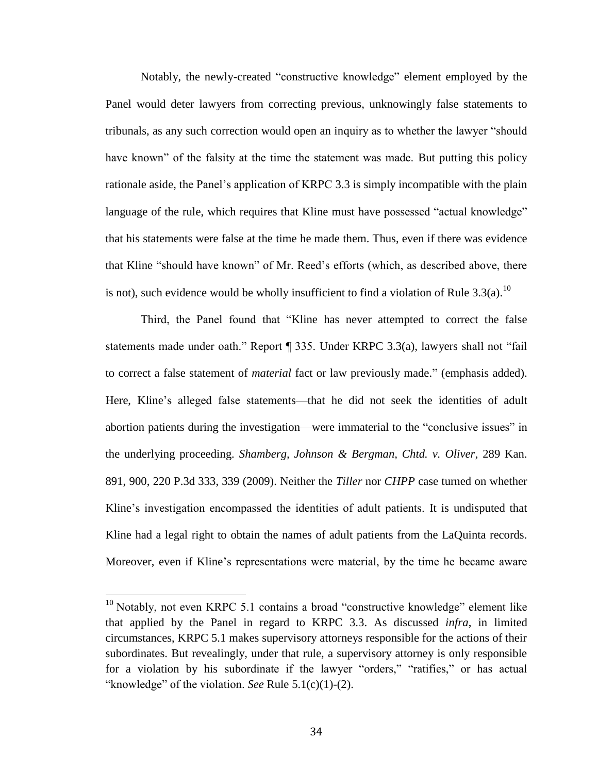Notably, the newly-created "constructive knowledge" element employed by the Panel would deter lawyers from correcting previous, unknowingly false statements to tribunals, as any such correction would open an inquiry as to whether the lawyer "should have known" of the falsity at the time the statement was made. But putting this policy rationale aside, the Panel's application of KRPC 3.3 is simply incompatible with the plain language of the rule, which requires that Kline must have possessed "actual knowledge" that his statements were false at the time he made them. Thus, even if there was evidence that Kline "should have known" of Mr. Reed's efforts (which, as described above, there is not), such evidence would be wholly insufficient to find a violation of Rule  $3.3(a)$ .<sup>10</sup>

Third, the Panel found that "Kline has never attempted to correct the false statements made under oath." Report ¶ 335. Under KRPC 3.3(a), lawyers shall not "fail to correct a false statement of *material* fact or law previously made." (emphasis added). Here, Kline's alleged false statements—that he did not seek the identities of adult abortion patients during the investigation—were immaterial to the "conclusive issues" in the underlying proceeding. *Shamberg, Johnson & Bergman, Chtd. v. Oliver*, 289 Kan. 891, 900, 220 P.3d 333, 339 (2009). Neither the *Tiller* nor *CHPP* case turned on whether Kline's investigation encompassed the identities of adult patients. It is undisputed that Kline had a legal right to obtain the names of adult patients from the LaQuinta records. Moreover, even if Kline's representations were material, by the time he became aware

 $\overline{a}$ 

 $10$  Notably, not even KRPC 5.1 contains a broad "constructive knowledge" element like that applied by the Panel in regard to KRPC 3.3. As discussed *infra*, in limited circumstances, KRPC 5.1 makes supervisory attorneys responsible for the actions of their subordinates. But revealingly, under that rule, a supervisory attorney is only responsible for a violation by his subordinate if the lawyer "orders," "ratifies," or has actual "knowledge" of the violation. *See* Rule 5.1(c)(1)-(2).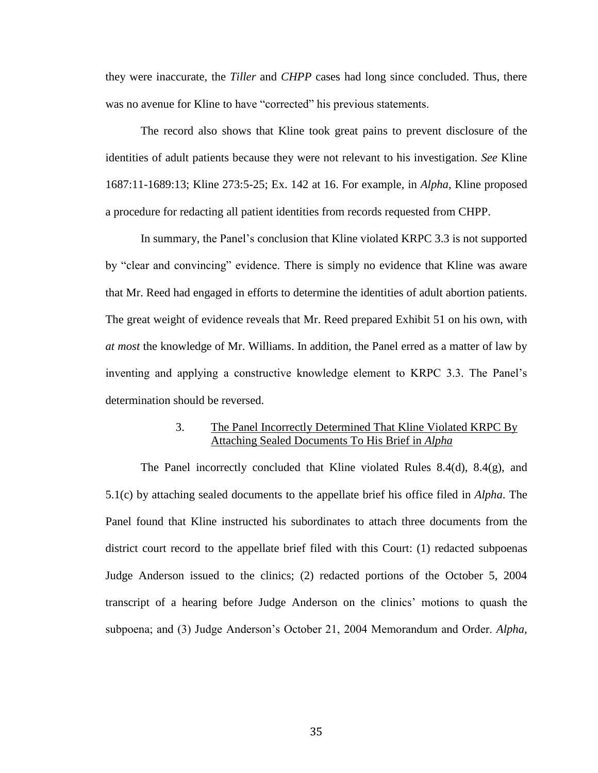they were inaccurate, the *Tiller* and *CHPP* cases had long since concluded. Thus, there was no avenue for Kline to have "corrected" his previous statements.

The record also shows that Kline took great pains to prevent disclosure of the identities of adult patients because they were not relevant to his investigation. *See* Kline 1687:11-1689:13; Kline 273:5-25; Ex. 142 at 16. For example, in *Alpha*, Kline proposed a procedure for redacting all patient identities from records requested from CHPP.

In summary, the Panel's conclusion that Kline violated KRPC 3.3 is not supported by "clear and convincing" evidence. There is simply no evidence that Kline was aware that Mr. Reed had engaged in efforts to determine the identities of adult abortion patients. The great weight of evidence reveals that Mr. Reed prepared Exhibit 51 on his own, with *at most* the knowledge of Mr. Williams. In addition, the Panel erred as a matter of law by inventing and applying a constructive knowledge element to KRPC 3.3. The Panel's determination should be reversed.

### 3. The Panel Incorrectly Determined That Kline Violated KRPC By Attaching Sealed Documents To His Brief in *Alpha*

The Panel incorrectly concluded that Kline violated Rules 8.4(d), 8.4(g), and 5.1(c) by attaching sealed documents to the appellate brief his office filed in *Alpha*. The Panel found that Kline instructed his subordinates to attach three documents from the district court record to the appellate brief filed with this Court: (1) redacted subpoenas Judge Anderson issued to the clinics; (2) redacted portions of the October 5, 2004 transcript of a hearing before Judge Anderson on the clinics' motions to quash the subpoena; and (3) Judge Anderson's October 21, 2004 Memorandum and Order. *Alpha,*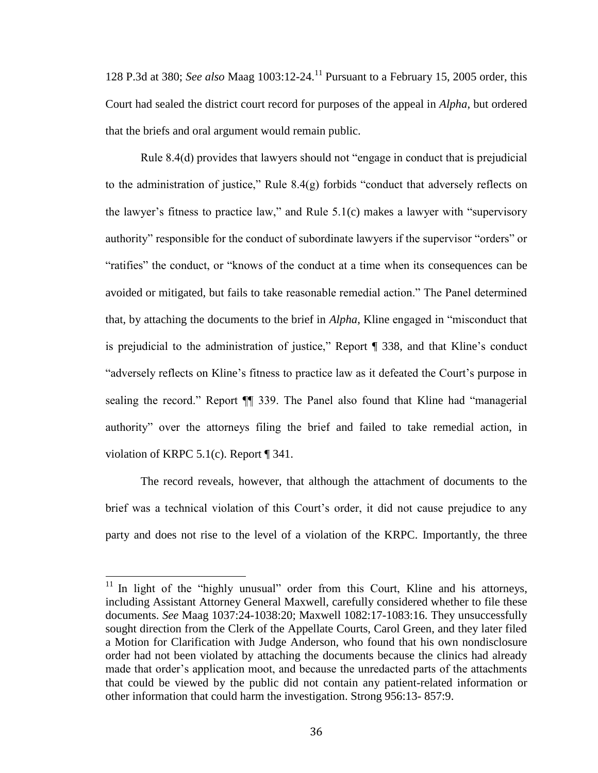128 P.3d at 380; *See also* Maag 1003:12-24.<sup>11</sup> Pursuant to a February 15, 2005 order, this Court had sealed the district court record for purposes of the appeal in *Alpha*, but ordered that the briefs and oral argument would remain public.

Rule 8.4(d) provides that lawyers should not "engage in conduct that is prejudicial to the administration of justice," Rule 8.4(g) forbids "conduct that adversely reflects on the lawyer's fitness to practice law," and Rule 5.1(c) makes a lawyer with "supervisory authority" responsible for the conduct of subordinate lawyers if the supervisor "orders" or "ratifies" the conduct, or "knows of the conduct at a time when its consequences can be avoided or mitigated, but fails to take reasonable remedial action." The Panel determined that, by attaching the documents to the brief in *Alpha*, Kline engaged in "misconduct that is prejudicial to the administration of justice," Report ¶ 338, and that Kline's conduct "adversely reflects on Kline's fitness to practice law as it defeated the Court's purpose in sealing the record." Report  $\P$  339. The Panel also found that Kline had "managerial" authority" over the attorneys filing the brief and failed to take remedial action, in violation of KRPC 5.1(c). Report ¶ 341.

The record reveals, however, that although the attachment of documents to the brief was a technical violation of this Court's order, it did not cause prejudice to any party and does not rise to the level of a violation of the KRPC. Importantly, the three

 $\overline{a}$ 

 $11$  In light of the "highly unusual" order from this Court, Kline and his attorneys, including Assistant Attorney General Maxwell, carefully considered whether to file these documents. *See* Maag 1037:24-1038:20; Maxwell 1082:17-1083:16. They unsuccessfully sought direction from the Clerk of the Appellate Courts, Carol Green, and they later filed a Motion for Clarification with Judge Anderson, who found that his own nondisclosure order had not been violated by attaching the documents because the clinics had already made that order's application moot, and because the unredacted parts of the attachments that could be viewed by the public did not contain any patient-related information or other information that could harm the investigation. Strong 956:13- 857:9.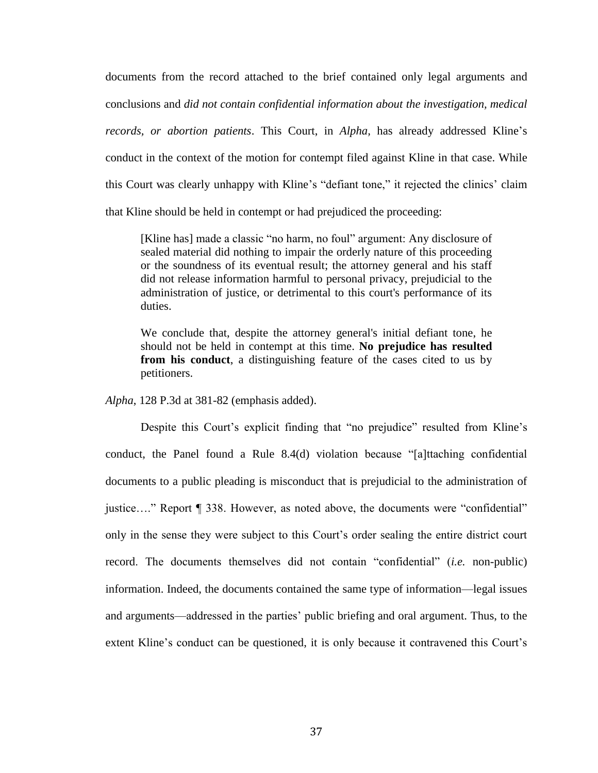documents from the record attached to the brief contained only legal arguments and conclusions and *did not contain confidential information about the investigation, medical records, or abortion patients*. This Court, in *Alpha,* has already addressed Kline's conduct in the context of the motion for contempt filed against Kline in that case. While this Court was clearly unhappy with Kline's "defiant tone," it rejected the clinics' claim that Kline should be held in contempt or had prejudiced the proceeding:

[Kline has] made a classic "no harm, no foul" argument: Any disclosure of sealed material did nothing to impair the orderly nature of this proceeding or the soundness of its eventual result; the attorney general and his staff did not release information harmful to personal privacy, prejudicial to the administration of justice, or detrimental to this court's performance of its duties.

We conclude that, despite the attorney general's initial defiant tone, he should not be held in contempt at this time. **No prejudice has resulted from his conduct**, a distinguishing feature of the cases cited to us by petitioners.

*Alpha*, 128 P.3d at 381-82 (emphasis added).

Despite this Court's explicit finding that "no prejudice" resulted from Kline's conduct, the Panel found a Rule 8.4(d) violation because "[a]ttaching confidential documents to a public pleading is misconduct that is prejudicial to the administration of justice…." Report ¶ 338. However, as noted above, the documents were "confidential" only in the sense they were subject to this Court's order sealing the entire district court record. The documents themselves did not contain "confidential" (*i.e.* non-public) information. Indeed, the documents contained the same type of information—legal issues and arguments—addressed in the parties' public briefing and oral argument. Thus, to the extent Kline's conduct can be questioned, it is only because it contravened this Court's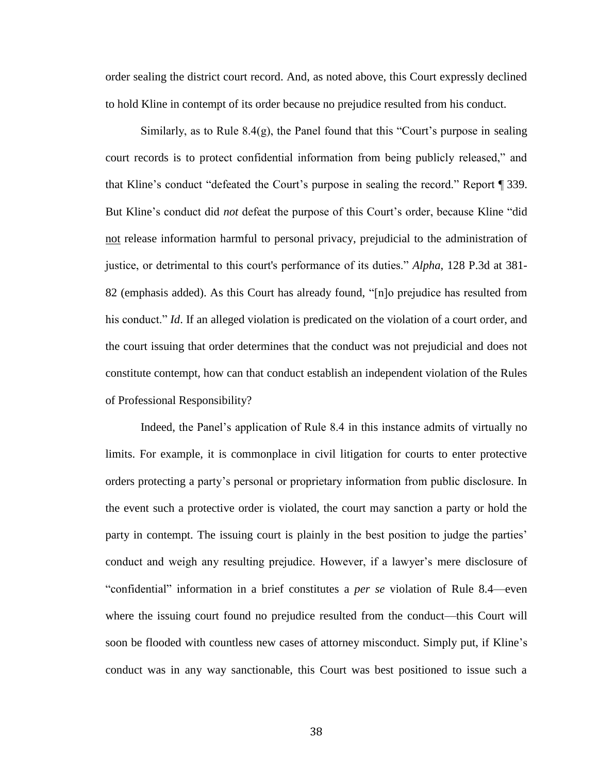order sealing the district court record. And, as noted above, this Court expressly declined to hold Kline in contempt of its order because no prejudice resulted from his conduct.

Similarly, as to Rule 8.4(g), the Panel found that this "Court's purpose in sealing court records is to protect confidential information from being publicly released," and that Kline's conduct "defeated the Court's purpose in sealing the record." Report ¶ 339. But Kline's conduct did *not* defeat the purpose of this Court's order, because Kline "did not release information harmful to personal privacy, prejudicial to the administration of justice, or detrimental to this court's performance of its duties." *Alpha*, 128 P.3d at 381- 82 (emphasis added). As this Court has already found, "[n]o prejudice has resulted from his conduct." *Id*. If an alleged violation is predicated on the violation of a court order, and the court issuing that order determines that the conduct was not prejudicial and does not constitute contempt, how can that conduct establish an independent violation of the Rules of Professional Responsibility?

Indeed, the Panel's application of Rule 8.4 in this instance admits of virtually no limits. For example, it is commonplace in civil litigation for courts to enter protective orders protecting a party's personal or proprietary information from public disclosure. In the event such a protective order is violated, the court may sanction a party or hold the party in contempt. The issuing court is plainly in the best position to judge the parties' conduct and weigh any resulting prejudice. However, if a lawyer's mere disclosure of "confidential" information in a brief constitutes a *per se* violation of Rule 8.4—even where the issuing court found no prejudice resulted from the conduct—this Court will soon be flooded with countless new cases of attorney misconduct. Simply put, if Kline's conduct was in any way sanctionable, this Court was best positioned to issue such a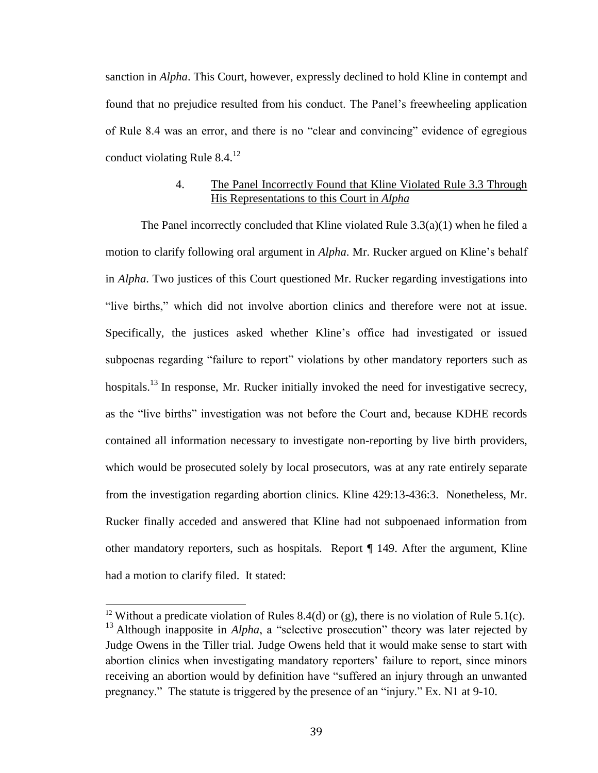sanction in *Alpha*. This Court, however, expressly declined to hold Kline in contempt and found that no prejudice resulted from his conduct. The Panel's freewheeling application of Rule 8.4 was an error, and there is no "clear and convincing" evidence of egregious conduct violating Rule  $8.4<sup>12</sup>$ 

# 4. The Panel Incorrectly Found that Kline Violated Rule 3.3 Through His Representations to this Court in *Alpha*

The Panel incorrectly concluded that Kline violated Rule 3.3(a)(1) when he filed a motion to clarify following oral argument in *Alpha*. Mr. Rucker argued on Kline's behalf in *Alpha*. Two justices of this Court questioned Mr. Rucker regarding investigations into "live births," which did not involve abortion clinics and therefore were not at issue. Specifically, the justices asked whether Kline's office had investigated or issued subpoenas regarding "failure to report" violations by other mandatory reporters such as hospitals.<sup>13</sup> In response, Mr. Rucker initially invoked the need for investigative secrecy, as the "live births" investigation was not before the Court and, because KDHE records contained all information necessary to investigate non-reporting by live birth providers, which would be prosecuted solely by local prosecutors, was at any rate entirely separate from the investigation regarding abortion clinics. Kline 429:13-436:3. Nonetheless, Mr. Rucker finally acceded and answered that Kline had not subpoenaed information from other mandatory reporters, such as hospitals. Report ¶ 149. After the argument, Kline had a motion to clarify filed. It stated:

l

<sup>&</sup>lt;sup>12</sup> Without a predicate violation of Rules 8.4(d) or (g), there is no violation of Rule 5.1(c).

<sup>&</sup>lt;sup>13</sup> Although inapposite in *Alpha*, a "selective prosecution" theory was later rejected by Judge Owens in the Tiller trial. Judge Owens held that it would make sense to start with abortion clinics when investigating mandatory reporters' failure to report, since minors receiving an abortion would by definition have "suffered an injury through an unwanted pregnancy." The statute is triggered by the presence of an "injury." Ex. N1 at 9-10.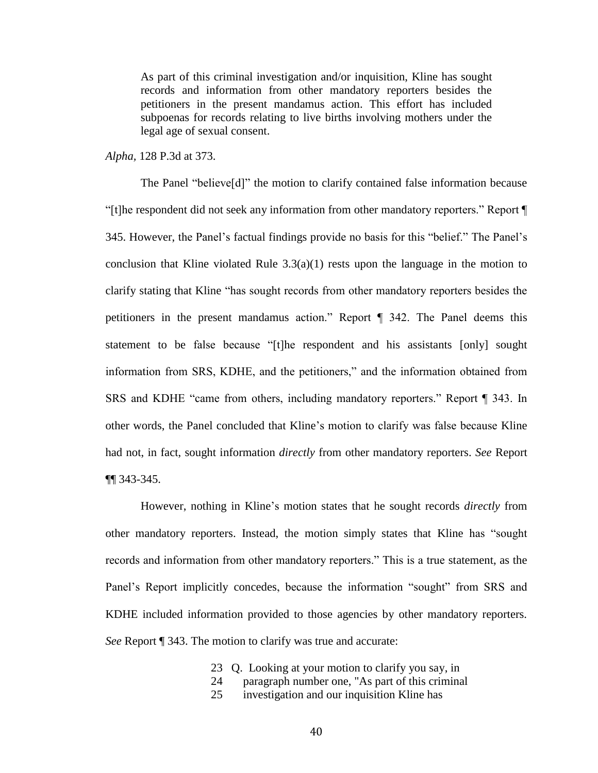As part of this criminal investigation and/or inquisition, Kline has sought records and information from other mandatory reporters besides the petitioners in the present mandamus action. This effort has included subpoenas for records relating to live births involving mothers under the legal age of sexual consent.

#### *Alpha,* 128 P.3d at 373.

The Panel "believe[d]" the motion to clarify contained false information because "[t]he respondent did not seek any information from other mandatory reporters." Report ¶ 345. However, the Panel's factual findings provide no basis for this "belief." The Panel's conclusion that Kline violated Rule  $3.3(a)(1)$  rests upon the language in the motion to clarify stating that Kline "has sought records from other mandatory reporters besides the petitioners in the present mandamus action." Report ¶ 342. The Panel deems this statement to be false because "[t]he respondent and his assistants [only] sought information from SRS, KDHE, and the petitioners," and the information obtained from SRS and KDHE "came from others, including mandatory reporters." Report ¶ 343. In other words, the Panel concluded that Kline's motion to clarify was false because Kline had not, in fact, sought information *directly* from other mandatory reporters. *See* Report ¶¶ 343-345.

However, nothing in Kline's motion states that he sought records *directly* from other mandatory reporters. Instead, the motion simply states that Kline has "sought records and information from other mandatory reporters." This is a true statement, as the Panel's Report implicitly concedes, because the information "sought" from SRS and KDHE included information provided to those agencies by other mandatory reporters. *See* Report ¶ 343. The motion to clarify was true and accurate:

- 23 Q. Looking at your motion to clarify you say, in
- 24 paragraph number one, "As part of this criminal
- 25 investigation and our inquisition Kline has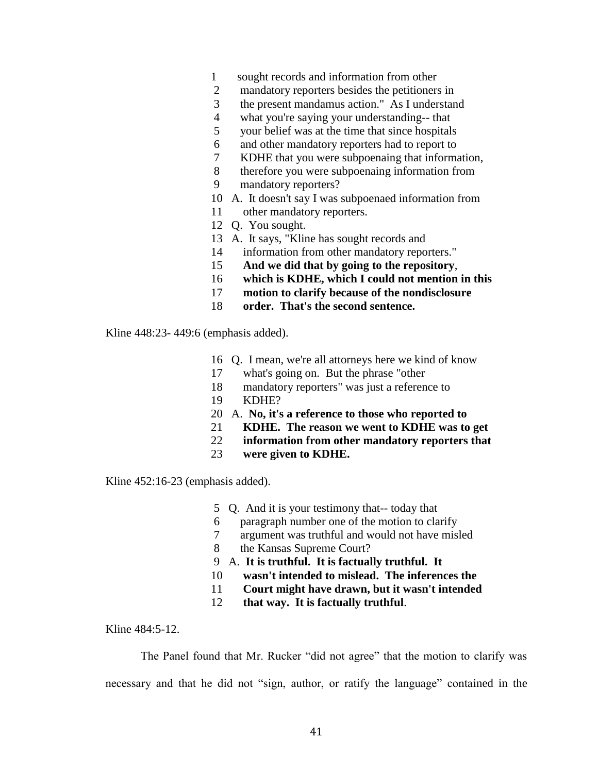- 1 sought records and information from other
- 2 mandatory reporters besides the petitioners in
- 3 the present mandamus action." As I understand
- 4 what you're saying your understanding-- that
- 5 your belief was at the time that since hospitals
- 6 and other mandatory reporters had to report to
- 7 KDHE that you were subpoenaing that information,
- 8 therefore you were subpoenaing information from
- 9 mandatory reporters?
- 10 A. It doesn't say I was subpoenaed information from
- 11 other mandatory reporters.
- 12 Q. You sought.
- 13 A. It says, "Kline has sought records and
- 14 information from other mandatory reporters."
- 15 **And we did that by going to the repository**,
- 16 **which is KDHE, which I could not mention in this**
- 17 **motion to clarify because of the nondisclosure**
- 18 **order. That's the second sentence.**

Kline 448:23- 449:6 (emphasis added).

- 16 Q. I mean, we're all attorneys here we kind of know
- 17 what's going on. But the phrase "other
- 18 mandatory reporters" was just a reference to
- 19 KDHE?
- 20 A. **No, it's a reference to those who reported to**
- 21 **KDHE. The reason we went to KDHE was to get**
- 22 **information from other mandatory reporters that**
- 23 **were given to KDHE.**

Kline 452:16-23 (emphasis added).

- 5 Q. And it is your testimony that-- today that
- 6 paragraph number one of the motion to clarify
- 7 argument was truthful and would not have misled
- 8 the Kansas Supreme Court?
- 9 A. **It is truthful. It is factually truthful. It**
- 10 **wasn't intended to mislead. The inferences the**
- 11 **Court might have drawn, but it wasn't intended**
- 12 **that way. It is factually truthful**.

Kline 484:5-12.

The Panel found that Mr. Rucker "did not agree" that the motion to clarify was necessary and that he did not "sign, author, or ratify the language" contained in the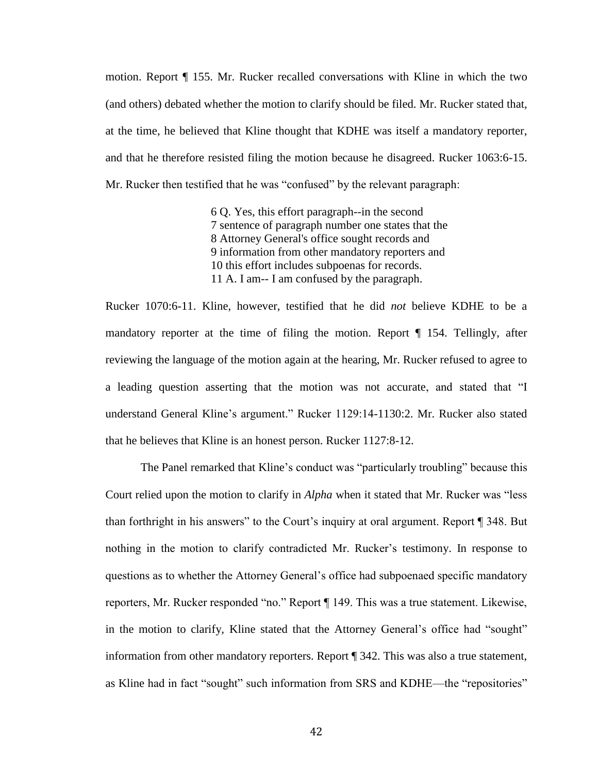motion. Report ¶ 155. Mr. Rucker recalled conversations with Kline in which the two (and others) debated whether the motion to clarify should be filed. Mr. Rucker stated that, at the time, he believed that Kline thought that KDHE was itself a mandatory reporter, and that he therefore resisted filing the motion because he disagreed. Rucker 1063:6-15. Mr. Rucker then testified that he was "confused" by the relevant paragraph:

> 6 Q. Yes, this effort paragraph--in the second 7 sentence of paragraph number one states that the 8 Attorney General's office sought records and 9 information from other mandatory reporters and 10 this effort includes subpoenas for records. 11 A. I am-- I am confused by the paragraph.

Rucker 1070:6-11. Kline, however, testified that he did *not* believe KDHE to be a mandatory reporter at the time of filing the motion. Report ¶ 154. Tellingly, after reviewing the language of the motion again at the hearing, Mr. Rucker refused to agree to a leading question asserting that the motion was not accurate, and stated that "I understand General Kline's argument." Rucker 1129:14-1130:2. Mr. Rucker also stated that he believes that Kline is an honest person. Rucker 1127:8-12.

The Panel remarked that Kline's conduct was "particularly troubling" because this Court relied upon the motion to clarify in *Alpha* when it stated that Mr. Rucker was "less than forthright in his answers" to the Court's inquiry at oral argument. Report ¶ 348. But nothing in the motion to clarify contradicted Mr. Rucker's testimony. In response to questions as to whether the Attorney General's office had subpoenaed specific mandatory reporters, Mr. Rucker responded "no." Report ¶ 149. This was a true statement. Likewise, in the motion to clarify, Kline stated that the Attorney General's office had "sought" information from other mandatory reporters. Report ¶ 342. This was also a true statement, as Kline had in fact "sought" such information from SRS and KDHE—the "repositories"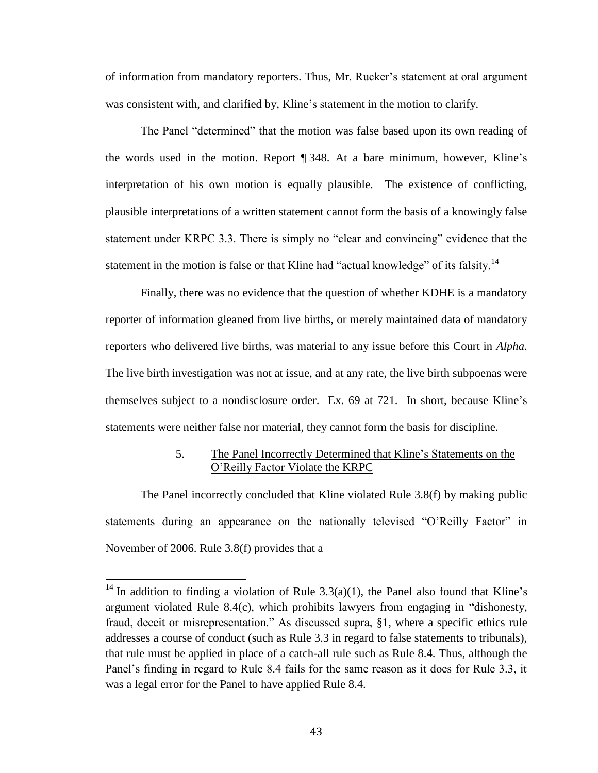of information from mandatory reporters. Thus, Mr. Rucker's statement at oral argument was consistent with, and clarified by, Kline's statement in the motion to clarify.

The Panel "determined" that the motion was false based upon its own reading of the words used in the motion. Report ¶ 348. At a bare minimum, however, Kline's interpretation of his own motion is equally plausible. The existence of conflicting, plausible interpretations of a written statement cannot form the basis of a knowingly false statement under KRPC 3.3. There is simply no "clear and convincing" evidence that the statement in the motion is false or that Kline had "actual knowledge" of its falsity.<sup>14</sup>

Finally, there was no evidence that the question of whether KDHE is a mandatory reporter of information gleaned from live births, or merely maintained data of mandatory reporters who delivered live births, was material to any issue before this Court in *Alpha*. The live birth investigation was not at issue, and at any rate, the live birth subpoenas were themselves subject to a nondisclosure order. Ex. 69 at 721. In short, because Kline's statements were neither false nor material, they cannot form the basis for discipline.

## 5. The Panel Incorrectly Determined that Kline's Statements on the O'Reilly Factor Violate the KRPC

The Panel incorrectly concluded that Kline violated Rule 3.8(f) by making public statements during an appearance on the nationally televised "O'Reilly Factor" in November of 2006. Rule 3.8(f) provides that a

 $\overline{a}$ 

<sup>&</sup>lt;sup>14</sup> In addition to finding a violation of Rule  $3.3(a)(1)$ , the Panel also found that Kline's argument violated Rule 8.4(c), which prohibits lawyers from engaging in "dishonesty, fraud, deceit or misrepresentation." As discussed supra, §1, where a specific ethics rule addresses a course of conduct (such as Rule 3.3 in regard to false statements to tribunals), that rule must be applied in place of a catch-all rule such as Rule 8.4. Thus, although the Panel's finding in regard to Rule 8.4 fails for the same reason as it does for Rule 3.3, it was a legal error for the Panel to have applied Rule 8.4.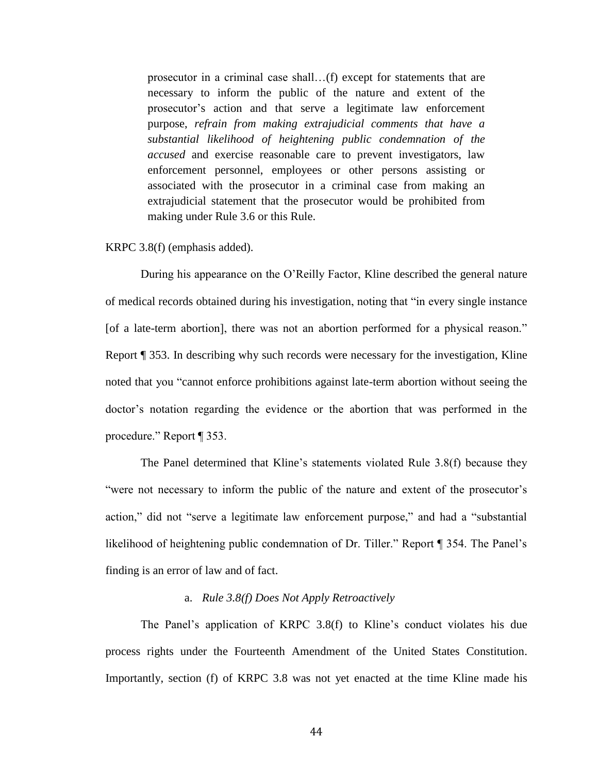prosecutor in a criminal case shall…(f) except for statements that are necessary to inform the public of the nature and extent of the prosecutor's action and that serve a legitimate law enforcement purpose, *refrain from making extrajudicial comments that have a substantial likelihood of heightening public condemnation of the accused* and exercise reasonable care to prevent investigators, law enforcement personnel, employees or other persons assisting or associated with the prosecutor in a criminal case from making an extrajudicial statement that the prosecutor would be prohibited from making under Rule 3.6 or this Rule.

#### KRPC 3.8(f) (emphasis added).

During his appearance on the O'Reilly Factor, Kline described the general nature of medical records obtained during his investigation, noting that "in every single instance [of a late-term abortion], there was not an abortion performed for a physical reason." Report ¶ 353. In describing why such records were necessary for the investigation, Kline noted that you "cannot enforce prohibitions against late-term abortion without seeing the doctor's notation regarding the evidence or the abortion that was performed in the procedure." Report ¶ 353.

The Panel determined that Kline's statements violated Rule 3.8(f) because they "were not necessary to inform the public of the nature and extent of the prosecutor's action," did not "serve a legitimate law enforcement purpose," and had a "substantial likelihood of heightening public condemnation of Dr. Tiller." Report ¶ 354. The Panel's finding is an error of law and of fact.

#### a. *Rule 3.8(f) Does Not Apply Retroactively*

The Panel's application of KRPC 3.8(f) to Kline's conduct violates his due process rights under the Fourteenth Amendment of the United States Constitution. Importantly, section (f) of KRPC 3.8 was not yet enacted at the time Kline made his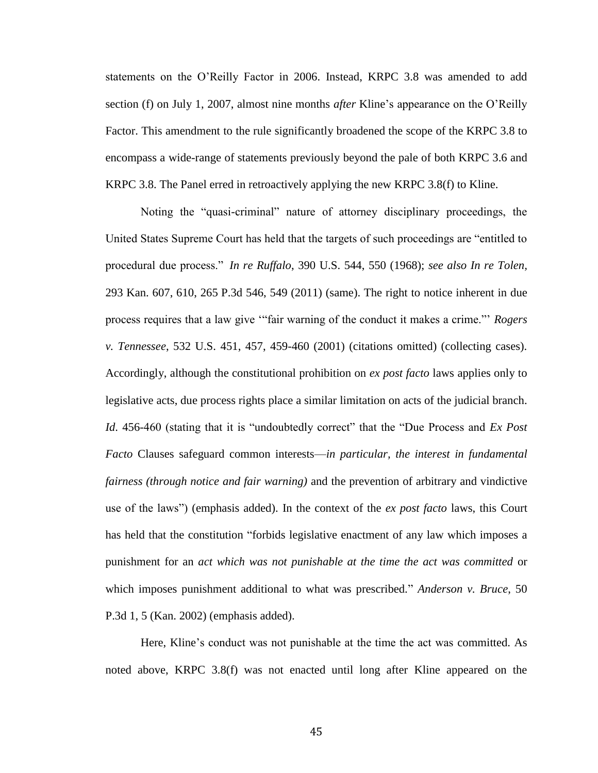statements on the O'Reilly Factor in 2006. Instead, KRPC 3.8 was amended to add section (f) on July 1, 2007, almost nine months *after* Kline's appearance on the O'Reilly Factor. This amendment to the rule significantly broadened the scope of the KRPC 3.8 to encompass a wide-range of statements previously beyond the pale of both KRPC 3.6 and KRPC 3.8. The Panel erred in retroactively applying the new KRPC 3.8(f) to Kline.

Noting the "quasi-criminal" nature of attorney disciplinary proceedings, the United States Supreme Court has held that the targets of such proceedings are "entitled to procedural due process." *In re Ruffalo*, 390 U.S. 544, 550 (1968); *see also In re Tolen,* 293 Kan. 607, 610, 265 P.3d 546, 549 (2011) (same). The right to notice inherent in due process requires that a law give '"fair warning of the conduct it makes a crime."' *Rogers v. Tennessee*, 532 U.S. 451, 457, 459-460 (2001) (citations omitted) (collecting cases). Accordingly, although the constitutional prohibition on *ex post facto* laws applies only to legislative acts, due process rights place a similar limitation on acts of the judicial branch. *Id*. 456-460 (stating that it is "undoubtedly correct" that the "Due Process and *Ex Post Facto* Clauses safeguard common interests—*in particular, the interest in fundamental fairness (through notice and fair warning)* and the prevention of arbitrary and vindictive use of the laws") (emphasis added). In the context of the *ex post facto* laws, this Court has held that the constitution "forbids legislative enactment of any law which imposes a punishment for an *act which was not punishable at the time the act was committed* or which imposes punishment additional to what was prescribed." *Anderson v. Bruce*, 50 P.3d 1, 5 (Kan. 2002) (emphasis added).

Here, Kline's conduct was not punishable at the time the act was committed. As noted above, KRPC 3.8(f) was not enacted until long after Kline appeared on the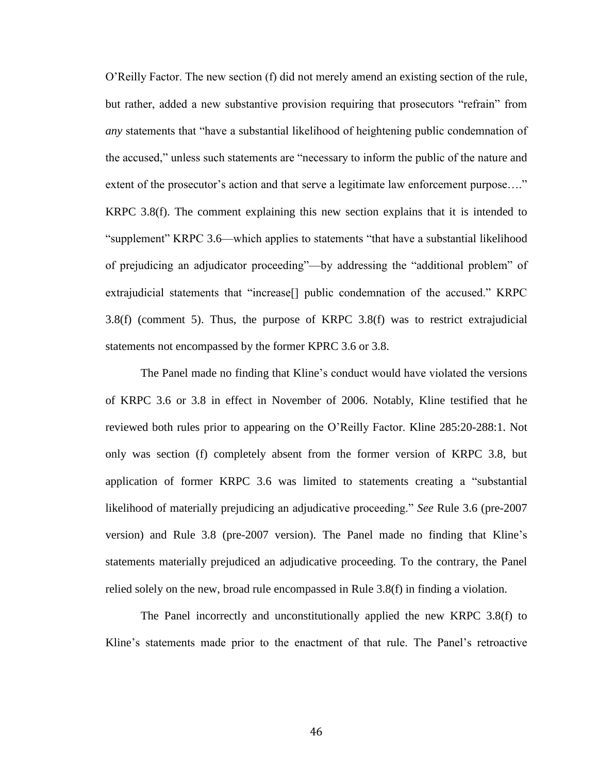O'Reilly Factor. The new section (f) did not merely amend an existing section of the rule, but rather, added a new substantive provision requiring that prosecutors "refrain" from *any* statements that "have a substantial likelihood of heightening public condemnation of the accused," unless such statements are "necessary to inform the public of the nature and extent of the prosecutor's action and that serve a legitimate law enforcement purpose...." KRPC 3.8(f). The comment explaining this new section explains that it is intended to "supplement" KRPC 3.6—which applies to statements "that have a substantial likelihood of prejudicing an adjudicator proceeding"—by addressing the "additional problem" of extrajudicial statements that "increase[] public condemnation of the accused." KRPC 3.8(f) (comment 5). Thus, the purpose of KRPC 3.8(f) was to restrict extrajudicial statements not encompassed by the former KPRC 3.6 or 3.8.

The Panel made no finding that Kline's conduct would have violated the versions of KRPC 3.6 or 3.8 in effect in November of 2006. Notably, Kline testified that he reviewed both rules prior to appearing on the O'Reilly Factor. Kline 285:20-288:1. Not only was section (f) completely absent from the former version of KRPC 3.8, but application of former KRPC 3.6 was limited to statements creating a "substantial likelihood of materially prejudicing an adjudicative proceeding." *See* Rule 3.6 (pre-2007 version) and Rule 3.8 (pre-2007 version). The Panel made no finding that Kline's statements materially prejudiced an adjudicative proceeding. To the contrary, the Panel relied solely on the new, broad rule encompassed in Rule 3.8(f) in finding a violation.

The Panel incorrectly and unconstitutionally applied the new KRPC 3.8(f) to Kline's statements made prior to the enactment of that rule. The Panel's retroactive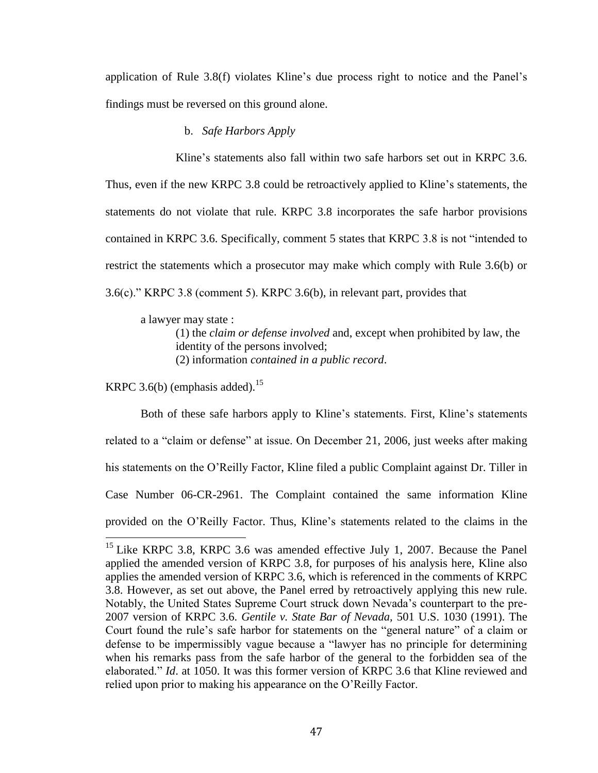application of Rule 3.8(f) violates Kline's due process right to notice and the Panel's findings must be reversed on this ground alone.

b. *Safe Harbors Apply*

Kline's statements also fall within two safe harbors set out in KRPC 3.6. Thus, even if the new KRPC 3.8 could be retroactively applied to Kline's statements, the statements do not violate that rule. KRPC 3.8 incorporates the safe harbor provisions contained in KRPC 3.6. Specifically, comment 5 states that KRPC 3.8 is not "intended to restrict the statements which a prosecutor may make which comply with Rule 3.6(b) or 3.6(c)." KRPC 3.8 (comment 5). KRPC 3.6(b), in relevant part, provides that

a lawyer may state :

(1) the *claim or defense involved* and, except when prohibited by law, the identity of the persons involved; (2) information *contained in a public record*.

KRPC 3.6(b) (emphasis added).<sup>15</sup>

 $\overline{a}$ 

Both of these safe harbors apply to Kline's statements. First, Kline's statements related to a "claim or defense" at issue. On December 21, 2006, just weeks after making his statements on the O'Reilly Factor, Kline filed a public Complaint against Dr. Tiller in Case Number 06-CR-2961. The Complaint contained the same information Kline provided on the O'Reilly Factor. Thus, Kline's statements related to the claims in the

<sup>&</sup>lt;sup>15</sup> Like KRPC 3.8, KRPC 3.6 was amended effective July 1, 2007. Because the Panel applied the amended version of KRPC 3.8, for purposes of his analysis here, Kline also applies the amended version of KRPC 3.6, which is referenced in the comments of KRPC 3.8. However, as set out above, the Panel erred by retroactively applying this new rule. Notably, the United States Supreme Court struck down Nevada's counterpart to the pre-2007 version of KRPC 3.6. *Gentile v. State Bar of Nevada,* 501 U.S. 1030 (1991). The Court found the rule's safe harbor for statements on the "general nature" of a claim or defense to be impermissibly vague because a "lawyer has no principle for determining when his remarks pass from the safe harbor of the general to the forbidden sea of the elaborated." *Id*. at 1050. It was this former version of KRPC 3.6 that Kline reviewed and relied upon prior to making his appearance on the O'Reilly Factor.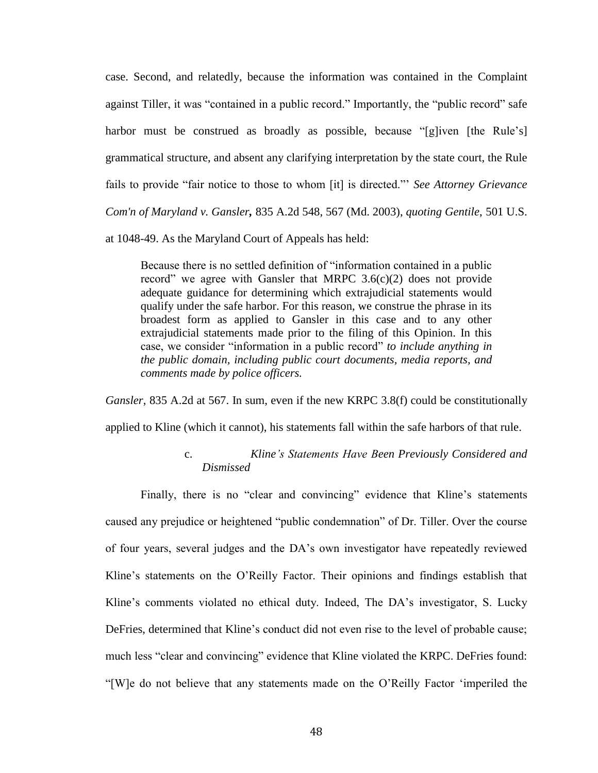case. Second, and relatedly, because the information was contained in the Complaint against Tiller, it was "contained in a public record." Importantly, the "public record" safe harbor must be construed as broadly as possible, because "[g]iven [the Rule's] grammatical structure, and absent any clarifying interpretation by the state court, the Rule fails to provide "fair notice to those to whom [it] is directed."' *See Attorney Grievance Com'n of Maryland v. Gansler,* 835 A.2d 548, 567 (Md. 2003), *quoting Gentile*, 501 U.S.

at 1048-49. As the Maryland Court of Appeals has held:

Because there is no settled definition of "information contained in a public record" we agree with Gansler that MRPC 3.6(c)(2) does not provide adequate guidance for determining which extrajudicial statements would qualify under the safe harbor. For this reason, we construe the phrase in its broadest form as applied to Gansler in this case and to any other extrajudicial statements made prior to the filing of this Opinion. In this case, we consider "information in a public record" *to include anything in the public domain, including public court documents, media reports, and comments made by police officers.*

*Gansler*, 835 A.2d at 567. In sum, even if the new KRPC 3.8(f) could be constitutionally

applied to Kline (which it cannot), his statements fall within the safe harbors of that rule.

## c. *Kline's Statements Have Been Previously Considered and Dismissed*

Finally, there is no "clear and convincing" evidence that Kline's statements caused any prejudice or heightened "public condemnation" of Dr. Tiller. Over the course of four years, several judges and the DA's own investigator have repeatedly reviewed Kline's statements on the O'Reilly Factor. Their opinions and findings establish that Kline's comments violated no ethical duty. Indeed, The DA's investigator, S. Lucky DeFries, determined that Kline's conduct did not even rise to the level of probable cause; much less "clear and convincing" evidence that Kline violated the KRPC. DeFries found: "[W]e do not believe that any statements made on the O'Reilly Factor 'imperiled the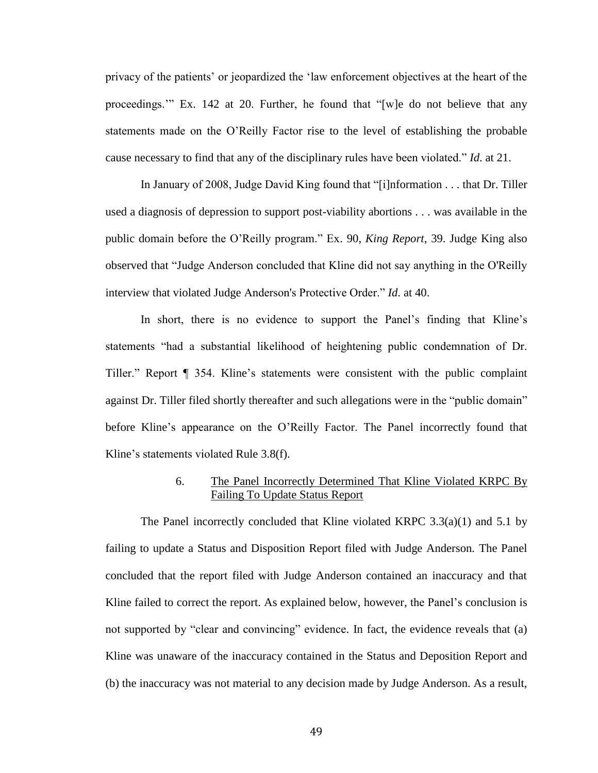privacy of the patients' or jeopardized the 'law enforcement objectives at the heart of the proceedings.'" Ex. 142 at 20. Further, he found that "[w]e do not believe that any statements made on the O'Reilly Factor rise to the level of establishing the probable cause necessary to find that any of the disciplinary rules have been violated." *Id*. at 21.

In January of 2008, Judge David King found that "[i]nformation . . . that Dr. Tiller used a diagnosis of depression to support post-viability abortions . . . was available in the public domain before the O'Reilly program." Ex. 90, *King Report*, 39. Judge King also observed that "Judge Anderson concluded that Kline did not say anything in the O'Reilly interview that violated Judge Anderson's Protective Order." *Id*. at 40.

In short, there is no evidence to support the Panel's finding that Kline's statements "had a substantial likelihood of heightening public condemnation of Dr. Tiller." Report ¶ 354. Kline's statements were consistent with the public complaint against Dr. Tiller filed shortly thereafter and such allegations were in the "public domain" before Kline's appearance on the O'Reilly Factor. The Panel incorrectly found that Kline's statements violated Rule 3.8(f).

# 6. The Panel Incorrectly Determined That Kline Violated KRPC By Failing To Update Status Report

The Panel incorrectly concluded that Kline violated KRPC  $3.3(a)(1)$  and  $5.1$  by failing to update a Status and Disposition Report filed with Judge Anderson. The Panel concluded that the report filed with Judge Anderson contained an inaccuracy and that Kline failed to correct the report. As explained below, however, the Panel's conclusion is not supported by "clear and convincing" evidence. In fact, the evidence reveals that (a) Kline was unaware of the inaccuracy contained in the Status and Deposition Report and (b) the inaccuracy was not material to any decision made by Judge Anderson. As a result,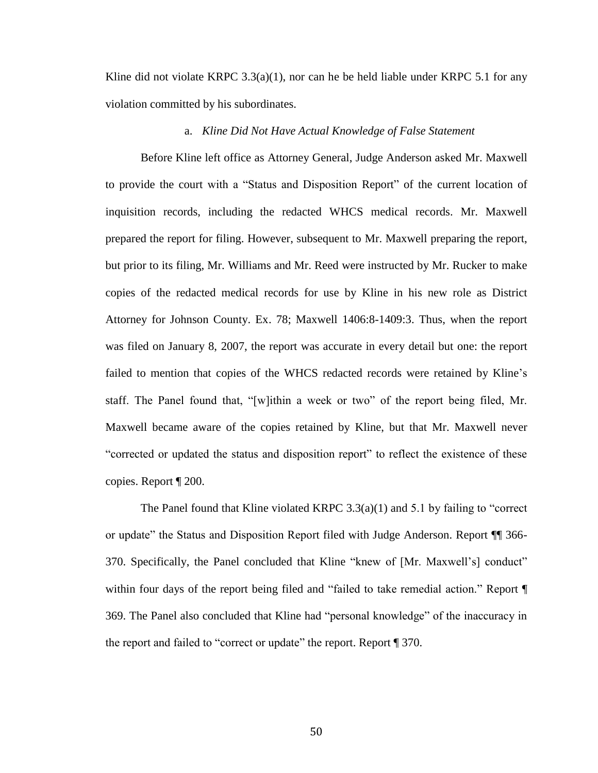Kline did not violate KRPC  $3.3(a)(1)$ , nor can he be held liable under KRPC  $5.1$  for any violation committed by his subordinates.

### a. *Kline Did Not Have Actual Knowledge of False Statement*

Before Kline left office as Attorney General, Judge Anderson asked Mr. Maxwell to provide the court with a "Status and Disposition Report" of the current location of inquisition records, including the redacted WHCS medical records. Mr. Maxwell prepared the report for filing. However, subsequent to Mr. Maxwell preparing the report, but prior to its filing, Mr. Williams and Mr. Reed were instructed by Mr. Rucker to make copies of the redacted medical records for use by Kline in his new role as District Attorney for Johnson County. Ex. 78; Maxwell 1406:8-1409:3. Thus, when the report was filed on January 8, 2007, the report was accurate in every detail but one: the report failed to mention that copies of the WHCS redacted records were retained by Kline's staff. The Panel found that, "[w]ithin a week or two" of the report being filed, Mr. Maxwell became aware of the copies retained by Kline, but that Mr. Maxwell never "corrected or updated the status and disposition report" to reflect the existence of these copies. Report ¶ 200.

The Panel found that Kline violated KRPC  $3.3(a)(1)$  and  $5.1$  by failing to "correct" or update" the Status and Disposition Report filed with Judge Anderson. Report ¶¶ 366- 370. Specifically, the Panel concluded that Kline "knew of [Mr. Maxwell's] conduct" within four days of the report being filed and "failed to take remedial action." Report  $\P$ 369. The Panel also concluded that Kline had "personal knowledge" of the inaccuracy in the report and failed to "correct or update" the report. Report ¶ 370.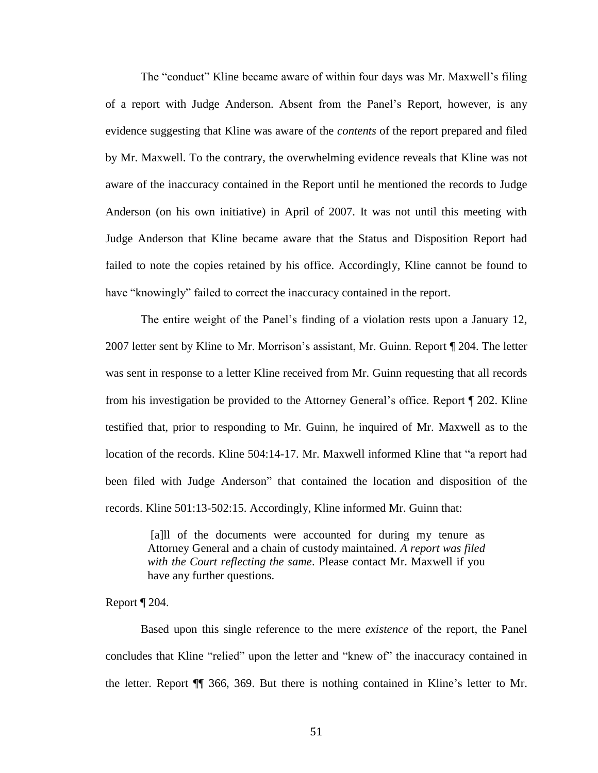The "conduct" Kline became aware of within four days was Mr. Maxwell's filing of a report with Judge Anderson. Absent from the Panel's Report, however, is any evidence suggesting that Kline was aware of the *contents* of the report prepared and filed by Mr. Maxwell. To the contrary, the overwhelming evidence reveals that Kline was not aware of the inaccuracy contained in the Report until he mentioned the records to Judge Anderson (on his own initiative) in April of 2007. It was not until this meeting with Judge Anderson that Kline became aware that the Status and Disposition Report had failed to note the copies retained by his office. Accordingly, Kline cannot be found to have "knowingly" failed to correct the inaccuracy contained in the report.

The entire weight of the Panel's finding of a violation rests upon a January 12, 2007 letter sent by Kline to Mr. Morrison's assistant, Mr. Guinn. Report ¶ 204. The letter was sent in response to a letter Kline received from Mr. Guinn requesting that all records from his investigation be provided to the Attorney General's office. Report ¶ 202. Kline testified that, prior to responding to Mr. Guinn, he inquired of Mr. Maxwell as to the location of the records. Kline 504:14-17. Mr. Maxwell informed Kline that "a report had been filed with Judge Anderson" that contained the location and disposition of the records. Kline 501:13-502:15. Accordingly, Kline informed Mr. Guinn that:

[a]ll of the documents were accounted for during my tenure as Attorney General and a chain of custody maintained. *A report was filed with the Court reflecting the same*. Please contact Mr. Maxwell if you have any further questions.

Report ¶ 204.

Based upon this single reference to the mere *existence* of the report, the Panel concludes that Kline "relied" upon the letter and "knew of" the inaccuracy contained in the letter. Report ¶¶ 366, 369. But there is nothing contained in Kline's letter to Mr.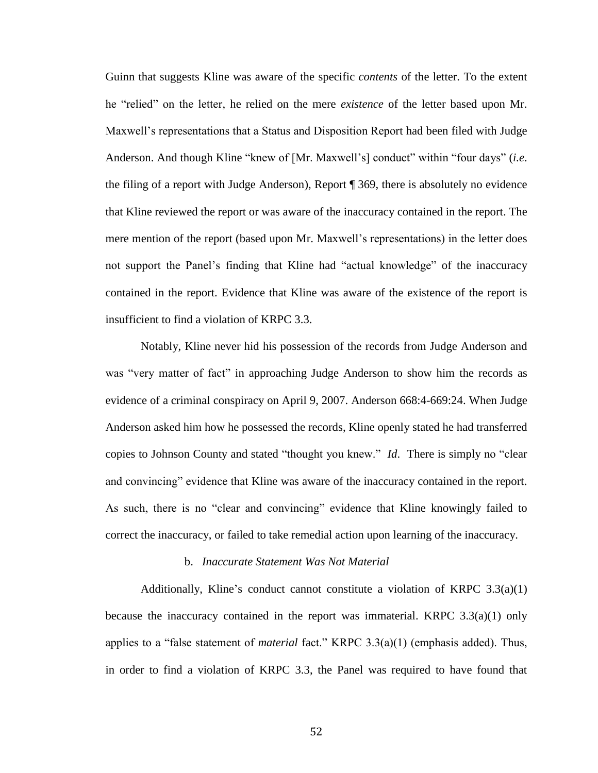Guinn that suggests Kline was aware of the specific *contents* of the letter. To the extent he "relied" on the letter, he relied on the mere *existence* of the letter based upon Mr. Maxwell's representations that a Status and Disposition Report had been filed with Judge Anderson. And though Kline "knew of [Mr. Maxwell's] conduct" within "four days" (*i.e*. the filing of a report with Judge Anderson), Report ¶ 369, there is absolutely no evidence that Kline reviewed the report or was aware of the inaccuracy contained in the report. The mere mention of the report (based upon Mr. Maxwell's representations) in the letter does not support the Panel's finding that Kline had "actual knowledge" of the inaccuracy contained in the report. Evidence that Kline was aware of the existence of the report is insufficient to find a violation of KRPC 3.3.

Notably, Kline never hid his possession of the records from Judge Anderson and was "very matter of fact" in approaching Judge Anderson to show him the records as evidence of a criminal conspiracy on April 9, 2007. Anderson 668:4-669:24. When Judge Anderson asked him how he possessed the records, Kline openly stated he had transferred copies to Johnson County and stated "thought you knew." *Id*. There is simply no "clear and convincing" evidence that Kline was aware of the inaccuracy contained in the report. As such, there is no "clear and convincing" evidence that Kline knowingly failed to correct the inaccuracy, or failed to take remedial action upon learning of the inaccuracy.

#### b. *Inaccurate Statement Was Not Material*

Additionally, Kline's conduct cannot constitute a violation of KRPC  $3.3(a)(1)$ because the inaccuracy contained in the report was immaterial. KRPC  $3.3(a)(1)$  only applies to a "false statement of *material* fact." KRPC 3.3(a)(1) (emphasis added). Thus, in order to find a violation of KRPC 3.3, the Panel was required to have found that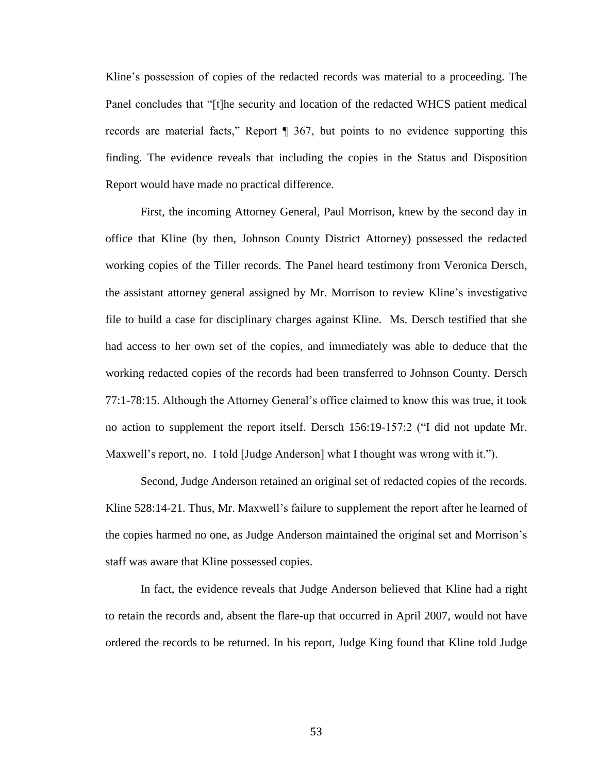Kline's possession of copies of the redacted records was material to a proceeding. The Panel concludes that "[t]he security and location of the redacted WHCS patient medical records are material facts," Report ¶ 367, but points to no evidence supporting this finding. The evidence reveals that including the copies in the Status and Disposition Report would have made no practical difference.

First, the incoming Attorney General, Paul Morrison, knew by the second day in office that Kline (by then, Johnson County District Attorney) possessed the redacted working copies of the Tiller records. The Panel heard testimony from Veronica Dersch, the assistant attorney general assigned by Mr. Morrison to review Kline's investigative file to build a case for disciplinary charges against Kline. Ms. Dersch testified that she had access to her own set of the copies, and immediately was able to deduce that the working redacted copies of the records had been transferred to Johnson County. Dersch 77:1-78:15. Although the Attorney General's office claimed to know this was true, it took no action to supplement the report itself. Dersch 156:19-157:2 ("I did not update Mr. Maxwell's report, no. I told [Judge Anderson] what I thought was wrong with it.").

Second, Judge Anderson retained an original set of redacted copies of the records. Kline 528:14-21. Thus, Mr. Maxwell's failure to supplement the report after he learned of the copies harmed no one, as Judge Anderson maintained the original set and Morrison's staff was aware that Kline possessed copies.

In fact, the evidence reveals that Judge Anderson believed that Kline had a right to retain the records and, absent the flare-up that occurred in April 2007, would not have ordered the records to be returned. In his report, Judge King found that Kline told Judge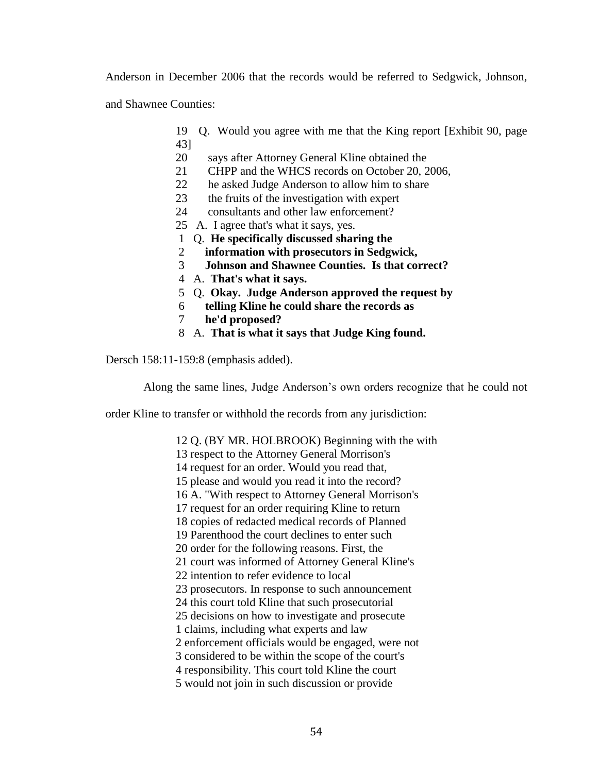Anderson in December 2006 that the records would be referred to Sedgwick, Johnson,

and Shawnee Counties:

19 Q. Would you agree with me that the King report [Exhibit 90, page 43]

- 20 says after Attorney General Kline obtained the
- 21 CHPP and the WHCS records on October 20, 2006,
- 22 he asked Judge Anderson to allow him to share
- 23 the fruits of the investigation with expert
- 24 consultants and other law enforcement?
- 25 A. I agree that's what it says, yes.
- 1 Q. **He specifically discussed sharing the**
- 2 **information with prosecutors in Sedgwick,**
- 3 **Johnson and Shawnee Counties. Is that correct?**
- 4 A. **That's what it says.**
- 5 Q. **Okay. Judge Anderson approved the request by**
- 6 **telling Kline he could share the records as**
- 7 **he'd proposed?**
- 8 A. **That is what it says that Judge King found.**

Dersch 158:11-159:8 (emphasis added).

Along the same lines, Judge Anderson's own orders recognize that he could not

order Kline to transfer or withhold the records from any jurisdiction:

12 Q. (BY MR. HOLBROOK) Beginning with the with 13 respect to the Attorney General Morrison's 14 request for an order. Would you read that, 15 please and would you read it into the record? 16 A. "With respect to Attorney General Morrison's 17 request for an order requiring Kline to return 18 copies of redacted medical records of Planned 19 Parenthood the court declines to enter such 20 order for the following reasons. First, the 21 court was informed of Attorney General Kline's 22 intention to refer evidence to local 23 prosecutors. In response to such announcement 24 this court told Kline that such prosecutorial 25 decisions on how to investigate and prosecute 1 claims, including what experts and law 2 enforcement officials would be engaged, were not 3 considered to be within the scope of the court's 4 responsibility. This court told Kline the court 5 would not join in such discussion or provide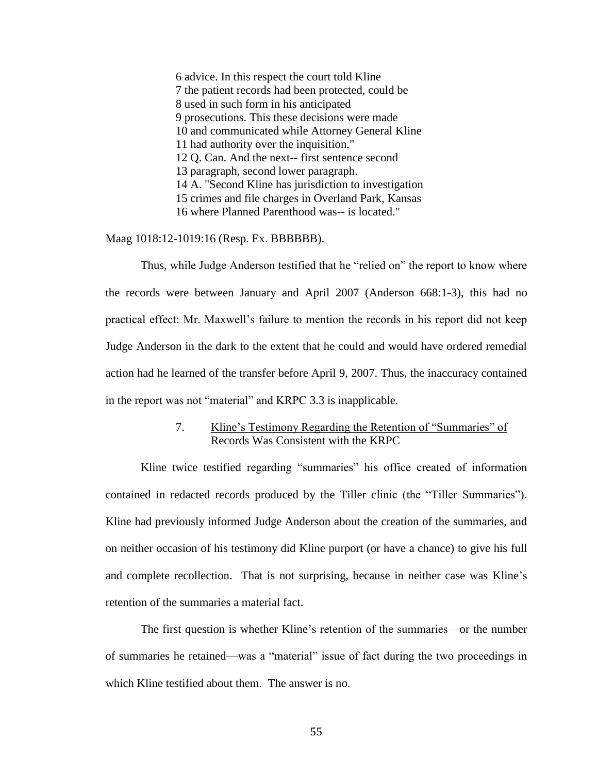6 advice. In this respect the court told Kline 7 the patient records had been protected, could be 8 used in such form in his anticipated 9 prosecutions. This these decisions were made 10 and communicated while Attorney General Kline 11 had authority over the inquisition." 12 Q. Can. And the next-- first sentence second 13 paragraph, second lower paragraph. 14 A. "Second Kline has jurisdiction to investigation 15 crimes and file charges in Overland Park, Kansas 16 where Planned Parenthood was-- is located."

Maag 1018:12-1019:16 (Resp. Ex. BBBBBB).

Thus, while Judge Anderson testified that he "relied on" the report to know where the records were between January and April 2007 (Anderson 668:1-3), this had no practical effect: Mr. Maxwell's failure to mention the records in his report did not keep Judge Anderson in the dark to the extent that he could and would have ordered remedial action had he learned of the transfer before April 9, 2007. Thus, the inaccuracy contained in the report was not "material" and KRPC 3.3 is inapplicable.

# 7. Kline's Testimony Regarding the Retention of "Summaries" of Records Was Consistent with the KRPC

Kline twice testified regarding "summaries" his office created of information contained in redacted records produced by the Tiller clinic (the "Tiller Summaries"). Kline had previously informed Judge Anderson about the creation of the summaries, and on neither occasion of his testimony did Kline purport (or have a chance) to give his full and complete recollection. That is not surprising, because in neither case was Kline's retention of the summaries a material fact.

The first question is whether Kline's retention of the summaries—or the number of summaries he retained—was a "material" issue of fact during the two proceedings in which Kline testified about them. The answer is no.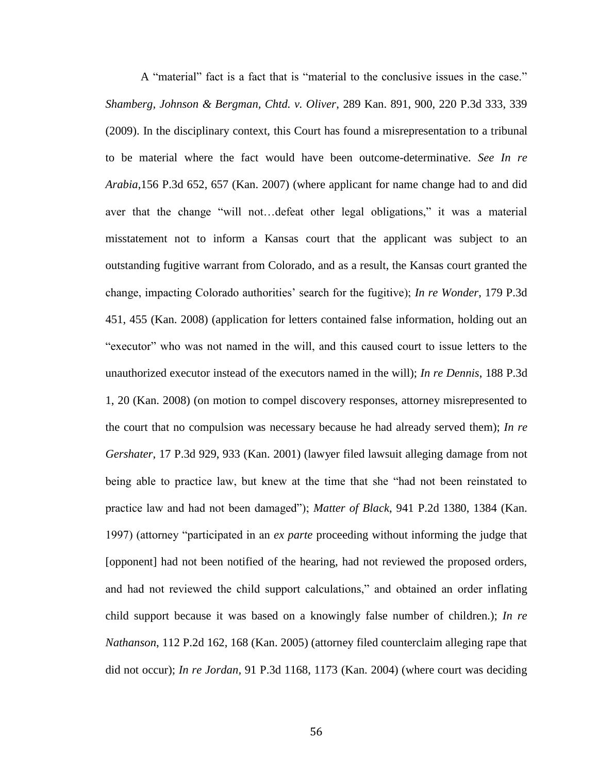A "material" fact is a fact that is "material to the conclusive issues in the case." *Shamberg, Johnson & Bergman, Chtd. v. Oliver*, 289 Kan. 891, 900, 220 P.3d 333, 339 (2009). In the disciplinary context, this Court has found a misrepresentation to a tribunal to be material where the fact would have been outcome-determinative. *See In re Arabia*,156 P.3d 652, 657 (Kan. 2007) (where applicant for name change had to and did aver that the change "will not…defeat other legal obligations," it was a material misstatement not to inform a Kansas court that the applicant was subject to an outstanding fugitive warrant from Colorado, and as a result, the Kansas court granted the change, impacting Colorado authorities' search for the fugitive); *In re Wonder*, 179 P.3d 451, 455 (Kan. 2008) (application for letters contained false information, holding out an "executor" who was not named in the will, and this caused court to issue letters to the unauthorized executor instead of the executors named in the will); *In re Dennis*, 188 P.3d 1, 20 (Kan. 2008) (on motion to compel discovery responses, attorney misrepresented to the court that no compulsion was necessary because he had already served them); *In re Gershater*, 17 P.3d 929, 933 (Kan. 2001) (lawyer filed lawsuit alleging damage from not being able to practice law, but knew at the time that she "had not been reinstated to practice law and had not been damaged"); *Matter of Black*, 941 P.2d 1380, 1384 (Kan. 1997) (attorney "participated in an *ex parte* proceeding without informing the judge that [opponent] had not been notified of the hearing, had not reviewed the proposed orders, and had not reviewed the child support calculations," and obtained an order inflating child support because it was based on a knowingly false number of children.); *In re Nathanson*, 112 P.2d 162, 168 (Kan. 2005) (attorney filed counterclaim alleging rape that did not occur); *In re Jordan,* 91 P.3d 1168, 1173 (Kan. 2004) (where court was deciding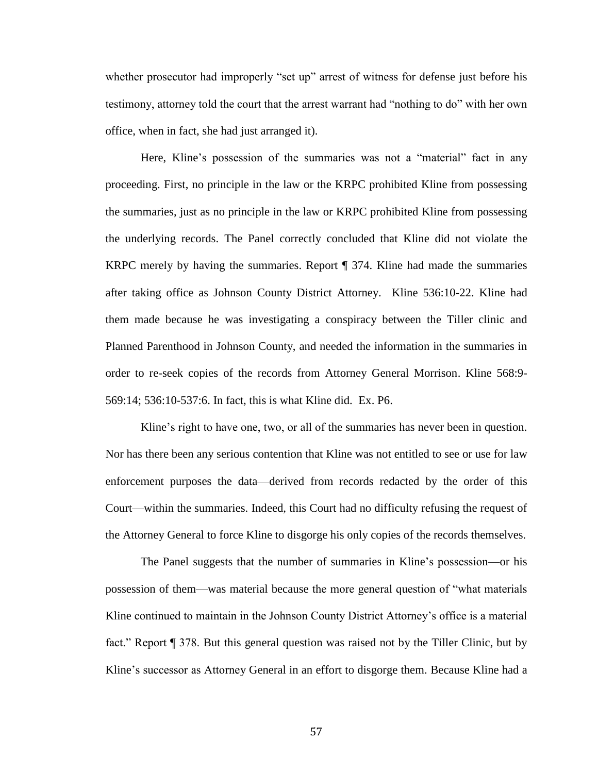whether prosecutor had improperly "set up" arrest of witness for defense just before his testimony, attorney told the court that the arrest warrant had "nothing to do" with her own office, when in fact, she had just arranged it).

Here, Kline's possession of the summaries was not a "material" fact in any proceeding. First, no principle in the law or the KRPC prohibited Kline from possessing the summaries, just as no principle in the law or KRPC prohibited Kline from possessing the underlying records. The Panel correctly concluded that Kline did not violate the KRPC merely by having the summaries. Report ¶ 374. Kline had made the summaries after taking office as Johnson County District Attorney. Kline 536:10-22. Kline had them made because he was investigating a conspiracy between the Tiller clinic and Planned Parenthood in Johnson County, and needed the information in the summaries in order to re-seek copies of the records from Attorney General Morrison. Kline 568:9- 569:14; 536:10-537:6. In fact, this is what Kline did. Ex. P6.

Kline's right to have one, two, or all of the summaries has never been in question. Nor has there been any serious contention that Kline was not entitled to see or use for law enforcement purposes the data—derived from records redacted by the order of this Court—within the summaries. Indeed, this Court had no difficulty refusing the request of the Attorney General to force Kline to disgorge his only copies of the records themselves.

The Panel suggests that the number of summaries in Kline's possession—or his possession of them—was material because the more general question of "what materials Kline continued to maintain in the Johnson County District Attorney's office is a material fact." Report ¶ 378. But this general question was raised not by the Tiller Clinic, but by Kline's successor as Attorney General in an effort to disgorge them. Because Kline had a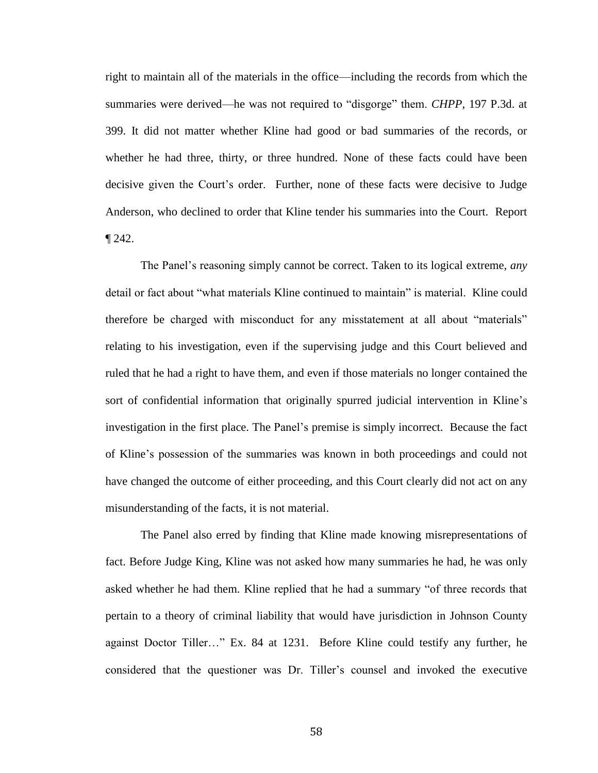right to maintain all of the materials in the office—including the records from which the summaries were derived—he was not required to "disgorge" them. *CHPP*, 197 P.3d. at 399. It did not matter whether Kline had good or bad summaries of the records, or whether he had three, thirty, or three hundred. None of these facts could have been decisive given the Court's order. Further, none of these facts were decisive to Judge Anderson, who declined to order that Kline tender his summaries into the Court. Report ¶ 242.

The Panel's reasoning simply cannot be correct. Taken to its logical extreme, *any* detail or fact about "what materials Kline continued to maintain" is material. Kline could therefore be charged with misconduct for any misstatement at all about "materials" relating to his investigation, even if the supervising judge and this Court believed and ruled that he had a right to have them, and even if those materials no longer contained the sort of confidential information that originally spurred judicial intervention in Kline's investigation in the first place. The Panel's premise is simply incorrect. Because the fact of Kline's possession of the summaries was known in both proceedings and could not have changed the outcome of either proceeding, and this Court clearly did not act on any misunderstanding of the facts, it is not material.

The Panel also erred by finding that Kline made knowing misrepresentations of fact. Before Judge King, Kline was not asked how many summaries he had, he was only asked whether he had them. Kline replied that he had a summary "of three records that pertain to a theory of criminal liability that would have jurisdiction in Johnson County against Doctor Tiller…" Ex. 84 at 1231. Before Kline could testify any further, he considered that the questioner was Dr. Tiller's counsel and invoked the executive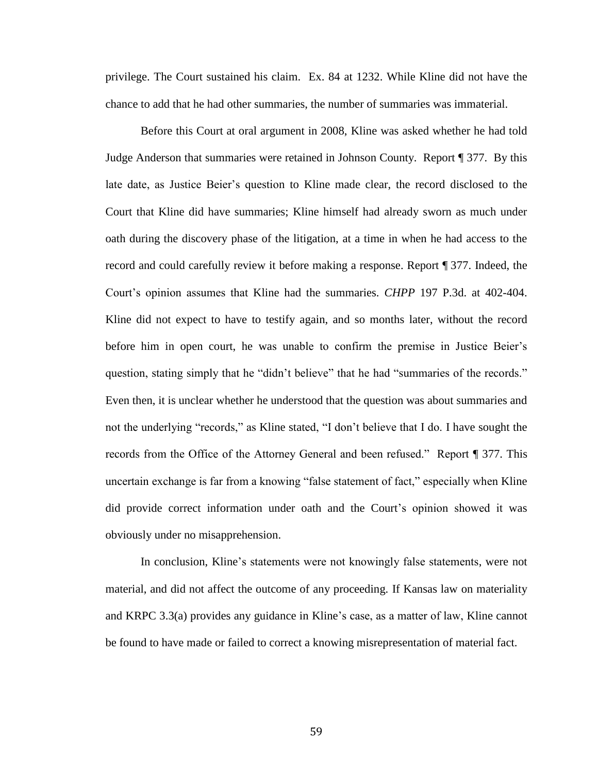privilege. The Court sustained his claim. Ex. 84 at 1232. While Kline did not have the chance to add that he had other summaries, the number of summaries was immaterial.

Before this Court at oral argument in 2008, Kline was asked whether he had told Judge Anderson that summaries were retained in Johnson County. Report ¶ 377. By this late date, as Justice Beier's question to Kline made clear, the record disclosed to the Court that Kline did have summaries; Kline himself had already sworn as much under oath during the discovery phase of the litigation, at a time in when he had access to the record and could carefully review it before making a response. Report ¶ 377. Indeed, the Court's opinion assumes that Kline had the summaries. *CHPP* 197 P.3d. at 402-404. Kline did not expect to have to testify again, and so months later, without the record before him in open court, he was unable to confirm the premise in Justice Beier's question, stating simply that he "didn't believe" that he had "summaries of the records." Even then, it is unclear whether he understood that the question was about summaries and not the underlying "records," as Kline stated, "I don't believe that I do. I have sought the records from the Office of the Attorney General and been refused." Report ¶ 377. This uncertain exchange is far from a knowing "false statement of fact," especially when Kline did provide correct information under oath and the Court's opinion showed it was obviously under no misapprehension.

In conclusion, Kline's statements were not knowingly false statements, were not material, and did not affect the outcome of any proceeding. If Kansas law on materiality and KRPC 3.3(a) provides any guidance in Kline's case, as a matter of law, Kline cannot be found to have made or failed to correct a knowing misrepresentation of material fact.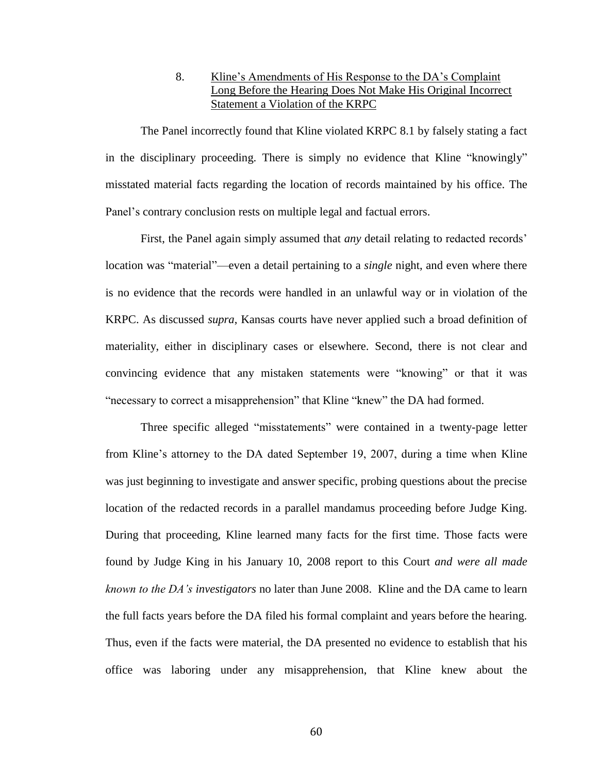# 8. Kline's Amendments of His Response to the DA's Complaint Long Before the Hearing Does Not Make His Original Incorrect Statement a Violation of the KRPC

The Panel incorrectly found that Kline violated KRPC 8.1 by falsely stating a fact in the disciplinary proceeding. There is simply no evidence that Kline "knowingly" misstated material facts regarding the location of records maintained by his office. The Panel's contrary conclusion rests on multiple legal and factual errors.

First, the Panel again simply assumed that *any* detail relating to redacted records' location was "material"—even a detail pertaining to a *single* night, and even where there is no evidence that the records were handled in an unlawful way or in violation of the KRPC. As discussed *supra*, Kansas courts have never applied such a broad definition of materiality, either in disciplinary cases or elsewhere. Second, there is not clear and convincing evidence that any mistaken statements were "knowing" or that it was "necessary to correct a misapprehension" that Kline "knew" the DA had formed.

Three specific alleged "misstatements" were contained in a twenty-page letter from Kline's attorney to the DA dated September 19, 2007, during a time when Kline was just beginning to investigate and answer specific, probing questions about the precise location of the redacted records in a parallel mandamus proceeding before Judge King. During that proceeding, Kline learned many facts for the first time. Those facts were found by Judge King in his January 10, 2008 report to this Court *and were all made known to the DA's investigators* no later than June 2008. Kline and the DA came to learn the full facts years before the DA filed his formal complaint and years before the hearing. Thus, even if the facts were material, the DA presented no evidence to establish that his office was laboring under any misapprehension, that Kline knew about the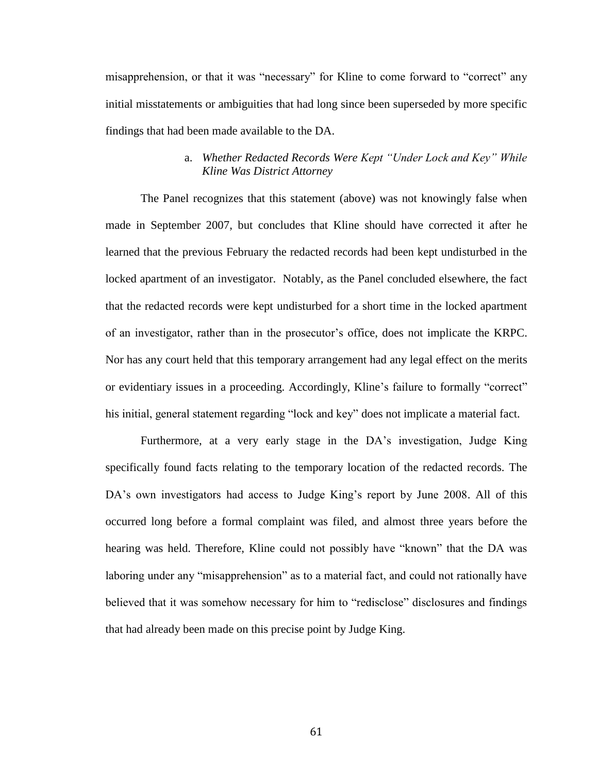misapprehension, or that it was "necessary" for Kline to come forward to "correct" any initial misstatements or ambiguities that had long since been superseded by more specific findings that had been made available to the DA.

## a. *Whether Redacted Records Were Kept "Under Lock and Key" While Kline Was District Attorney*

The Panel recognizes that this statement (above) was not knowingly false when made in September 2007, but concludes that Kline should have corrected it after he learned that the previous February the redacted records had been kept undisturbed in the locked apartment of an investigator. Notably, as the Panel concluded elsewhere, the fact that the redacted records were kept undisturbed for a short time in the locked apartment of an investigator, rather than in the prosecutor's office, does not implicate the KRPC. Nor has any court held that this temporary arrangement had any legal effect on the merits or evidentiary issues in a proceeding. Accordingly, Kline's failure to formally "correct" his initial, general statement regarding "lock and key" does not implicate a material fact.

Furthermore, at a very early stage in the DA's investigation, Judge King specifically found facts relating to the temporary location of the redacted records. The DA's own investigators had access to Judge King's report by June 2008. All of this occurred long before a formal complaint was filed, and almost three years before the hearing was held. Therefore, Kline could not possibly have "known" that the DA was laboring under any "misapprehension" as to a material fact, and could not rationally have believed that it was somehow necessary for him to "redisclose" disclosures and findings that had already been made on this precise point by Judge King.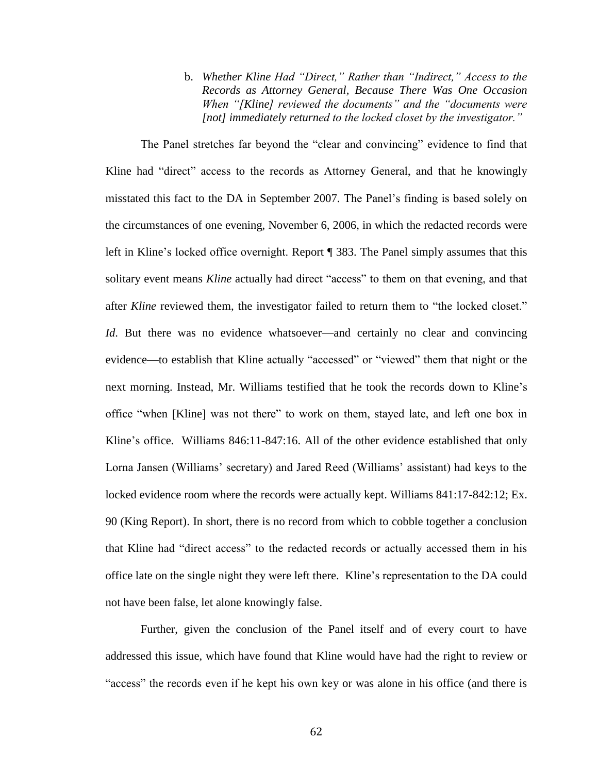b. *Whether Kline Had "Direct," Rather than "Indirect," Access to the Records as Attorney General, Because There Was One Occasion When "[Kline] reviewed the documents" and the "documents were [not] immediately returned to the locked closet by the investigator."*

The Panel stretches far beyond the "clear and convincing" evidence to find that Kline had "direct" access to the records as Attorney General, and that he knowingly misstated this fact to the DA in September 2007. The Panel's finding is based solely on the circumstances of one evening, November 6, 2006, in which the redacted records were left in Kline's locked office overnight. Report ¶ 383. The Panel simply assumes that this solitary event means *Kline* actually had direct "access" to them on that evening, and that after *Kline* reviewed them, the investigator failed to return them to "the locked closet." *Id*. But there was no evidence whatsoever—and certainly no clear and convincing evidence—to establish that Kline actually "accessed" or "viewed" them that night or the next morning. Instead, Mr. Williams testified that he took the records down to Kline's office "when [Kline] was not there" to work on them, stayed late, and left one box in Kline's office. Williams 846:11-847:16. All of the other evidence established that only Lorna Jansen (Williams' secretary) and Jared Reed (Williams' assistant) had keys to the locked evidence room where the records were actually kept. Williams 841:17-842:12; Ex. 90 (King Report). In short, there is no record from which to cobble together a conclusion that Kline had "direct access" to the redacted records or actually accessed them in his office late on the single night they were left there. Kline's representation to the DA could not have been false, let alone knowingly false.

Further, given the conclusion of the Panel itself and of every court to have addressed this issue, which have found that Kline would have had the right to review or "access" the records even if he kept his own key or was alone in his office (and there is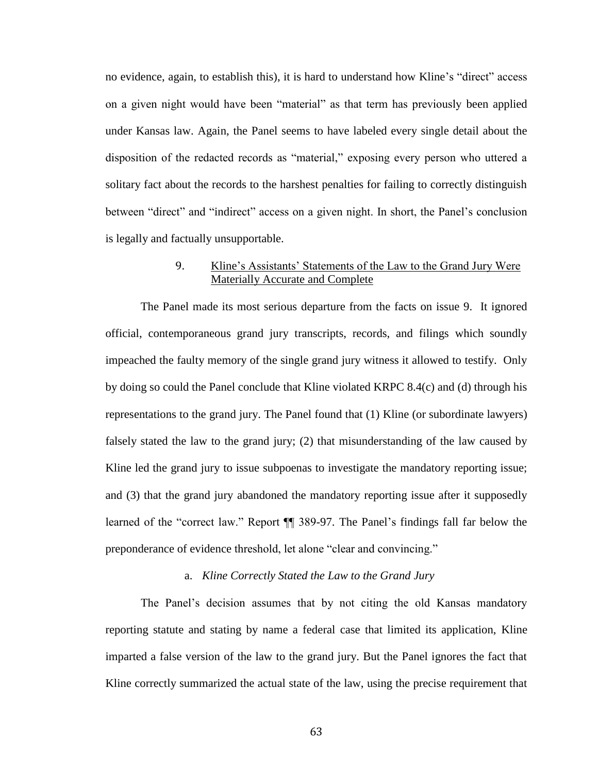no evidence, again, to establish this), it is hard to understand how Kline's "direct" access on a given night would have been "material" as that term has previously been applied under Kansas law. Again, the Panel seems to have labeled every single detail about the disposition of the redacted records as "material," exposing every person who uttered a solitary fact about the records to the harshest penalties for failing to correctly distinguish between "direct" and "indirect" access on a given night. In short, the Panel's conclusion is legally and factually unsupportable.

# 9. Kline's Assistants' Statements of the Law to the Grand Jury Were Materially Accurate and Complete

The Panel made its most serious departure from the facts on issue 9. It ignored official, contemporaneous grand jury transcripts, records, and filings which soundly impeached the faulty memory of the single grand jury witness it allowed to testify. Only by doing so could the Panel conclude that Kline violated KRPC 8.4(c) and (d) through his representations to the grand jury. The Panel found that (1) Kline (or subordinate lawyers) falsely stated the law to the grand jury; (2) that misunderstanding of the law caused by Kline led the grand jury to issue subpoenas to investigate the mandatory reporting issue; and (3) that the grand jury abandoned the mandatory reporting issue after it supposedly learned of the "correct law." Report  $\P$  389-97. The Panel's findings fall far below the preponderance of evidence threshold, let alone "clear and convincing."

#### a. *Kline Correctly Stated the Law to the Grand Jury*

The Panel's decision assumes that by not citing the old Kansas mandatory reporting statute and stating by name a federal case that limited its application, Kline imparted a false version of the law to the grand jury. But the Panel ignores the fact that Kline correctly summarized the actual state of the law, using the precise requirement that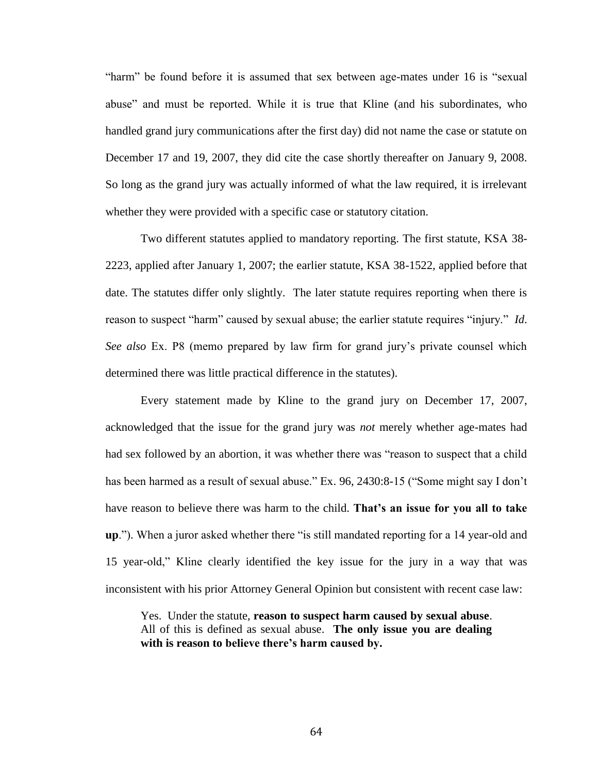"harm" be found before it is assumed that sex between age-mates under 16 is "sexual abuse" and must be reported. While it is true that Kline (and his subordinates, who handled grand jury communications after the first day) did not name the case or statute on December 17 and 19, 2007, they did cite the case shortly thereafter on January 9, 2008. So long as the grand jury was actually informed of what the law required, it is irrelevant whether they were provided with a specific case or statutory citation.

Two different statutes applied to mandatory reporting. The first statute, KSA 38- 2223, applied after January 1, 2007; the earlier statute, KSA 38-1522, applied before that date. The statutes differ only slightly. The later statute requires reporting when there is reason to suspect "harm" caused by sexual abuse; the earlier statute requires "injury." *Id*. *See also* Ex. P8 (memo prepared by law firm for grand jury's private counsel which determined there was little practical difference in the statutes).

Every statement made by Kline to the grand jury on December 17, 2007, acknowledged that the issue for the grand jury was *not* merely whether age-mates had had sex followed by an abortion, it was whether there was "reason to suspect that a child has been harmed as a result of sexual abuse." Ex. 96, 2430:8-15 ("Some might say I don't have reason to believe there was harm to the child. **That's an issue for you all to take up**."). When a juror asked whether there "is still mandated reporting for a 14 year-old and 15 year-old," Kline clearly identified the key issue for the jury in a way that was inconsistent with his prior Attorney General Opinion but consistent with recent case law:

Yes. Under the statute, **reason to suspect harm caused by sexual abuse**. All of this is defined as sexual abuse. **The only issue you are dealing with is reason to believe there's harm caused by.**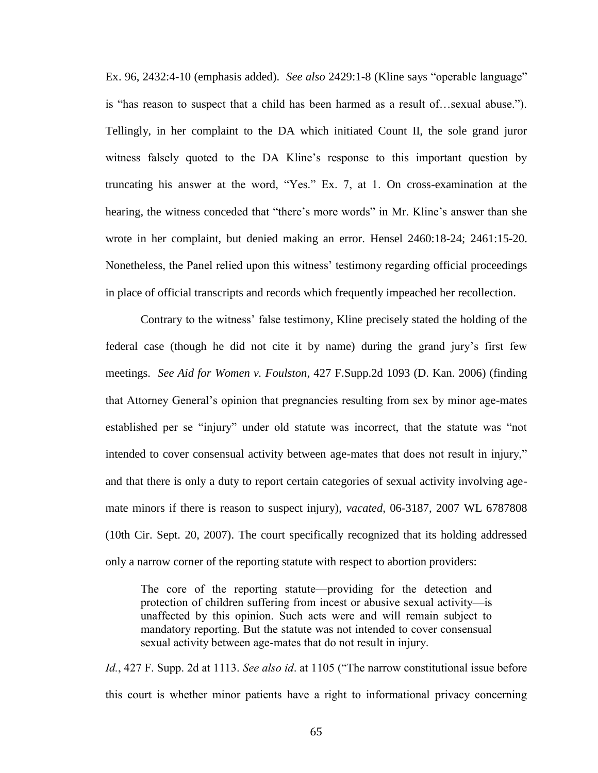Ex. 96, 2432:4-10 (emphasis added). *See also* 2429:1-8 (Kline says "operable language" is "has reason to suspect that a child has been harmed as a result of…sexual abuse."). Tellingly, in her complaint to the DA which initiated Count II, the sole grand juror witness falsely quoted to the DA Kline's response to this important question by truncating his answer at the word, "Yes." Ex. 7, at 1. On cross-examination at the hearing, the witness conceded that "there's more words" in Mr. Kline's answer than she wrote in her complaint, but denied making an error. Hensel 2460:18-24; 2461:15-20. Nonetheless, the Panel relied upon this witness' testimony regarding official proceedings in place of official transcripts and records which frequently impeached her recollection.

Contrary to the witness' false testimony, Kline precisely stated the holding of the federal case (though he did not cite it by name) during the grand jury's first few meetings. *See Aid for Women v. Foulston*, 427 F.Supp.2d 1093 (D. Kan. 2006) (finding that Attorney General's opinion that pregnancies resulting from sex by minor age-mates established per se "injury" under old statute was incorrect, that the statute was "not intended to cover consensual activity between age-mates that does not result in injury," and that there is only a duty to report certain categories of sexual activity involving agemate minors if there is reason to suspect injury), *vacated,* 06-3187, 2007 WL 6787808 (10th Cir. Sept. 20, 2007). The court specifically recognized that its holding addressed only a narrow corner of the reporting statute with respect to abortion providers:

The core of the reporting statute—providing for the detection and protection of children suffering from incest or abusive sexual activity—is unaffected by this opinion. Such acts were and will remain subject to mandatory reporting. But the statute was not intended to cover consensual sexual activity between age-mates that do not result in injury.

*Id.*, 427 F. Supp. 2d at 1113. *See also id*. at 1105 ("The narrow constitutional issue before this court is whether minor patients have a right to informational privacy concerning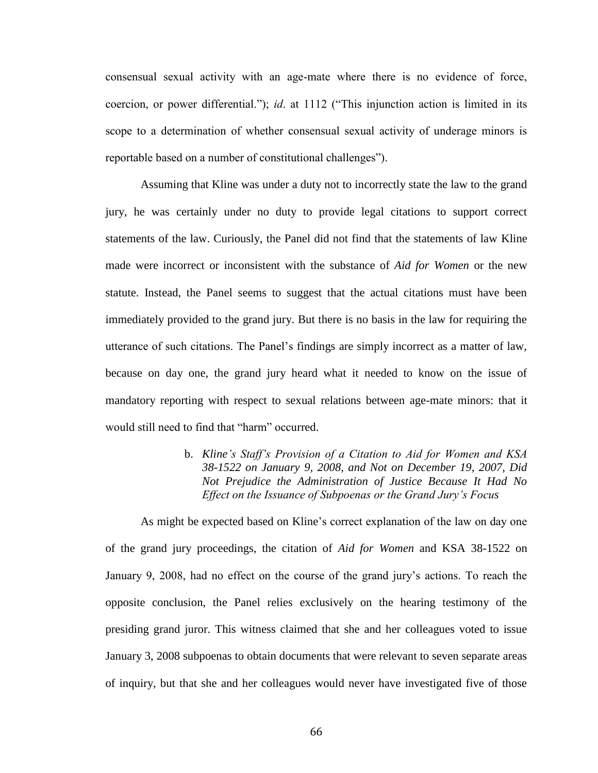consensual sexual activity with an age-mate where there is no evidence of force, coercion, or power differential."); *id*. at 1112 ("This injunction action is limited in its scope to a determination of whether consensual sexual activity of underage minors is reportable based on a number of constitutional challenges").

Assuming that Kline was under a duty not to incorrectly state the law to the grand jury, he was certainly under no duty to provide legal citations to support correct statements of the law. Curiously, the Panel did not find that the statements of law Kline made were incorrect or inconsistent with the substance of *Aid for Women* or the new statute. Instead, the Panel seems to suggest that the actual citations must have been immediately provided to the grand jury. But there is no basis in the law for requiring the utterance of such citations. The Panel's findings are simply incorrect as a matter of law, because on day one, the grand jury heard what it needed to know on the issue of mandatory reporting with respect to sexual relations between age-mate minors: that it would still need to find that "harm" occurred.

> b. *Kline's Staff's Provision of a Citation to Aid for Women and KSA 38-1522 on January 9, 2008, and Not on December 19, 2007, Did Not Prejudice the Administration of Justice Because It Had No Effect on the Issuance of Subpoenas or the Grand Jury's Focus*

As might be expected based on Kline's correct explanation of the law on day one of the grand jury proceedings, the citation of *Aid for Women* and KSA 38-1522 on January 9, 2008, had no effect on the course of the grand jury's actions. To reach the opposite conclusion, the Panel relies exclusively on the hearing testimony of the presiding grand juror. This witness claimed that she and her colleagues voted to issue January 3, 2008 subpoenas to obtain documents that were relevant to seven separate areas of inquiry, but that she and her colleagues would never have investigated five of those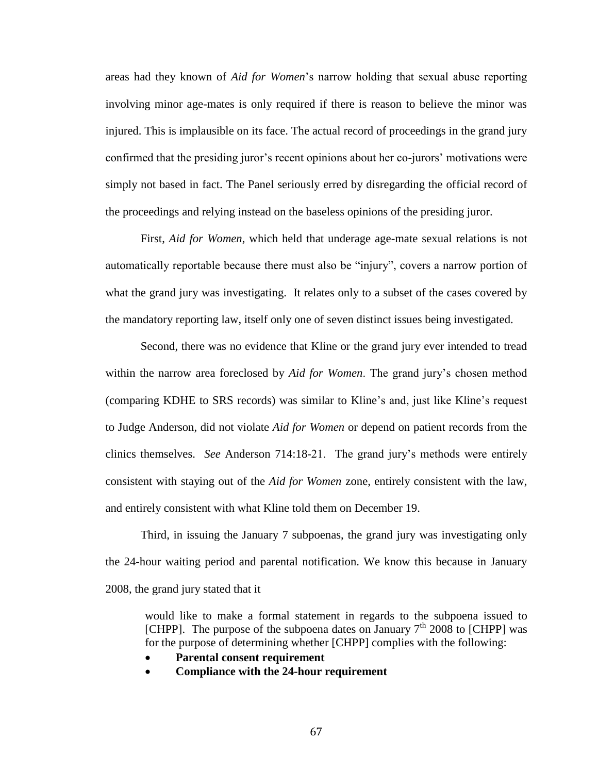areas had they known of *Aid for Women*'s narrow holding that sexual abuse reporting involving minor age-mates is only required if there is reason to believe the minor was injured. This is implausible on its face. The actual record of proceedings in the grand jury confirmed that the presiding juror's recent opinions about her co-jurors' motivations were simply not based in fact. The Panel seriously erred by disregarding the official record of the proceedings and relying instead on the baseless opinions of the presiding juror.

First, *Aid for Women*, which held that underage age-mate sexual relations is not automatically reportable because there must also be "injury", covers a narrow portion of what the grand jury was investigating. It relates only to a subset of the cases covered by the mandatory reporting law, itself only one of seven distinct issues being investigated.

Second, there was no evidence that Kline or the grand jury ever intended to tread within the narrow area foreclosed by *Aid for Women*. The grand jury's chosen method (comparing KDHE to SRS records) was similar to Kline's and, just like Kline's request to Judge Anderson, did not violate *Aid for Women* or depend on patient records from the clinics themselves. *See* Anderson 714:18-21. The grand jury's methods were entirely consistent with staying out of the *Aid for Women* zone, entirely consistent with the law, and entirely consistent with what Kline told them on December 19.

Third, in issuing the January 7 subpoenas, the grand jury was investigating only the 24-hour waiting period and parental notification. We know this because in January 2008, the grand jury stated that it

would like to make a formal statement in regards to the subpoena issued to [CHPP]. The purpose of the subpoena dates on January  $7<sup>th</sup>$  2008 to [CHPP] was for the purpose of determining whether [CHPP] complies with the following:

- **Parental consent requirement**
- **Compliance with the 24-hour requirement**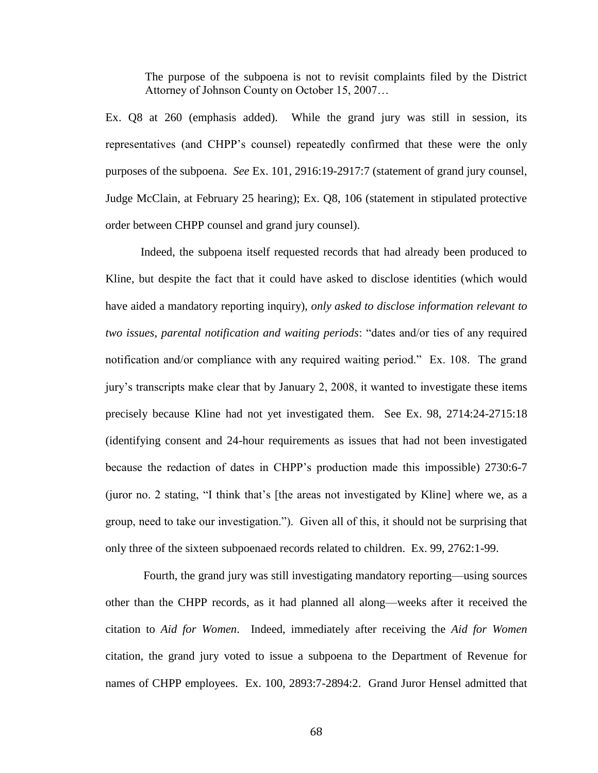The purpose of the subpoena is not to revisit complaints filed by the District Attorney of Johnson County on October 15, 2007…

Ex. Q8 at 260 (emphasis added). While the grand jury was still in session, its representatives (and CHPP's counsel) repeatedly confirmed that these were the only purposes of the subpoena. *See* Ex. 101, 2916:19-2917:7 (statement of grand jury counsel, Judge McClain, at February 25 hearing); Ex. Q8, 106 (statement in stipulated protective order between CHPP counsel and grand jury counsel).

Indeed, the subpoena itself requested records that had already been produced to Kline, but despite the fact that it could have asked to disclose identities (which would have aided a mandatory reporting inquiry), *only asked to disclose information relevant to two issues, parental notification and waiting periods*: "dates and/or ties of any required notification and/or compliance with any required waiting period." Ex. 108. The grand jury's transcripts make clear that by January 2, 2008, it wanted to investigate these items precisely because Kline had not yet investigated them. See Ex. 98, 2714:24-2715:18 (identifying consent and 24-hour requirements as issues that had not been investigated because the redaction of dates in CHPP's production made this impossible) 2730:6-7 (juror no. 2 stating, "I think that's [the areas not investigated by Kline] where we, as a group, need to take our investigation."). Given all of this, it should not be surprising that only three of the sixteen subpoenaed records related to children. Ex. 99, 2762:1-99.

Fourth, the grand jury was still investigating mandatory reporting—using sources other than the CHPP records, as it had planned all along—weeks after it received the citation to *Aid for Women*. Indeed, immediately after receiving the *Aid for Women* citation, the grand jury voted to issue a subpoena to the Department of Revenue for names of CHPP employees. Ex. 100, 2893:7-2894:2. Grand Juror Hensel admitted that

68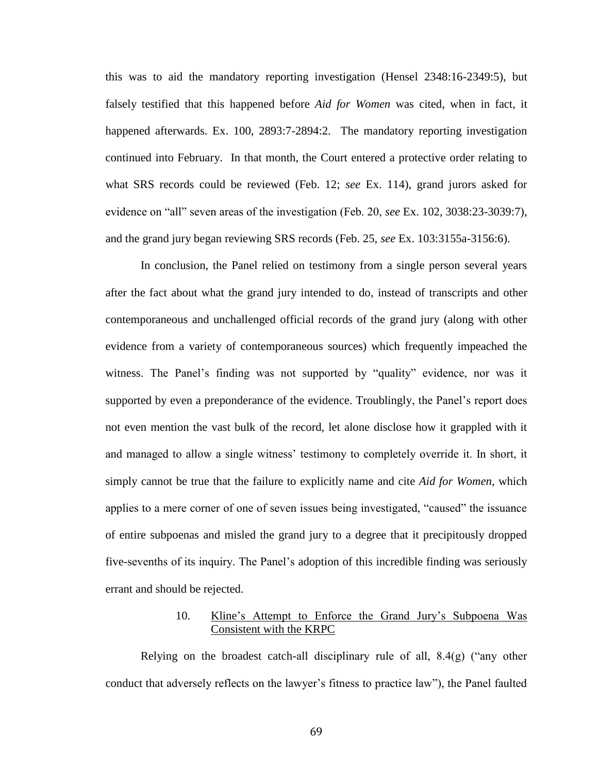this was to aid the mandatory reporting investigation (Hensel 2348:16-2349:5), but falsely testified that this happened before *Aid for Women* was cited, when in fact, it happened afterwards. Ex. 100, 2893:7-2894:2. The mandatory reporting investigation continued into February. In that month, the Court entered a protective order relating to what SRS records could be reviewed (Feb. 12; *see* Ex. 114), grand jurors asked for evidence on "all" seven areas of the investigation (Feb. 20, *see* Ex. 102, 3038:23-3039:7), and the grand jury began reviewing SRS records (Feb. 25, *see* Ex. 103:3155a-3156:6).

In conclusion, the Panel relied on testimony from a single person several years after the fact about what the grand jury intended to do, instead of transcripts and other contemporaneous and unchallenged official records of the grand jury (along with other evidence from a variety of contemporaneous sources) which frequently impeached the witness. The Panel's finding was not supported by "quality" evidence, nor was it supported by even a preponderance of the evidence. Troublingly, the Panel's report does not even mention the vast bulk of the record, let alone disclose how it grappled with it and managed to allow a single witness' testimony to completely override it. In short, it simply cannot be true that the failure to explicitly name and cite *Aid for Women*, which applies to a mere corner of one of seven issues being investigated, "caused" the issuance of entire subpoenas and misled the grand jury to a degree that it precipitously dropped five-sevenths of its inquiry. The Panel's adoption of this incredible finding was seriously errant and should be rejected.

## 10. Kline's Attempt to Enforce the Grand Jury's Subpoena Was Consistent with the KRPC

Relying on the broadest catch-all disciplinary rule of all, 8.4(g) ("any other conduct that adversely reflects on the lawyer's fitness to practice law"), the Panel faulted

69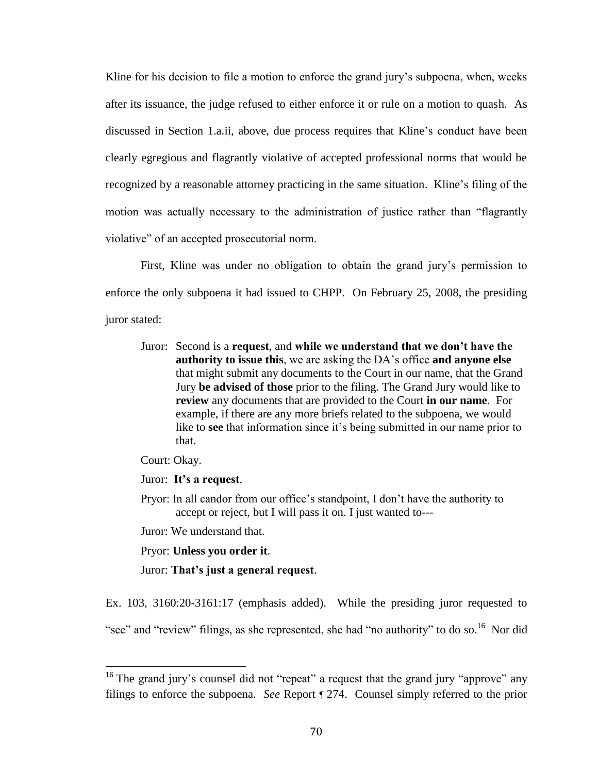Kline for his decision to file a motion to enforce the grand jury's subpoena, when, weeks after its issuance, the judge refused to either enforce it or rule on a motion to quash. As discussed in Section 1.a.ii, above, due process requires that Kline's conduct have been clearly egregious and flagrantly violative of accepted professional norms that would be recognized by a reasonable attorney practicing in the same situation. Kline's filing of the motion was actually necessary to the administration of justice rather than "flagrantly violative" of an accepted prosecutorial norm.

First, Kline was under no obligation to obtain the grand jury's permission to enforce the only subpoena it had issued to CHPP. On February 25, 2008, the presiding juror stated:

Juror: Second is a **request**, and **while we understand that we don't have the authority to issue this**, we are asking the DA's office **and anyone else** that might submit any documents to the Court in our name, that the Grand Jury **be advised of those** prior to the filing. The Grand Jury would like to **review** any documents that are provided to the Court **in our name**. For example, if there are any more briefs related to the subpoena, we would like to **see** that information since it's being submitted in our name prior to that.

Court: Okay.

 $\overline{\phantom{a}}$ 

Juror: **It's a request**.

Pryor: In all candor from our office's standpoint, I don't have the authority to accept or reject, but I will pass it on. I just wanted to---

Juror: We understand that.

Pryor: **Unless you order it**.

Juror: **That's just a general request**.

Ex. 103, 3160:20-3161:17 (emphasis added). While the presiding juror requested to "see" and "review" filings, as she represented, she had "no authority" to do so.<sup>16</sup> Nor did

<sup>&</sup>lt;sup>16</sup> The grand jury's counsel did not "repeat" a request that the grand jury "approve" any filings to enforce the subpoena. *See* Report ¶ 274. Counsel simply referred to the prior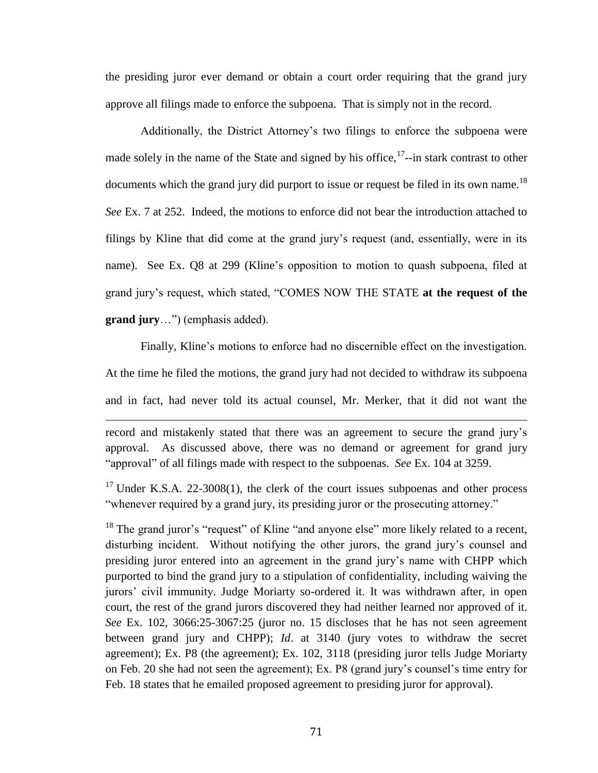the presiding juror ever demand or obtain a court order requiring that the grand jury approve all filings made to enforce the subpoena. That is simply not in the record.

Additionally, the District Attorney's two filings to enforce the subpoena were made solely in the name of the State and signed by his office,  $17$ --in stark contrast to other documents which the grand jury did purport to issue or request be filed in its own name.<sup>18</sup> *See* Ex. 7 at 252. Indeed, the motions to enforce did not bear the introduction attached to filings by Kline that did come at the grand jury's request (and, essentially, were in its name). See Ex. Q8 at 299 (Kline's opposition to motion to quash subpoena, filed at grand jury's request, which stated, "COMES NOW THE STATE **at the request of the grand jury**…") (emphasis added).

Finally, Kline's motions to enforce had no discernible effect on the investigation. At the time he filed the motions, the grand jury had not decided to withdraw its subpoena and in fact, had never told its actual counsel, Mr. Merker, that it did not want the

record and mistakenly stated that there was an agreement to secure the grand jury's approval. As discussed above, there was no demand or agreement for grand jury "approval" of all filings made with respect to the subpoenas. *See* Ex. 104 at 3259.

 $\overline{\phantom{a}}$ 

<sup>17</sup> Under K.S.A. 22-3008(1), the clerk of the court issues subpoenas and other process "whenever required by a grand jury, its presiding juror or the prosecuting attorney."

<sup>18</sup> The grand juror's "request" of Kline "and anyone else" more likely related to a recent, disturbing incident. Without notifying the other jurors, the grand jury's counsel and presiding juror entered into an agreement in the grand jury's name with CHPP which purported to bind the grand jury to a stipulation of confidentiality, including waiving the jurors' civil immunity. Judge Moriarty so-ordered it. It was withdrawn after, in open court, the rest of the grand jurors discovered they had neither learned nor approved of it. *See* Ex. 102, 3066:25-3067:25 (juror no. 15 discloses that he has not seen agreement between grand jury and CHPP); *Id*. at 3140 (jury votes to withdraw the secret agreement); Ex. P8 (the agreement); Ex. 102, 3118 (presiding juror tells Judge Moriarty on Feb. 20 she had not seen the agreement); Ex. P8 (grand jury's counsel's time entry for Feb. 18 states that he emailed proposed agreement to presiding juror for approval).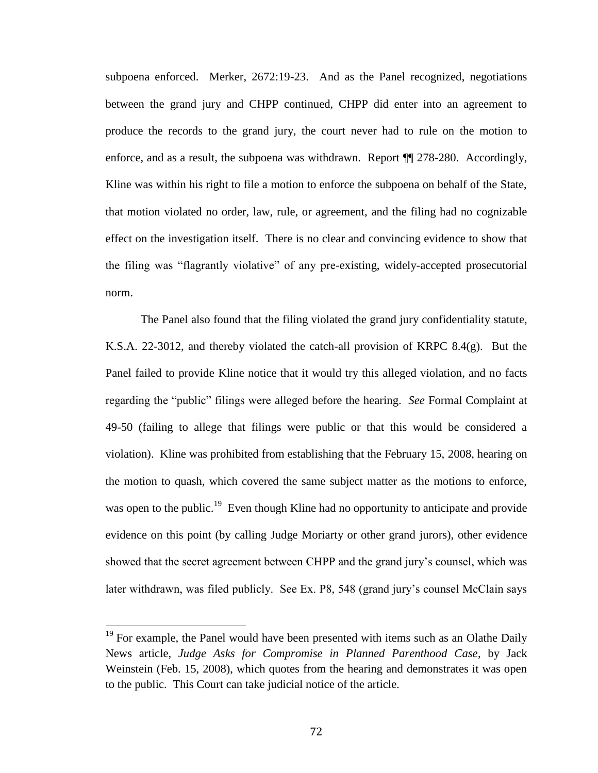subpoena enforced. Merker, 2672:19-23. And as the Panel recognized, negotiations between the grand jury and CHPP continued, CHPP did enter into an agreement to produce the records to the grand jury, the court never had to rule on the motion to enforce, and as a result, the subpoena was withdrawn. Report ¶¶ 278-280. Accordingly, Kline was within his right to file a motion to enforce the subpoena on behalf of the State, that motion violated no order, law, rule, or agreement, and the filing had no cognizable effect on the investigation itself. There is no clear and convincing evidence to show that the filing was "flagrantly violative" of any pre-existing, widely-accepted prosecutorial norm.

The Panel also found that the filing violated the grand jury confidentiality statute, K.S.A. 22-3012, and thereby violated the catch-all provision of KRPC 8.4(g). But the Panel failed to provide Kline notice that it would try this alleged violation, and no facts regarding the "public" filings were alleged before the hearing. *See* Formal Complaint at 49-50 (failing to allege that filings were public or that this would be considered a violation). Kline was prohibited from establishing that the February 15, 2008, hearing on the motion to quash, which covered the same subject matter as the motions to enforce, was open to the public.<sup>19</sup> Even though Kline had no opportunity to anticipate and provide evidence on this point (by calling Judge Moriarty or other grand jurors), other evidence showed that the secret agreement between CHPP and the grand jury's counsel, which was later withdrawn, was filed publicly. See Ex. P8, 548 (grand jury's counsel McClain says

 $\overline{\phantom{a}}$ 

 $19$  For example, the Panel would have been presented with items such as an Olathe Daily News article, *Judge Asks for Compromise in Planned Parenthood Case*, by Jack Weinstein (Feb. 15, 2008), which quotes from the hearing and demonstrates it was open to the public. This Court can take judicial notice of the article.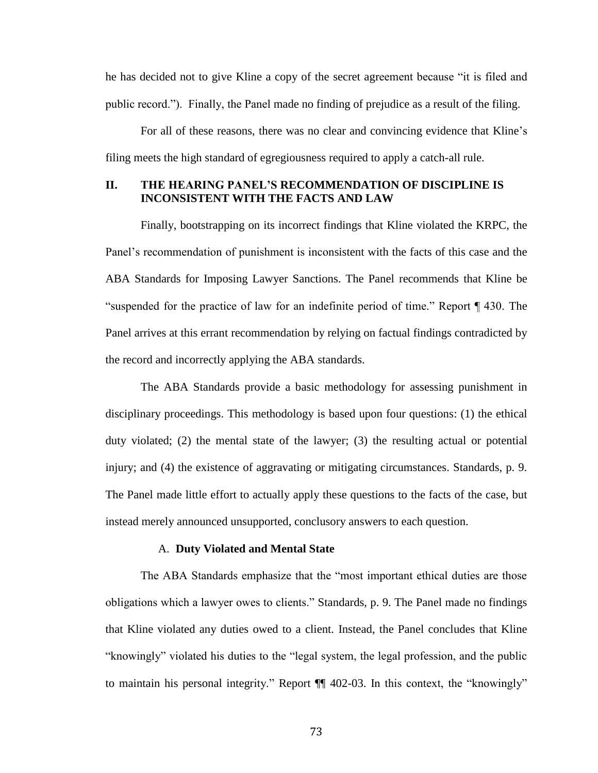he has decided not to give Kline a copy of the secret agreement because "it is filed and public record."). Finally, the Panel made no finding of prejudice as a result of the filing.

For all of these reasons, there was no clear and convincing evidence that Kline's filing meets the high standard of egregiousness required to apply a catch-all rule.

### **II. THE HEARING PANEL'S RECOMMENDATION OF DISCIPLINE IS INCONSISTENT WITH THE FACTS AND LAW**

Finally, bootstrapping on its incorrect findings that Kline violated the KRPC, the Panel's recommendation of punishment is inconsistent with the facts of this case and the ABA Standards for Imposing Lawyer Sanctions. The Panel recommends that Kline be "suspended for the practice of law for an indefinite period of time." Report ¶ 430. The Panel arrives at this errant recommendation by relying on factual findings contradicted by the record and incorrectly applying the ABA standards.

The ABA Standards provide a basic methodology for assessing punishment in disciplinary proceedings. This methodology is based upon four questions: (1) the ethical duty violated; (2) the mental state of the lawyer; (3) the resulting actual or potential injury; and (4) the existence of aggravating or mitigating circumstances. Standards, p. 9. The Panel made little effort to actually apply these questions to the facts of the case, but instead merely announced unsupported, conclusory answers to each question.

#### A. **Duty Violated and Mental State**

The ABA Standards emphasize that the "most important ethical duties are those obligations which a lawyer owes to clients." Standards, p. 9. The Panel made no findings that Kline violated any duties owed to a client. Instead, the Panel concludes that Kline "knowingly" violated his duties to the "legal system, the legal profession, and the public to maintain his personal integrity." Report ¶¶ 402-03. In this context, the "knowingly"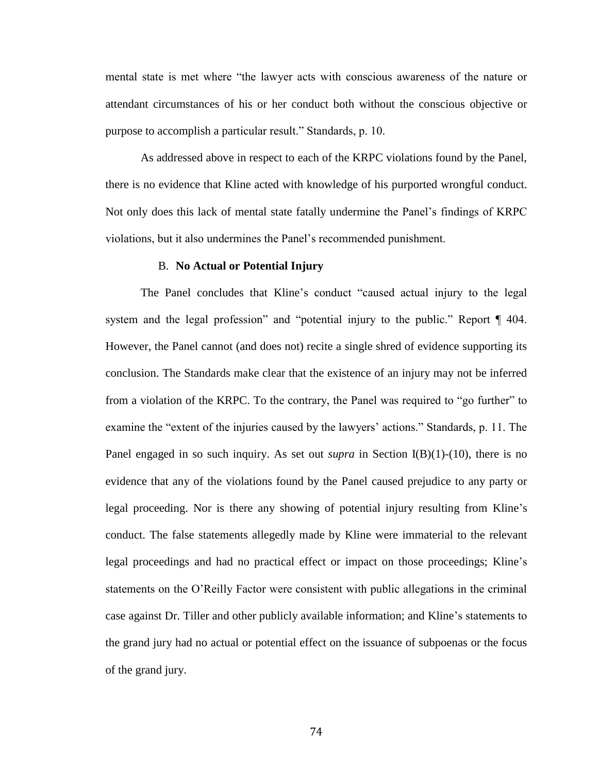mental state is met where "the lawyer acts with conscious awareness of the nature or attendant circumstances of his or her conduct both without the conscious objective or purpose to accomplish a particular result." Standards, p. 10.

As addressed above in respect to each of the KRPC violations found by the Panel, there is no evidence that Kline acted with knowledge of his purported wrongful conduct. Not only does this lack of mental state fatally undermine the Panel's findings of KRPC violations, but it also undermines the Panel's recommended punishment.

#### B. **No Actual or Potential Injury**

The Panel concludes that Kline's conduct "caused actual injury to the legal system and the legal profession" and "potential injury to the public." Report  $\P$  404. However, the Panel cannot (and does not) recite a single shred of evidence supporting its conclusion. The Standards make clear that the existence of an injury may not be inferred from a violation of the KRPC. To the contrary, the Panel was required to "go further" to examine the "extent of the injuries caused by the lawyers' actions." Standards, p. 11. The Panel engaged in so such inquiry. As set out *supra* in Section I(B)(1)-(10), there is no evidence that any of the violations found by the Panel caused prejudice to any party or legal proceeding. Nor is there any showing of potential injury resulting from Kline's conduct. The false statements allegedly made by Kline were immaterial to the relevant legal proceedings and had no practical effect or impact on those proceedings; Kline's statements on the O'Reilly Factor were consistent with public allegations in the criminal case against Dr. Tiller and other publicly available information; and Kline's statements to the grand jury had no actual or potential effect on the issuance of subpoenas or the focus of the grand jury.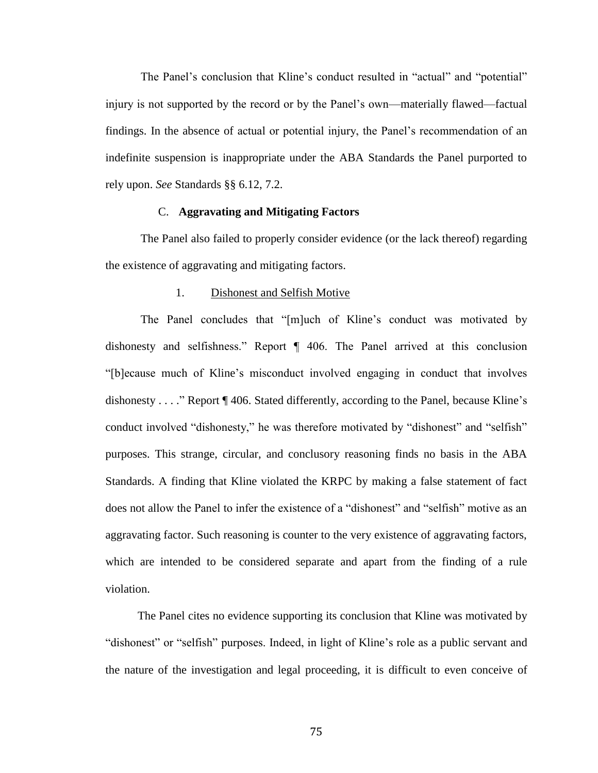The Panel's conclusion that Kline's conduct resulted in "actual" and "potential" injury is not supported by the record or by the Panel's own—materially flawed—factual findings. In the absence of actual or potential injury, the Panel's recommendation of an indefinite suspension is inappropriate under the ABA Standards the Panel purported to rely upon. *See* Standards §§ 6.12, 7.2.

#### C. **Aggravating and Mitigating Factors**

The Panel also failed to properly consider evidence (or the lack thereof) regarding the existence of aggravating and mitigating factors.

#### 1. Dishonest and Selfish Motive

The Panel concludes that "[m]uch of Kline's conduct was motivated by dishonesty and selfishness." Report ¶ 406. The Panel arrived at this conclusion "[b]ecause much of Kline's misconduct involved engaging in conduct that involves dishonesty . . . ." Report ¶ 406. Stated differently, according to the Panel, because Kline's conduct involved "dishonesty," he was therefore motivated by "dishonest" and "selfish" purposes. This strange, circular, and conclusory reasoning finds no basis in the ABA Standards. A finding that Kline violated the KRPC by making a false statement of fact does not allow the Panel to infer the existence of a "dishonest" and "selfish" motive as an aggravating factor. Such reasoning is counter to the very existence of aggravating factors, which are intended to be considered separate and apart from the finding of a rule violation.

 The Panel cites no evidence supporting its conclusion that Kline was motivated by "dishonest" or "selfish" purposes. Indeed, in light of Kline's role as a public servant and the nature of the investigation and legal proceeding, it is difficult to even conceive of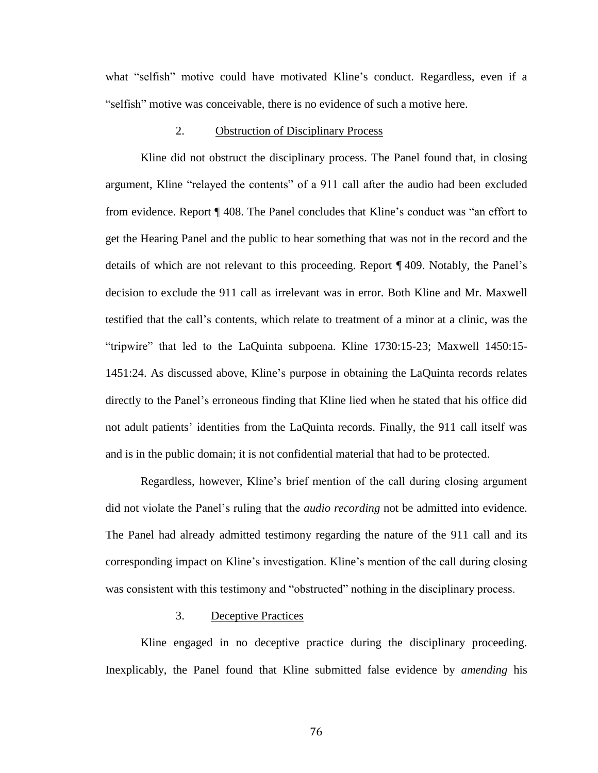what "selfish" motive could have motivated Kline's conduct. Regardless, even if a "selfish" motive was conceivable, there is no evidence of such a motive here.

#### 2. Obstruction of Disciplinary Process

Kline did not obstruct the disciplinary process. The Panel found that, in closing argument, Kline "relayed the contents" of a 911 call after the audio had been excluded from evidence. Report ¶ 408. The Panel concludes that Kline's conduct was "an effort to get the Hearing Panel and the public to hear something that was not in the record and the details of which are not relevant to this proceeding. Report ¶ 409. Notably, the Panel's decision to exclude the 911 call as irrelevant was in error. Both Kline and Mr. Maxwell testified that the call's contents, which relate to treatment of a minor at a clinic, was the "tripwire" that led to the LaQuinta subpoena. Kline 1730:15-23; Maxwell 1450:15- 1451:24. As discussed above, Kline's purpose in obtaining the LaQuinta records relates directly to the Panel's erroneous finding that Kline lied when he stated that his office did not adult patients' identities from the LaQuinta records. Finally, the 911 call itself was and is in the public domain; it is not confidential material that had to be protected.

Regardless, however, Kline's brief mention of the call during closing argument did not violate the Panel's ruling that the *audio recording* not be admitted into evidence. The Panel had already admitted testimony regarding the nature of the 911 call and its corresponding impact on Kline's investigation. Kline's mention of the call during closing was consistent with this testimony and "obstructed" nothing in the disciplinary process.

#### 3. Deceptive Practices

Kline engaged in no deceptive practice during the disciplinary proceeding. Inexplicably, the Panel found that Kline submitted false evidence by *amending* his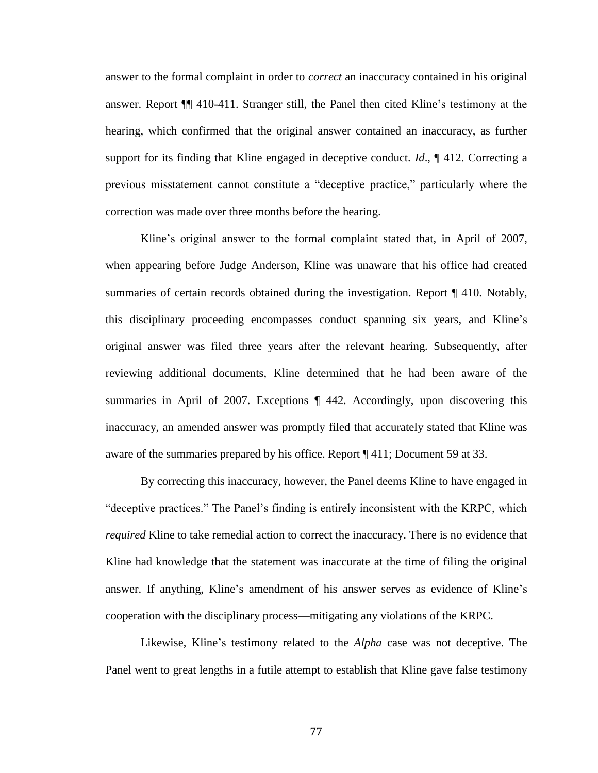answer to the formal complaint in order to *correct* an inaccuracy contained in his original answer. Report ¶¶ 410-411. Stranger still, the Panel then cited Kline's testimony at the hearing, which confirmed that the original answer contained an inaccuracy, as further support for its finding that Kline engaged in deceptive conduct. *Id*., ¶ 412. Correcting a previous misstatement cannot constitute a "deceptive practice," particularly where the correction was made over three months before the hearing.

Kline's original answer to the formal complaint stated that, in April of 2007, when appearing before Judge Anderson, Kline was unaware that his office had created summaries of certain records obtained during the investigation. Report ¶ 410. Notably, this disciplinary proceeding encompasses conduct spanning six years, and Kline's original answer was filed three years after the relevant hearing. Subsequently, after reviewing additional documents, Kline determined that he had been aware of the summaries in April of 2007. Exceptions  $\P$  442. Accordingly, upon discovering this inaccuracy, an amended answer was promptly filed that accurately stated that Kline was aware of the summaries prepared by his office. Report ¶ 411; Document 59 at 33.

By correcting this inaccuracy, however, the Panel deems Kline to have engaged in "deceptive practices." The Panel's finding is entirely inconsistent with the KRPC, which *required* Kline to take remedial action to correct the inaccuracy. There is no evidence that Kline had knowledge that the statement was inaccurate at the time of filing the original answer. If anything, Kline's amendment of his answer serves as evidence of Kline's cooperation with the disciplinary process—mitigating any violations of the KRPC.

Likewise, Kline's testimony related to the *Alpha* case was not deceptive. The Panel went to great lengths in a futile attempt to establish that Kline gave false testimony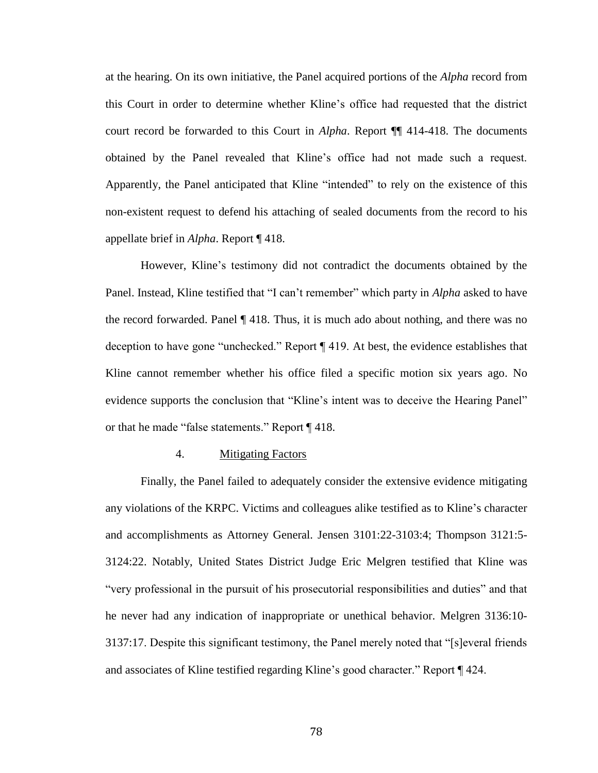at the hearing. On its own initiative, the Panel acquired portions of the *Alpha* record from this Court in order to determine whether Kline's office had requested that the district court record be forwarded to this Court in *Alpha*. Report ¶¶ 414-418. The documents obtained by the Panel revealed that Kline's office had not made such a request. Apparently, the Panel anticipated that Kline "intended" to rely on the existence of this non-existent request to defend his attaching of sealed documents from the record to his appellate brief in *Alpha*. Report ¶ 418.

However, Kline's testimony did not contradict the documents obtained by the Panel. Instead, Kline testified that "I can't remember" which party in *Alpha* asked to have the record forwarded. Panel ¶ 418. Thus, it is much ado about nothing, and there was no deception to have gone "unchecked." Report ¶ 419. At best, the evidence establishes that Kline cannot remember whether his office filed a specific motion six years ago. No evidence supports the conclusion that "Kline's intent was to deceive the Hearing Panel" or that he made "false statements." Report ¶ 418.

#### 4. Mitigating Factors

Finally, the Panel failed to adequately consider the extensive evidence mitigating any violations of the KRPC. Victims and colleagues alike testified as to Kline's character and accomplishments as Attorney General. Jensen 3101:22-3103:4; Thompson 3121:5- 3124:22. Notably, United States District Judge Eric Melgren testified that Kline was "very professional in the pursuit of his prosecutorial responsibilities and duties" and that he never had any indication of inappropriate or unethical behavior. Melgren 3136:10- 3137:17. Despite this significant testimony, the Panel merely noted that "[s]everal friends and associates of Kline testified regarding Kline's good character." Report ¶ 424.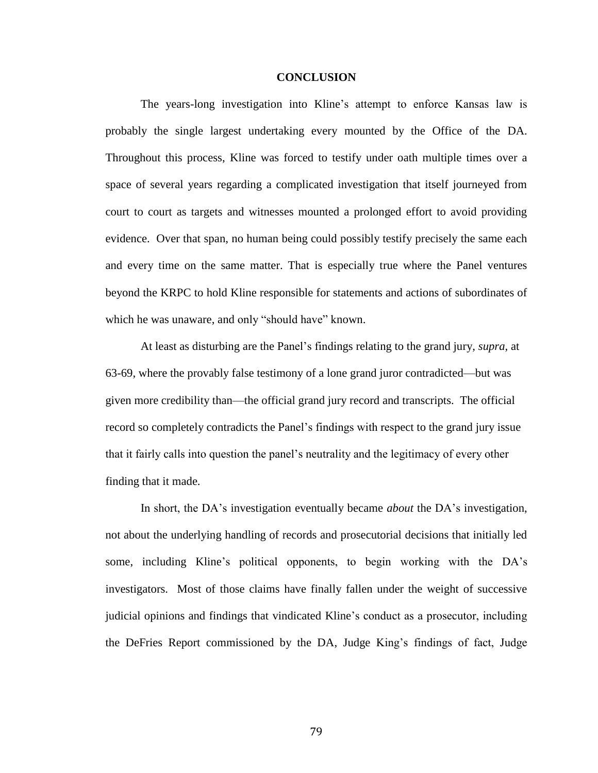#### **CONCLUSION**

The years-long investigation into Kline's attempt to enforce Kansas law is probably the single largest undertaking every mounted by the Office of the DA. Throughout this process, Kline was forced to testify under oath multiple times over a space of several years regarding a complicated investigation that itself journeyed from court to court as targets and witnesses mounted a prolonged effort to avoid providing evidence. Over that span, no human being could possibly testify precisely the same each and every time on the same matter. That is especially true where the Panel ventures beyond the KRPC to hold Kline responsible for statements and actions of subordinates of which he was unaware, and only "should have" known.

At least as disturbing are the Panel's findings relating to the grand jury, *supra*, at 63-69, where the provably false testimony of a lone grand juror contradicted—but was given more credibility than—the official grand jury record and transcripts. The official record so completely contradicts the Panel's findings with respect to the grand jury issue that it fairly calls into question the panel's neutrality and the legitimacy of every other finding that it made.

In short, the DA's investigation eventually became *about* the DA's investigation, not about the underlying handling of records and prosecutorial decisions that initially led some, including Kline's political opponents, to begin working with the DA's investigators. Most of those claims have finally fallen under the weight of successive judicial opinions and findings that vindicated Kline's conduct as a prosecutor, including the DeFries Report commissioned by the DA, Judge King's findings of fact, Judge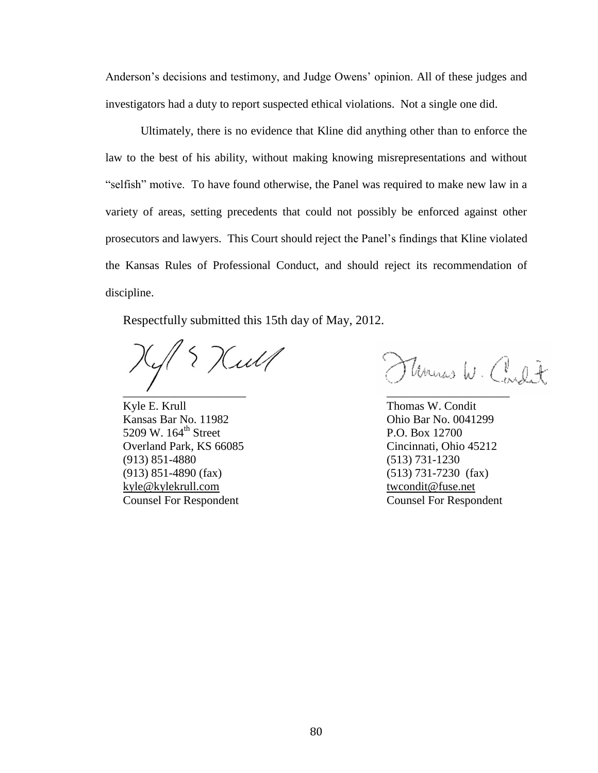Anderson's decisions and testimony, and Judge Owens' opinion. All of these judges and investigators had a duty to report suspected ethical violations. Not a single one did.

Ultimately, there is no evidence that Kline did anything other than to enforce the law to the best of his ability, without making knowing misrepresentations and without "selfish" motive. To have found otherwise, the Panel was required to make new law in a variety of areas, setting precedents that could not possibly be enforced against other prosecutors and lawyers. This Court should reject the Panel's findings that Kline violated the Kansas Rules of Professional Conduct, and should reject its recommendation of discipline.

Respectfully submitted this 15th day of May, 2012.

{ Kull  $\overline{\phantom{a}}$  ,  $\overline{\phantom{a}}$  ,  $\overline{\phantom{a}}$  ,  $\overline{\phantom{a}}$  ,  $\overline{\phantom{a}}$  ,  $\overline{\phantom{a}}$  ,  $\overline{\phantom{a}}$  ,  $\overline{\phantom{a}}$  ,  $\overline{\phantom{a}}$  ,  $\overline{\phantom{a}}$  ,  $\overline{\phantom{a}}$  ,  $\overline{\phantom{a}}$  ,  $\overline{\phantom{a}}$  ,  $\overline{\phantom{a}}$  ,  $\overline{\phantom{a}}$  ,  $\overline{\phantom{a}}$ 

Kyle E. Krull Thomas W. Condit Kansas Bar No. 11982 Ohio Bar No. 0041299 5209 W. 164<sup>th</sup> Street P.O. Box 12700 Overland Park, KS 66085 Cincinnati, Ohio 45212 (913) 851-4880 (513) 731-1230 (913) 851-4890 (fax) (513) 731-7230 (fax) [kyle@kylekrull.com](kyle@kekpa.com) twcondit@fuse.net Counsel For Respondent Counsel For Respondent

Thomas W. Coult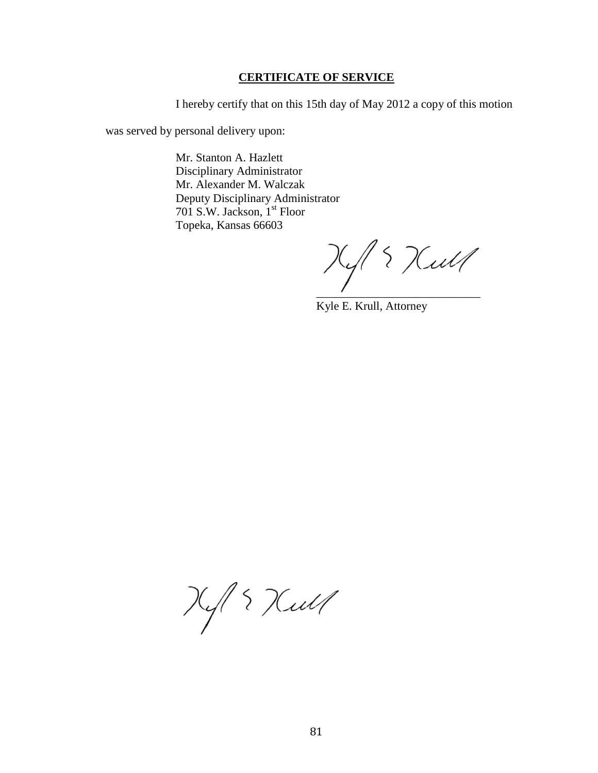# **CERTIFICATE OF SERVICE**

I hereby certify that on this 15th day of May 2012 a copy of this motion

was served by personal delivery upon:

Mr. Stanton A. Hazlett Disciplinary Administrator Mr. Alexander M. Walczak Deputy Disciplinary Administrator 701 S.W. Jackson, 1st Floor Topeka, Kansas 66603

Hy/ & Kull  $\overline{\phantom{a}1}$ 

Kyle E. Krull, Attorney

 $X_f / 3$  Kull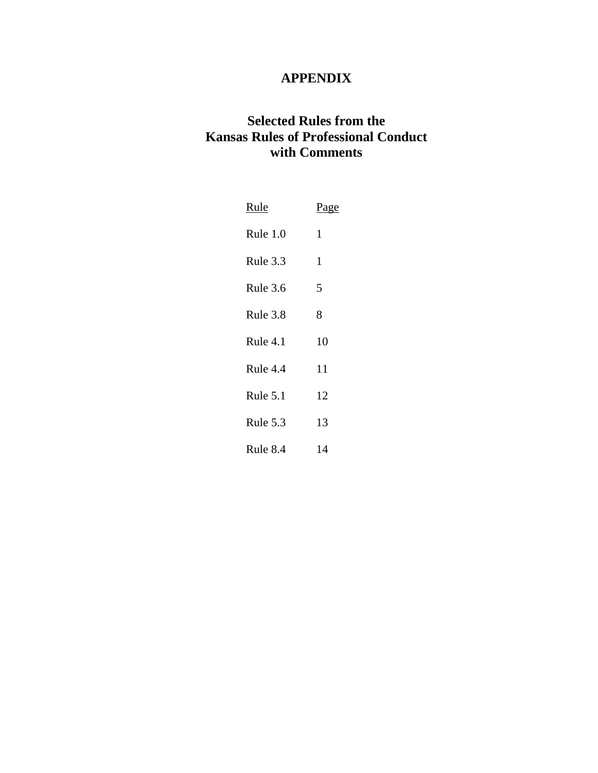# **APPENDIX**

# **Selected Rules from the Kansas Rules of Professional Conduct with Comments**

| Rule            | Page |
|-----------------|------|
| Rule 1.0        | 1    |
| Rule 3.3        | 1    |
| <b>Rule 3.6</b> | 5    |
| Rule 3.8        | 8    |
| Rule 4.1        | 10   |
| Rule 4.4        | 11   |
| Rule 5.1        | 12   |
| Rule 5.3        | 13   |
| Rule 8.4        | 14   |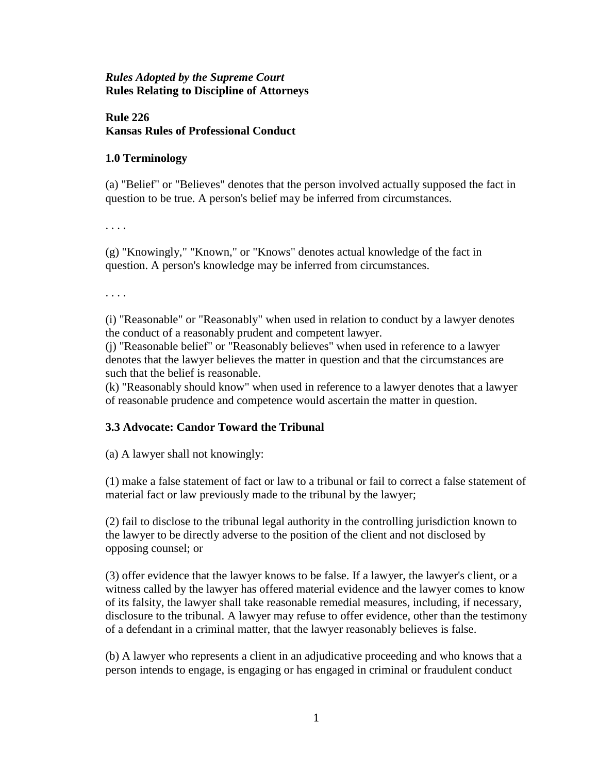# *Rules Adopted by the Supreme Court* **Rules Relating to Discipline of Attorneys**

### **Rule 226 Kansas Rules of Professional Conduct**

# **1.0 Terminology**

(a) "Belief" or "Believes" denotes that the person involved actually supposed the fact in question to be true. A person's belief may be inferred from circumstances.

. . . .

(g) "Knowingly," "Known," or "Knows" denotes actual knowledge of the fact in question. A person's knowledge may be inferred from circumstances.

. . . .

(i) "Reasonable" or "Reasonably" when used in relation to conduct by a lawyer denotes the conduct of a reasonably prudent and competent lawyer.

(j) "Reasonable belief" or "Reasonably believes" when used in reference to a lawyer denotes that the lawyer believes the matter in question and that the circumstances are such that the belief is reasonable.

(k) "Reasonably should know" when used in reference to a lawyer denotes that a lawyer of reasonable prudence and competence would ascertain the matter in question.

# **3.3 Advocate: Candor Toward the Tribunal**

(a) A lawyer shall not knowingly:

(1) make a false statement of fact or law to a tribunal or fail to correct a false statement of material fact or law previously made to the tribunal by the lawyer;

(2) fail to disclose to the tribunal legal authority in the controlling jurisdiction known to the lawyer to be directly adverse to the position of the client and not disclosed by opposing counsel; or

(3) offer evidence that the lawyer knows to be false. If a lawyer, the lawyer's client, or a witness called by the lawyer has offered material evidence and the lawyer comes to know of its falsity, the lawyer shall take reasonable remedial measures, including, if necessary, disclosure to the tribunal. A lawyer may refuse to offer evidence, other than the testimony of a defendant in a criminal matter, that the lawyer reasonably believes is false.

(b) A lawyer who represents a client in an adjudicative proceeding and who knows that a person intends to engage, is engaging or has engaged in criminal or fraudulent conduct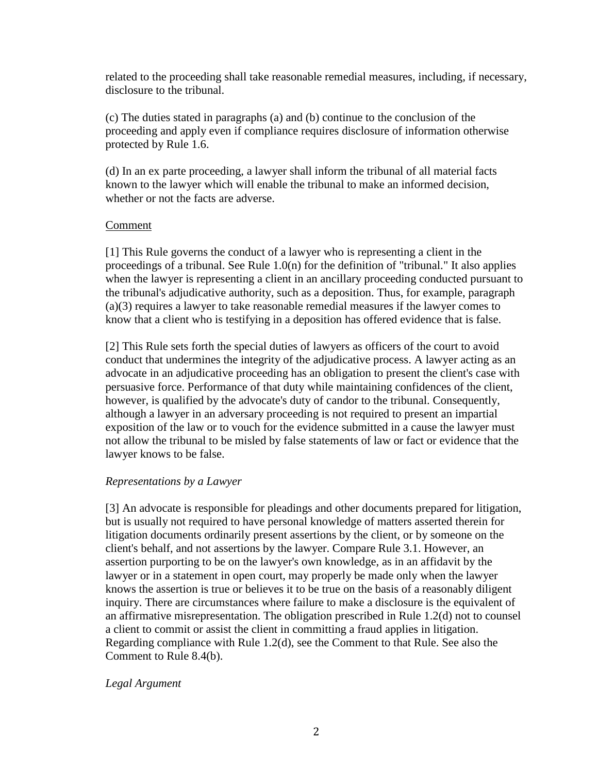related to the proceeding shall take reasonable remedial measures, including, if necessary, disclosure to the tribunal.

(c) The duties stated in paragraphs (a) and (b) continue to the conclusion of the proceeding and apply even if compliance requires disclosure of information otherwise protected by Rule 1.6.

(d) In an ex parte proceeding, a lawyer shall inform the tribunal of all material facts known to the lawyer which will enable the tribunal to make an informed decision, whether or not the facts are adverse.

# Comment

[1] This Rule governs the conduct of a lawyer who is representing a client in the proceedings of a tribunal. See Rule 1.0(n) for the definition of "tribunal." It also applies when the lawyer is representing a client in an ancillary proceeding conducted pursuant to the tribunal's adjudicative authority, such as a deposition. Thus, for example, paragraph (a)(3) requires a lawyer to take reasonable remedial measures if the lawyer comes to know that a client who is testifying in a deposition has offered evidence that is false.

[2] This Rule sets forth the special duties of lawyers as officers of the court to avoid conduct that undermines the integrity of the adjudicative process. A lawyer acting as an advocate in an adjudicative proceeding has an obligation to present the client's case with persuasive force. Performance of that duty while maintaining confidences of the client, however, is qualified by the advocate's duty of candor to the tribunal. Consequently, although a lawyer in an adversary proceeding is not required to present an impartial exposition of the law or to vouch for the evidence submitted in a cause the lawyer must not allow the tribunal to be misled by false statements of law or fact or evidence that the lawyer knows to be false.

### *Representations by a Lawyer*

[3] An advocate is responsible for pleadings and other documents prepared for litigation, but is usually not required to have personal knowledge of matters asserted therein for litigation documents ordinarily present assertions by the client, or by someone on the client's behalf, and not assertions by the lawyer. Compare Rule 3.1. However, an assertion purporting to be on the lawyer's own knowledge, as in an affidavit by the lawyer or in a statement in open court, may properly be made only when the lawyer knows the assertion is true or believes it to be true on the basis of a reasonably diligent inquiry. There are circumstances where failure to make a disclosure is the equivalent of an affirmative misrepresentation. The obligation prescribed in Rule 1.2(d) not to counsel a client to commit or assist the client in committing a fraud applies in litigation. Regarding compliance with Rule 1.2(d), see the Comment to that Rule. See also the Comment to Rule 8.4(b).

# *Legal Argument*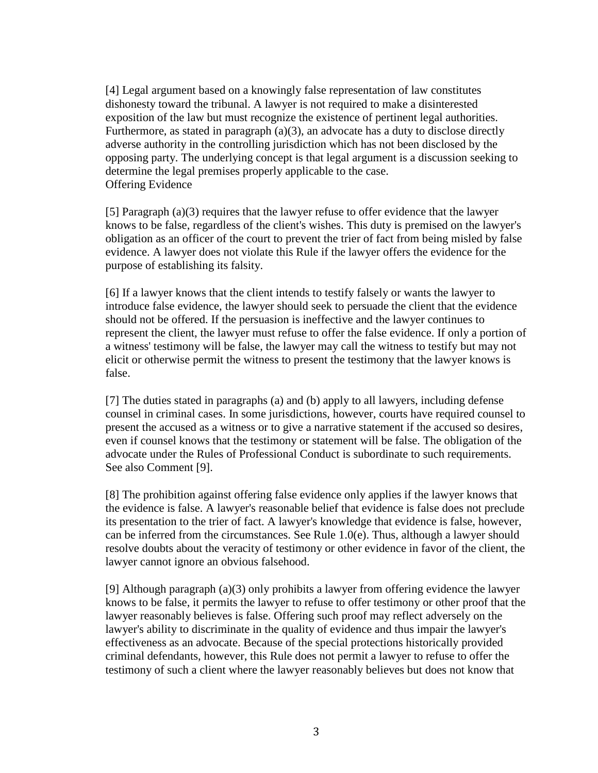[4] Legal argument based on a knowingly false representation of law constitutes dishonesty toward the tribunal. A lawyer is not required to make a disinterested exposition of the law but must recognize the existence of pertinent legal authorities. Furthermore, as stated in paragraph (a)(3), an advocate has a duty to disclose directly adverse authority in the controlling jurisdiction which has not been disclosed by the opposing party. The underlying concept is that legal argument is a discussion seeking to determine the legal premises properly applicable to the case. Offering Evidence

[5] Paragraph (a)(3) requires that the lawyer refuse to offer evidence that the lawyer knows to be false, regardless of the client's wishes. This duty is premised on the lawyer's obligation as an officer of the court to prevent the trier of fact from being misled by false evidence. A lawyer does not violate this Rule if the lawyer offers the evidence for the purpose of establishing its falsity.

[6] If a lawyer knows that the client intends to testify falsely or wants the lawyer to introduce false evidence, the lawyer should seek to persuade the client that the evidence should not be offered. If the persuasion is ineffective and the lawyer continues to represent the client, the lawyer must refuse to offer the false evidence. If only a portion of a witness' testimony will be false, the lawyer may call the witness to testify but may not elicit or otherwise permit the witness to present the testimony that the lawyer knows is false.

[7] The duties stated in paragraphs (a) and (b) apply to all lawyers, including defense counsel in criminal cases. In some jurisdictions, however, courts have required counsel to present the accused as a witness or to give a narrative statement if the accused so desires, even if counsel knows that the testimony or statement will be false. The obligation of the advocate under the Rules of Professional Conduct is subordinate to such requirements. See also Comment [9].

[8] The prohibition against offering false evidence only applies if the lawyer knows that the evidence is false. A lawyer's reasonable belief that evidence is false does not preclude its presentation to the trier of fact. A lawyer's knowledge that evidence is false, however, can be inferred from the circumstances. See Rule 1.0(e). Thus, although a lawyer should resolve doubts about the veracity of testimony or other evidence in favor of the client, the lawyer cannot ignore an obvious falsehood.

[9] Although paragraph (a)(3) only prohibits a lawyer from offering evidence the lawyer knows to be false, it permits the lawyer to refuse to offer testimony or other proof that the lawyer reasonably believes is false. Offering such proof may reflect adversely on the lawyer's ability to discriminate in the quality of evidence and thus impair the lawyer's effectiveness as an advocate. Because of the special protections historically provided criminal defendants, however, this Rule does not permit a lawyer to refuse to offer the testimony of such a client where the lawyer reasonably believes but does not know that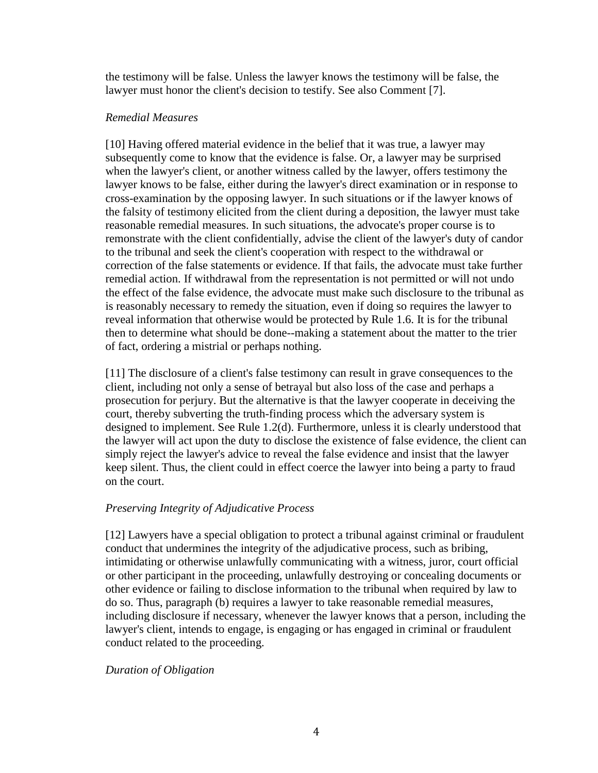the testimony will be false. Unless the lawyer knows the testimony will be false, the lawyer must honor the client's decision to testify. See also Comment [7].

## *Remedial Measures*

[10] Having offered material evidence in the belief that it was true, a lawyer may subsequently come to know that the evidence is false. Or, a lawyer may be surprised when the lawyer's client, or another witness called by the lawyer, offers testimony the lawyer knows to be false, either during the lawyer's direct examination or in response to cross-examination by the opposing lawyer. In such situations or if the lawyer knows of the falsity of testimony elicited from the client during a deposition, the lawyer must take reasonable remedial measures. In such situations, the advocate's proper course is to remonstrate with the client confidentially, advise the client of the lawyer's duty of candor to the tribunal and seek the client's cooperation with respect to the withdrawal or correction of the false statements or evidence. If that fails, the advocate must take further remedial action. If withdrawal from the representation is not permitted or will not undo the effect of the false evidence, the advocate must make such disclosure to the tribunal as is reasonably necessary to remedy the situation, even if doing so requires the lawyer to reveal information that otherwise would be protected by Rule 1.6. It is for the tribunal then to determine what should be done--making a statement about the matter to the trier of fact, ordering a mistrial or perhaps nothing.

[11] The disclosure of a client's false testimony can result in grave consequences to the client, including not only a sense of betrayal but also loss of the case and perhaps a prosecution for perjury. But the alternative is that the lawyer cooperate in deceiving the court, thereby subverting the truth-finding process which the adversary system is designed to implement. See Rule 1.2(d). Furthermore, unless it is clearly understood that the lawyer will act upon the duty to disclose the existence of false evidence, the client can simply reject the lawyer's advice to reveal the false evidence and insist that the lawyer keep silent. Thus, the client could in effect coerce the lawyer into being a party to fraud on the court.

# *Preserving Integrity of Adjudicative Process*

[12] Lawyers have a special obligation to protect a tribunal against criminal or fraudulent conduct that undermines the integrity of the adjudicative process, such as bribing, intimidating or otherwise unlawfully communicating with a witness, juror, court official or other participant in the proceeding, unlawfully destroying or concealing documents or other evidence or failing to disclose information to the tribunal when required by law to do so. Thus, paragraph (b) requires a lawyer to take reasonable remedial measures, including disclosure if necessary, whenever the lawyer knows that a person, including the lawyer's client, intends to engage, is engaging or has engaged in criminal or fraudulent conduct related to the proceeding.

# *Duration of Obligation*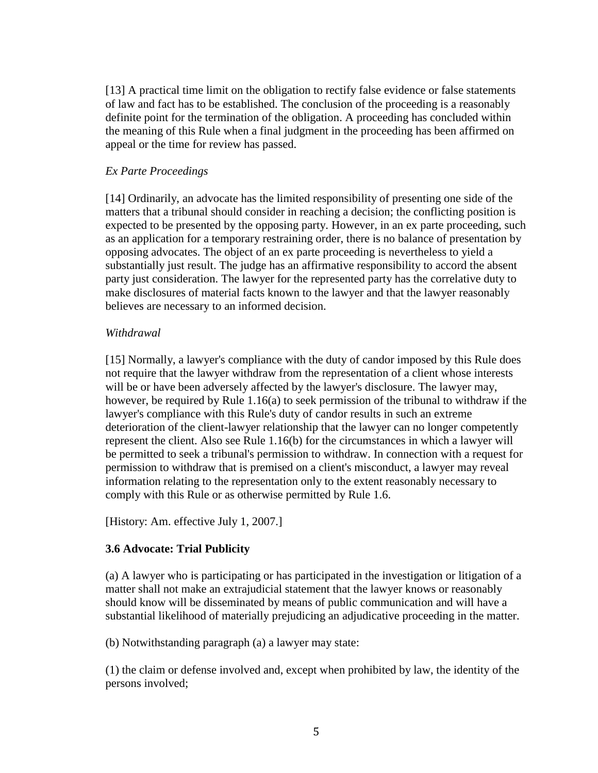[13] A practical time limit on the obligation to rectify false evidence or false statements of law and fact has to be established. The conclusion of the proceeding is a reasonably definite point for the termination of the obligation. A proceeding has concluded within the meaning of this Rule when a final judgment in the proceeding has been affirmed on appeal or the time for review has passed.

#### *Ex Parte Proceedings*

[14] Ordinarily, an advocate has the limited responsibility of presenting one side of the matters that a tribunal should consider in reaching a decision; the conflicting position is expected to be presented by the opposing party. However, in an ex parte proceeding, such as an application for a temporary restraining order, there is no balance of presentation by opposing advocates. The object of an ex parte proceeding is nevertheless to yield a substantially just result. The judge has an affirmative responsibility to accord the absent party just consideration. The lawyer for the represented party has the correlative duty to make disclosures of material facts known to the lawyer and that the lawyer reasonably believes are necessary to an informed decision.

#### *Withdrawal*

[15] Normally, a lawyer's compliance with the duty of candor imposed by this Rule does not require that the lawyer withdraw from the representation of a client whose interests will be or have been adversely affected by the lawyer's disclosure. The lawyer may, however, be required by Rule 1.16(a) to seek permission of the tribunal to withdraw if the lawyer's compliance with this Rule's duty of candor results in such an extreme deterioration of the client-lawyer relationship that the lawyer can no longer competently represent the client. Also see Rule 1.16(b) for the circumstances in which a lawyer will be permitted to seek a tribunal's permission to withdraw. In connection with a request for permission to withdraw that is premised on a client's misconduct, a lawyer may reveal information relating to the representation only to the extent reasonably necessary to comply with this Rule or as otherwise permitted by Rule 1.6.

[History: Am. effective July 1, 2007.]

### **3.6 Advocate: Trial Publicity**

(a) A lawyer who is participating or has participated in the investigation or litigation of a matter shall not make an extrajudicial statement that the lawyer knows or reasonably should know will be disseminated by means of public communication and will have a substantial likelihood of materially prejudicing an adjudicative proceeding in the matter.

(b) Notwithstanding paragraph (a) a lawyer may state:

(1) the claim or defense involved and, except when prohibited by law, the identity of the persons involved;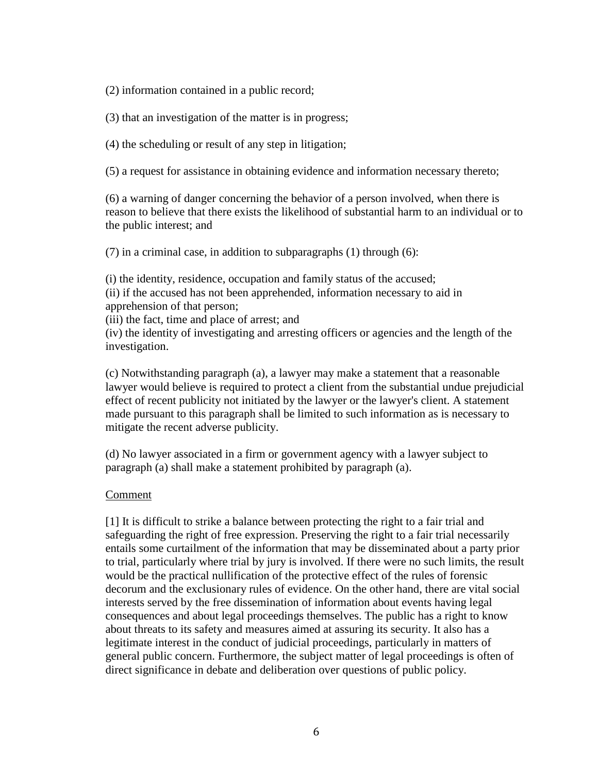(2) information contained in a public record;

(3) that an investigation of the matter is in progress;

(4) the scheduling or result of any step in litigation;

(5) a request for assistance in obtaining evidence and information necessary thereto;

(6) a warning of danger concerning the behavior of a person involved, when there is reason to believe that there exists the likelihood of substantial harm to an individual or to the public interest; and

(7) in a criminal case, in addition to subparagraphs (1) through (6):

(i) the identity, residence, occupation and family status of the accused; (ii) if the accused has not been apprehended, information necessary to aid in apprehension of that person;

(iii) the fact, time and place of arrest; and

(iv) the identity of investigating and arresting officers or agencies and the length of the investigation.

(c) Notwithstanding paragraph (a), a lawyer may make a statement that a reasonable lawyer would believe is required to protect a client from the substantial undue prejudicial effect of recent publicity not initiated by the lawyer or the lawyer's client. A statement made pursuant to this paragraph shall be limited to such information as is necessary to mitigate the recent adverse publicity.

(d) No lawyer associated in a firm or government agency with a lawyer subject to paragraph (a) shall make a statement prohibited by paragraph (a).

#### Comment

[1] It is difficult to strike a balance between protecting the right to a fair trial and safeguarding the right of free expression. Preserving the right to a fair trial necessarily entails some curtailment of the information that may be disseminated about a party prior to trial, particularly where trial by jury is involved. If there were no such limits, the result would be the practical nullification of the protective effect of the rules of forensic decorum and the exclusionary rules of evidence. On the other hand, there are vital social interests served by the free dissemination of information about events having legal consequences and about legal proceedings themselves. The public has a right to know about threats to its safety and measures aimed at assuring its security. It also has a legitimate interest in the conduct of judicial proceedings, particularly in matters of general public concern. Furthermore, the subject matter of legal proceedings is often of direct significance in debate and deliberation over questions of public policy.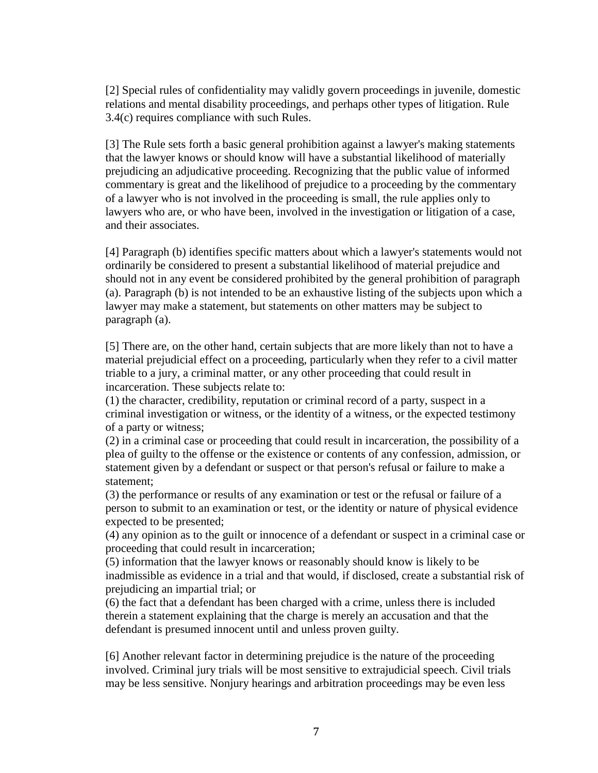[2] Special rules of confidentiality may validly govern proceedings in juvenile, domestic relations and mental disability proceedings, and perhaps other types of litigation. Rule 3.4(c) requires compliance with such Rules.

[3] The Rule sets forth a basic general prohibition against a lawyer's making statements that the lawyer knows or should know will have a substantial likelihood of materially prejudicing an adjudicative proceeding. Recognizing that the public value of informed commentary is great and the likelihood of prejudice to a proceeding by the commentary of a lawyer who is not involved in the proceeding is small, the rule applies only to lawyers who are, or who have been, involved in the investigation or litigation of a case, and their associates.

[4] Paragraph (b) identifies specific matters about which a lawyer's statements would not ordinarily be considered to present a substantial likelihood of material prejudice and should not in any event be considered prohibited by the general prohibition of paragraph (a). Paragraph (b) is not intended to be an exhaustive listing of the subjects upon which a lawyer may make a statement, but statements on other matters may be subject to paragraph (a).

[5] There are, on the other hand, certain subjects that are more likely than not to have a material prejudicial effect on a proceeding, particularly when they refer to a civil matter triable to a jury, a criminal matter, or any other proceeding that could result in incarceration. These subjects relate to:

(1) the character, credibility, reputation or criminal record of a party, suspect in a criminal investigation or witness, or the identity of a witness, or the expected testimony of a party or witness;

(2) in a criminal case or proceeding that could result in incarceration, the possibility of a plea of guilty to the offense or the existence or contents of any confession, admission, or statement given by a defendant or suspect or that person's refusal or failure to make a statement;

(3) the performance or results of any examination or test or the refusal or failure of a person to submit to an examination or test, or the identity or nature of physical evidence expected to be presented;

(4) any opinion as to the guilt or innocence of a defendant or suspect in a criminal case or proceeding that could result in incarceration;

(5) information that the lawyer knows or reasonably should know is likely to be inadmissible as evidence in a trial and that would, if disclosed, create a substantial risk of prejudicing an impartial trial; or

(6) the fact that a defendant has been charged with a crime, unless there is included therein a statement explaining that the charge is merely an accusation and that the defendant is presumed innocent until and unless proven guilty.

[6] Another relevant factor in determining prejudice is the nature of the proceeding involved. Criminal jury trials will be most sensitive to extrajudicial speech. Civil trials may be less sensitive. Nonjury hearings and arbitration proceedings may be even less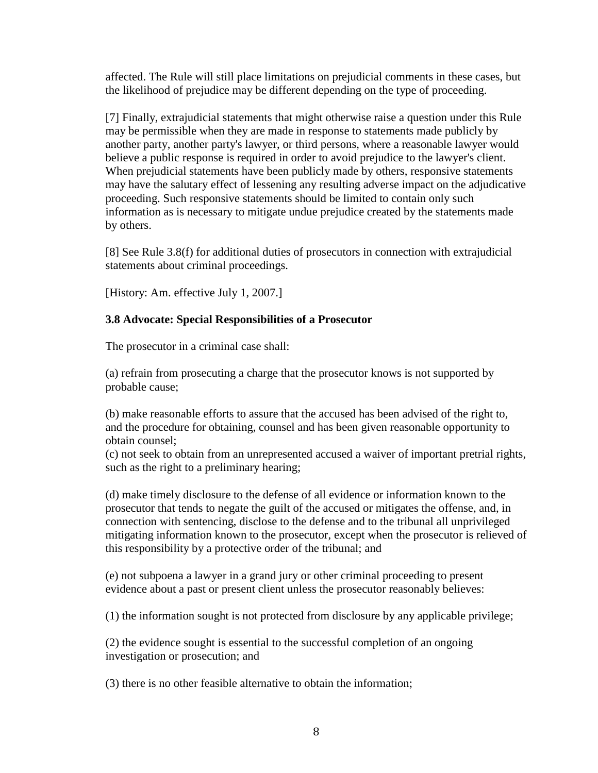affected. The Rule will still place limitations on prejudicial comments in these cases, but the likelihood of prejudice may be different depending on the type of proceeding.

[7] Finally, extrajudicial statements that might otherwise raise a question under this Rule may be permissible when they are made in response to statements made publicly by another party, another party's lawyer, or third persons, where a reasonable lawyer would believe a public response is required in order to avoid prejudice to the lawyer's client. When prejudicial statements have been publicly made by others, responsive statements may have the salutary effect of lessening any resulting adverse impact on the adjudicative proceeding. Such responsive statements should be limited to contain only such information as is necessary to mitigate undue prejudice created by the statements made by others.

[8] See Rule 3.8(f) for additional duties of prosecutors in connection with extrajudicial statements about criminal proceedings.

[History: Am. effective July 1, 2007.]

# **3.8 Advocate: Special Responsibilities of a Prosecutor**

The prosecutor in a criminal case shall:

(a) refrain from prosecuting a charge that the prosecutor knows is not supported by probable cause;

(b) make reasonable efforts to assure that the accused has been advised of the right to, and the procedure for obtaining, counsel and has been given reasonable opportunity to obtain counsel;

(c) not seek to obtain from an unrepresented accused a waiver of important pretrial rights, such as the right to a preliminary hearing;

(d) make timely disclosure to the defense of all evidence or information known to the prosecutor that tends to negate the guilt of the accused or mitigates the offense, and, in connection with sentencing, disclose to the defense and to the tribunal all unprivileged mitigating information known to the prosecutor, except when the prosecutor is relieved of this responsibility by a protective order of the tribunal; and

(e) not subpoena a lawyer in a grand jury or other criminal proceeding to present evidence about a past or present client unless the prosecutor reasonably believes:

(1) the information sought is not protected from disclosure by any applicable privilege;

(2) the evidence sought is essential to the successful completion of an ongoing investigation or prosecution; and

(3) there is no other feasible alternative to obtain the information;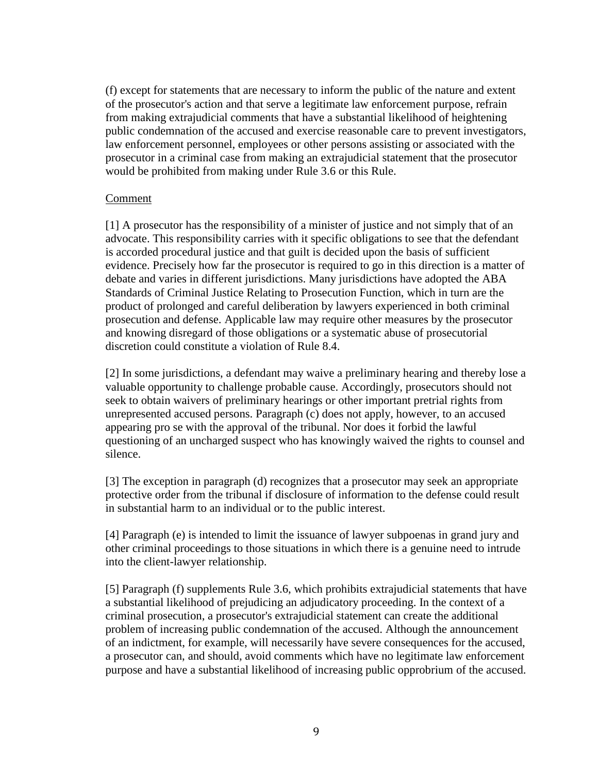(f) except for statements that are necessary to inform the public of the nature and extent of the prosecutor's action and that serve a legitimate law enforcement purpose, refrain from making extrajudicial comments that have a substantial likelihood of heightening public condemnation of the accused and exercise reasonable care to prevent investigators, law enforcement personnel, employees or other persons assisting or associated with the prosecutor in a criminal case from making an extrajudicial statement that the prosecutor would be prohibited from making under Rule 3.6 or this Rule.

#### **Comment**

[1] A prosecutor has the responsibility of a minister of justice and not simply that of an advocate. This responsibility carries with it specific obligations to see that the defendant is accorded procedural justice and that guilt is decided upon the basis of sufficient evidence. Precisely how far the prosecutor is required to go in this direction is a matter of debate and varies in different jurisdictions. Many jurisdictions have adopted the ABA Standards of Criminal Justice Relating to Prosecution Function, which in turn are the product of prolonged and careful deliberation by lawyers experienced in both criminal prosecution and defense. Applicable law may require other measures by the prosecutor and knowing disregard of those obligations or a systematic abuse of prosecutorial discretion could constitute a violation of Rule 8.4.

[2] In some jurisdictions, a defendant may waive a preliminary hearing and thereby lose a valuable opportunity to challenge probable cause. Accordingly, prosecutors should not seek to obtain waivers of preliminary hearings or other important pretrial rights from unrepresented accused persons. Paragraph (c) does not apply, however, to an accused appearing pro se with the approval of the tribunal. Nor does it forbid the lawful questioning of an uncharged suspect who has knowingly waived the rights to counsel and silence.

[3] The exception in paragraph (d) recognizes that a prosecutor may seek an appropriate protective order from the tribunal if disclosure of information to the defense could result in substantial harm to an individual or to the public interest.

[4] Paragraph (e) is intended to limit the issuance of lawyer subpoenas in grand jury and other criminal proceedings to those situations in which there is a genuine need to intrude into the client-lawyer relationship.

[5] Paragraph (f) supplements Rule 3.6, which prohibits extrajudicial statements that have a substantial likelihood of prejudicing an adjudicatory proceeding. In the context of a criminal prosecution, a prosecutor's extrajudicial statement can create the additional problem of increasing public condemnation of the accused. Although the announcement of an indictment, for example, will necessarily have severe consequences for the accused, a prosecutor can, and should, avoid comments which have no legitimate law enforcement purpose and have a substantial likelihood of increasing public opprobrium of the accused.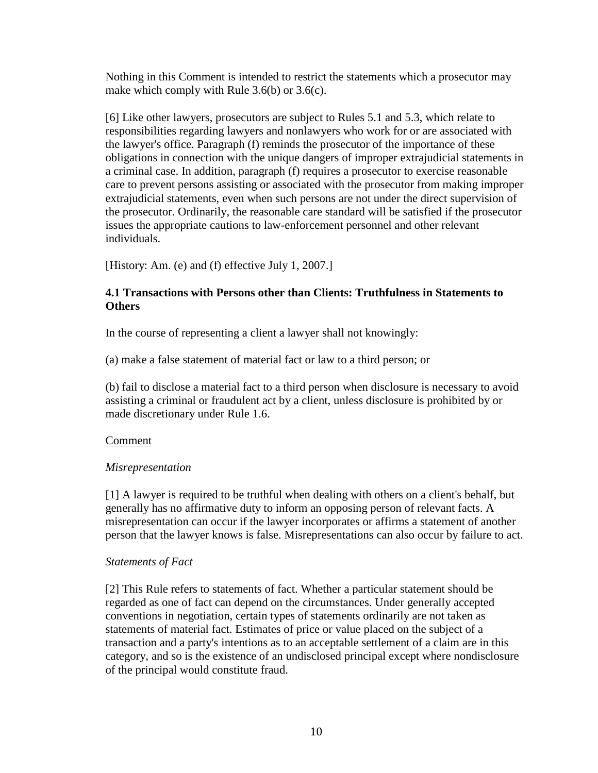Nothing in this Comment is intended to restrict the statements which a prosecutor may make which comply with Rule 3.6(b) or 3.6(c).

[6] Like other lawyers, prosecutors are subject to Rules 5.1 and 5.3, which relate to responsibilities regarding lawyers and nonlawyers who work for or are associated with the lawyer's office. Paragraph (f) reminds the prosecutor of the importance of these obligations in connection with the unique dangers of improper extrajudicial statements in a criminal case. In addition, paragraph (f) requires a prosecutor to exercise reasonable care to prevent persons assisting or associated with the prosecutor from making improper extrajudicial statements, even when such persons are not under the direct supervision of the prosecutor. Ordinarily, the reasonable care standard will be satisfied if the prosecutor issues the appropriate cautions to law-enforcement personnel and other relevant individuals.

[History: Am. (e) and (f) effective July 1, 2007.]

# **4.1 Transactions with Persons other than Clients: Truthfulness in Statements to Others**

In the course of representing a client a lawyer shall not knowingly:

(a) make a false statement of material fact or law to a third person; or

(b) fail to disclose a material fact to a third person when disclosure is necessary to avoid assisting a criminal or fraudulent act by a client, unless disclosure is prohibited by or made discretionary under Rule 1.6.

### Comment

### *Misrepresentation*

[1] A lawyer is required to be truthful when dealing with others on a client's behalf, but generally has no affirmative duty to inform an opposing person of relevant facts. A misrepresentation can occur if the lawyer incorporates or affirms a statement of another person that the lawyer knows is false. Misrepresentations can also occur by failure to act.

### *Statements of Fact*

[2] This Rule refers to statements of fact. Whether a particular statement should be regarded as one of fact can depend on the circumstances. Under generally accepted conventions in negotiation, certain types of statements ordinarily are not taken as statements of material fact. Estimates of price or value placed on the subject of a transaction and a party's intentions as to an acceptable settlement of a claim are in this category, and so is the existence of an undisclosed principal except where nondisclosure of the principal would constitute fraud.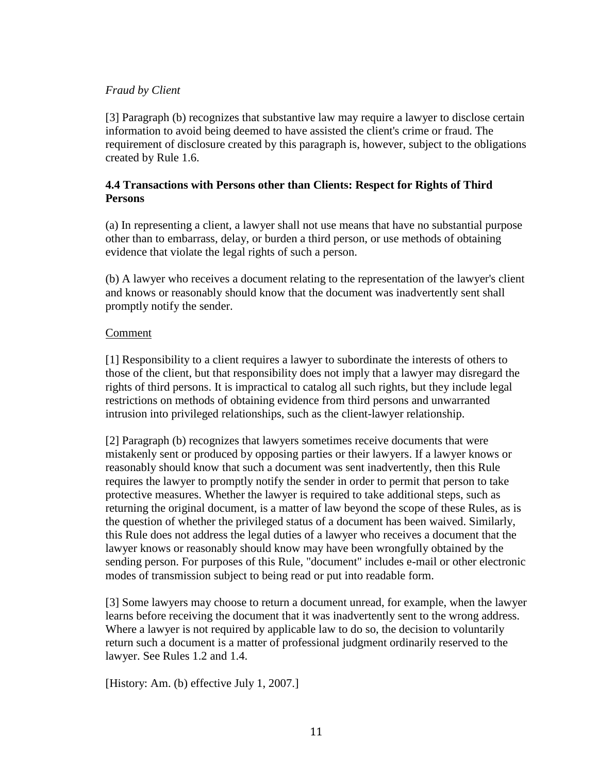## *Fraud by Client*

[3] Paragraph (b) recognizes that substantive law may require a lawyer to disclose certain information to avoid being deemed to have assisted the client's crime or fraud. The requirement of disclosure created by this paragraph is, however, subject to the obligations created by Rule 1.6.

# **4.4 Transactions with Persons other than Clients: Respect for Rights of Third Persons**

(a) In representing a client, a lawyer shall not use means that have no substantial purpose other than to embarrass, delay, or burden a third person, or use methods of obtaining evidence that violate the legal rights of such a person.

(b) A lawyer who receives a document relating to the representation of the lawyer's client and knows or reasonably should know that the document was inadvertently sent shall promptly notify the sender.

# Comment

[1] Responsibility to a client requires a lawyer to subordinate the interests of others to those of the client, but that responsibility does not imply that a lawyer may disregard the rights of third persons. It is impractical to catalog all such rights, but they include legal restrictions on methods of obtaining evidence from third persons and unwarranted intrusion into privileged relationships, such as the client-lawyer relationship.

[2] Paragraph (b) recognizes that lawyers sometimes receive documents that were mistakenly sent or produced by opposing parties or their lawyers. If a lawyer knows or reasonably should know that such a document was sent inadvertently, then this Rule requires the lawyer to promptly notify the sender in order to permit that person to take protective measures. Whether the lawyer is required to take additional steps, such as returning the original document, is a matter of law beyond the scope of these Rules, as is the question of whether the privileged status of a document has been waived. Similarly, this Rule does not address the legal duties of a lawyer who receives a document that the lawyer knows or reasonably should know may have been wrongfully obtained by the sending person. For purposes of this Rule, "document" includes e-mail or other electronic modes of transmission subject to being read or put into readable form.

[3] Some lawyers may choose to return a document unread, for example, when the lawyer learns before receiving the document that it was inadvertently sent to the wrong address. Where a lawyer is not required by applicable law to do so, the decision to voluntarily return such a document is a matter of professional judgment ordinarily reserved to the lawyer. See Rules 1.2 and 1.4.

[History: Am. (b) effective July 1, 2007.]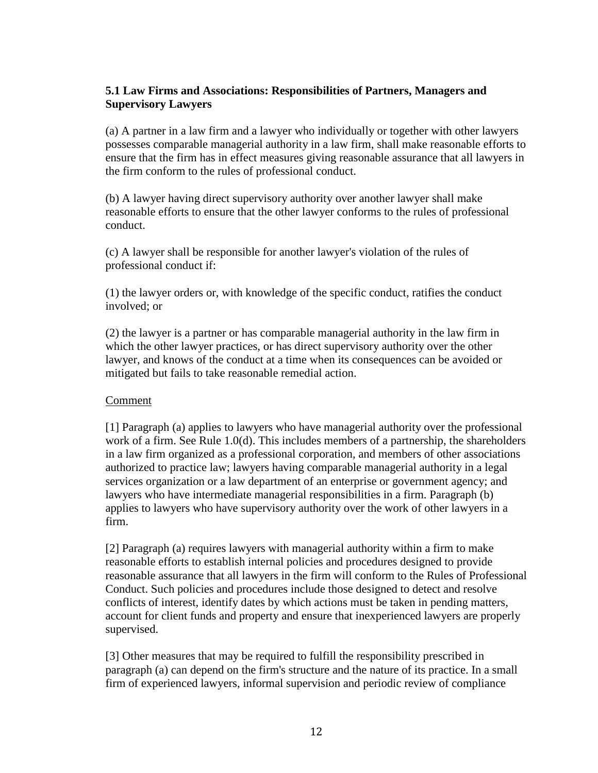# **5.1 Law Firms and Associations: Responsibilities of Partners, Managers and Supervisory Lawyers**

(a) A partner in a law firm and a lawyer who individually or together with other lawyers possesses comparable managerial authority in a law firm, shall make reasonable efforts to ensure that the firm has in effect measures giving reasonable assurance that all lawyers in the firm conform to the rules of professional conduct.

(b) A lawyer having direct supervisory authority over another lawyer shall make reasonable efforts to ensure that the other lawyer conforms to the rules of professional conduct.

(c) A lawyer shall be responsible for another lawyer's violation of the rules of professional conduct if:

(1) the lawyer orders or, with knowledge of the specific conduct, ratifies the conduct involved; or

(2) the lawyer is a partner or has comparable managerial authority in the law firm in which the other lawyer practices, or has direct supervisory authority over the other lawyer, and knows of the conduct at a time when its consequences can be avoided or mitigated but fails to take reasonable remedial action.

# Comment

[1] Paragraph (a) applies to lawyers who have managerial authority over the professional work of a firm. See Rule 1.0(d). This includes members of a partnership, the shareholders in a law firm organized as a professional corporation, and members of other associations authorized to practice law; lawyers having comparable managerial authority in a legal services organization or a law department of an enterprise or government agency; and lawyers who have intermediate managerial responsibilities in a firm. Paragraph (b) applies to lawyers who have supervisory authority over the work of other lawyers in a firm.

[2] Paragraph (a) requires lawyers with managerial authority within a firm to make reasonable efforts to establish internal policies and procedures designed to provide reasonable assurance that all lawyers in the firm will conform to the Rules of Professional Conduct. Such policies and procedures include those designed to detect and resolve conflicts of interest, identify dates by which actions must be taken in pending matters, account for client funds and property and ensure that inexperienced lawyers are properly supervised.

[3] Other measures that may be required to fulfill the responsibility prescribed in paragraph (a) can depend on the firm's structure and the nature of its practice. In a small firm of experienced lawyers, informal supervision and periodic review of compliance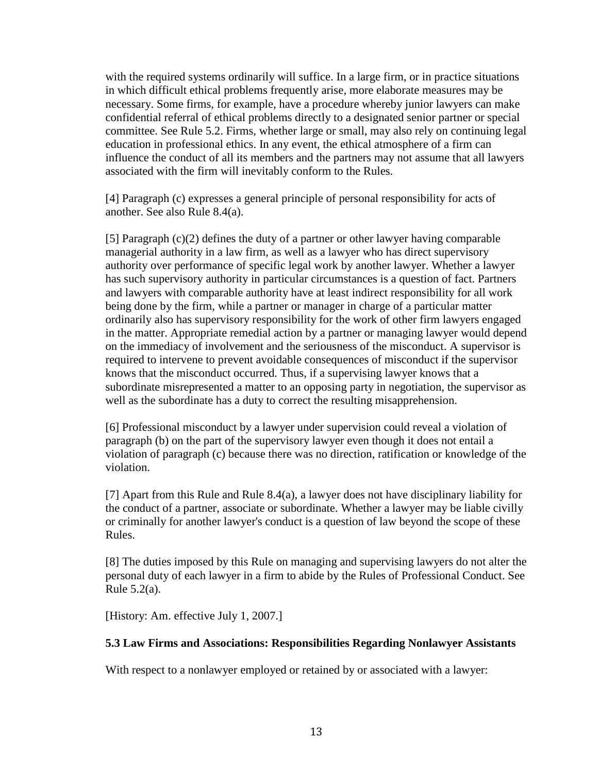with the required systems ordinarily will suffice. In a large firm, or in practice situations in which difficult ethical problems frequently arise, more elaborate measures may be necessary. Some firms, for example, have a procedure whereby junior lawyers can make confidential referral of ethical problems directly to a designated senior partner or special committee. See Rule 5.2. Firms, whether large or small, may also rely on continuing legal education in professional ethics. In any event, the ethical atmosphere of a firm can influence the conduct of all its members and the partners may not assume that all lawyers associated with the firm will inevitably conform to the Rules.

[4] Paragraph (c) expresses a general principle of personal responsibility for acts of another. See also Rule 8.4(a).

[5] Paragraph  $(c)(2)$  defines the duty of a partner or other lawyer having comparable managerial authority in a law firm, as well as a lawyer who has direct supervisory authority over performance of specific legal work by another lawyer. Whether a lawyer has such supervisory authority in particular circumstances is a question of fact. Partners and lawyers with comparable authority have at least indirect responsibility for all work being done by the firm, while a partner or manager in charge of a particular matter ordinarily also has supervisory responsibility for the work of other firm lawyers engaged in the matter. Appropriate remedial action by a partner or managing lawyer would depend on the immediacy of involvement and the seriousness of the misconduct. A supervisor is required to intervene to prevent avoidable consequences of misconduct if the supervisor knows that the misconduct occurred. Thus, if a supervising lawyer knows that a subordinate misrepresented a matter to an opposing party in negotiation, the supervisor as well as the subordinate has a duty to correct the resulting misapprehension.

[6] Professional misconduct by a lawyer under supervision could reveal a violation of paragraph (b) on the part of the supervisory lawyer even though it does not entail a violation of paragraph (c) because there was no direction, ratification or knowledge of the violation.

[7] Apart from this Rule and Rule 8.4(a), a lawyer does not have disciplinary liability for the conduct of a partner, associate or subordinate. Whether a lawyer may be liable civilly or criminally for another lawyer's conduct is a question of law beyond the scope of these Rules.

[8] The duties imposed by this Rule on managing and supervising lawyers do not alter the personal duty of each lawyer in a firm to abide by the Rules of Professional Conduct. See Rule 5.2(a).

[History: Am. effective July 1, 2007.]

### **5.3 Law Firms and Associations: Responsibilities Regarding Nonlawyer Assistants**

With respect to a nonlawyer employed or retained by or associated with a lawyer: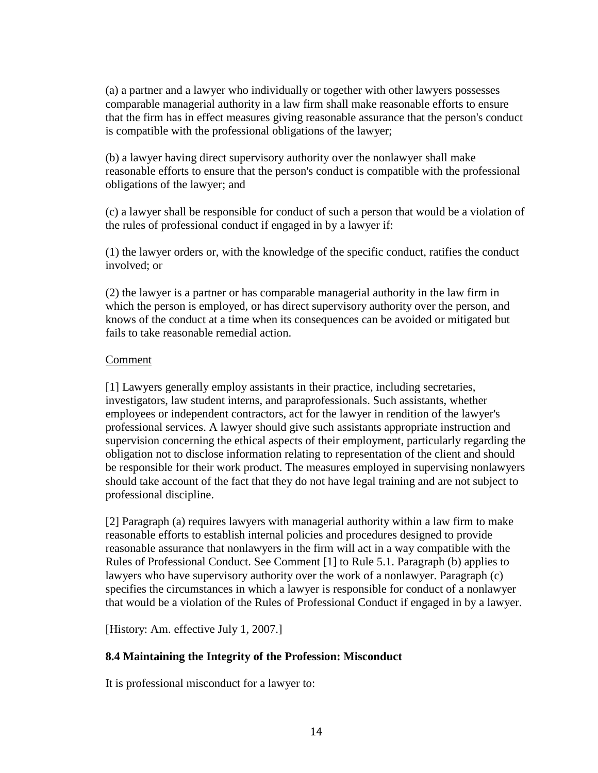(a) a partner and a lawyer who individually or together with other lawyers possesses comparable managerial authority in a law firm shall make reasonable efforts to ensure that the firm has in effect measures giving reasonable assurance that the person's conduct is compatible with the professional obligations of the lawyer;

(b) a lawyer having direct supervisory authority over the nonlawyer shall make reasonable efforts to ensure that the person's conduct is compatible with the professional obligations of the lawyer; and

(c) a lawyer shall be responsible for conduct of such a person that would be a violation of the rules of professional conduct if engaged in by a lawyer if:

(1) the lawyer orders or, with the knowledge of the specific conduct, ratifies the conduct involved; or

(2) the lawyer is a partner or has comparable managerial authority in the law firm in which the person is employed, or has direct supervisory authority over the person, and knows of the conduct at a time when its consequences can be avoided or mitigated but fails to take reasonable remedial action.

### Comment

[1] Lawyers generally employ assistants in their practice, including secretaries, investigators, law student interns, and paraprofessionals. Such assistants, whether employees or independent contractors, act for the lawyer in rendition of the lawyer's professional services. A lawyer should give such assistants appropriate instruction and supervision concerning the ethical aspects of their employment, particularly regarding the obligation not to disclose information relating to representation of the client and should be responsible for their work product. The measures employed in supervising nonlawyers should take account of the fact that they do not have legal training and are not subject to professional discipline.

[2] Paragraph (a) requires lawyers with managerial authority within a law firm to make reasonable efforts to establish internal policies and procedures designed to provide reasonable assurance that nonlawyers in the firm will act in a way compatible with the Rules of Professional Conduct. See Comment [1] to Rule 5.1. Paragraph (b) applies to lawyers who have supervisory authority over the work of a nonlawyer. Paragraph (c) specifies the circumstances in which a lawyer is responsible for conduct of a nonlawyer that would be a violation of the Rules of Professional Conduct if engaged in by a lawyer.

[History: Am. effective July 1, 2007.]

### **8.4 Maintaining the Integrity of the Profession: Misconduct**

It is professional misconduct for a lawyer to: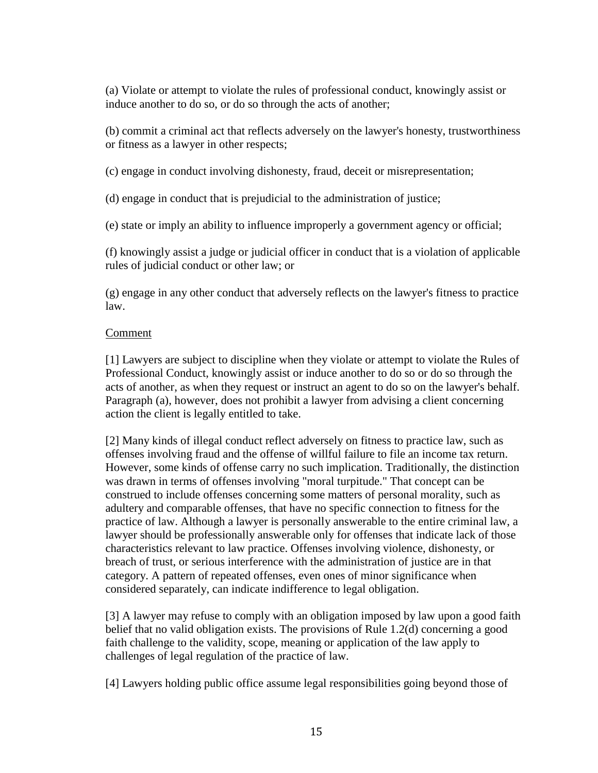(a) Violate or attempt to violate the rules of professional conduct, knowingly assist or induce another to do so, or do so through the acts of another;

(b) commit a criminal act that reflects adversely on the lawyer's honesty, trustworthiness or fitness as a lawyer in other respects;

(c) engage in conduct involving dishonesty, fraud, deceit or misrepresentation;

(d) engage in conduct that is prejudicial to the administration of justice;

(e) state or imply an ability to influence improperly a government agency or official;

(f) knowingly assist a judge or judicial officer in conduct that is a violation of applicable rules of judicial conduct or other law; or

(g) engage in any other conduct that adversely reflects on the lawyer's fitness to practice law.

# **Comment**

[1] Lawyers are subject to discipline when they violate or attempt to violate the Rules of Professional Conduct, knowingly assist or induce another to do so or do so through the acts of another, as when they request or instruct an agent to do so on the lawyer's behalf. Paragraph (a), however, does not prohibit a lawyer from advising a client concerning action the client is legally entitled to take.

[2] Many kinds of illegal conduct reflect adversely on fitness to practice law, such as offenses involving fraud and the offense of willful failure to file an income tax return. However, some kinds of offense carry no such implication. Traditionally, the distinction was drawn in terms of offenses involving "moral turpitude." That concept can be construed to include offenses concerning some matters of personal morality, such as adultery and comparable offenses, that have no specific connection to fitness for the practice of law. Although a lawyer is personally answerable to the entire criminal law, a lawyer should be professionally answerable only for offenses that indicate lack of those characteristics relevant to law practice. Offenses involving violence, dishonesty, or breach of trust, or serious interference with the administration of justice are in that category. A pattern of repeated offenses, even ones of minor significance when considered separately, can indicate indifference to legal obligation.

[3] A lawyer may refuse to comply with an obligation imposed by law upon a good faith belief that no valid obligation exists. The provisions of Rule 1.2(d) concerning a good faith challenge to the validity, scope, meaning or application of the law apply to challenges of legal regulation of the practice of law.

[4] Lawyers holding public office assume legal responsibilities going beyond those of